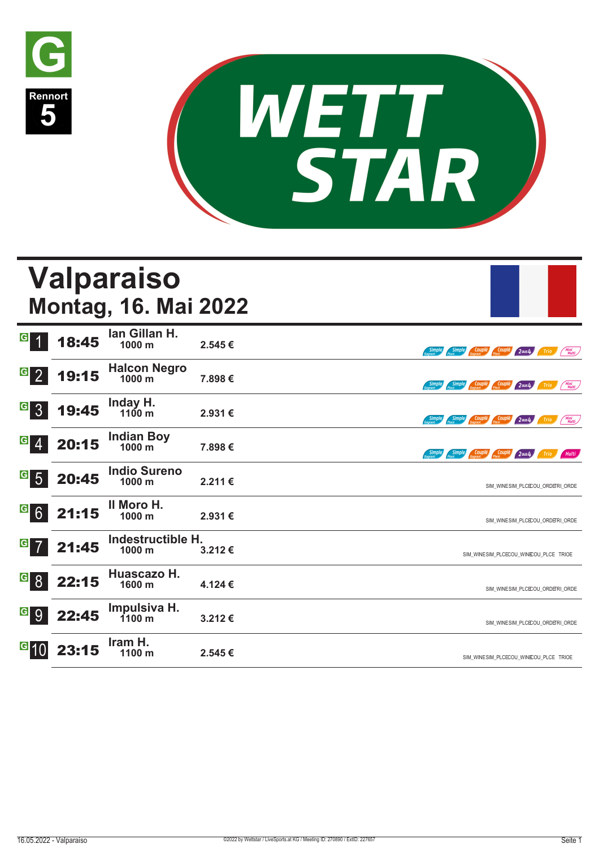



|                                   |             | Valparaiso<br><b>Montag, 16. Mai 2022</b> |         |                                                                                 |
|-----------------------------------|-------------|-------------------------------------------|---------|---------------------------------------------------------------------------------|
| G                                 | 18:45       | Ian Gillan H.<br>1000 m                   | 2.545€  | Mini<br>Multi<br>Simple<br>Couple <sub>1</sub><br>Couple<br>$2$ aus $4$<br>Trio |
| $\overline{G}$<br>2 <sup>1</sup>  | 19:15       | Halcon Negro<br>1000 m                    | 7.898€  | Simple Couplé Couplé<br>Mini<br>Multi<br>$2$ aus $4$<br>Trio                    |
| $\boxed{6}$ 3                     | 19:45       | Inday H.<br>$1100 \text{ m}$              | 2.931 € | <b>Simple Couple Couple 2 aus4</b><br>Mini<br>Multi<br>Trio                     |
| G<br>$\overline{4}$               | 20:15       | <b>Indian Boy</b><br>1000 m               | 7.898€  | Simple Couplé Couplé<br><b>Simple</b><br>$2$ aus $4$<br>Multi<br><b>Trio</b>    |
| $\mathbf{G}$<br>5 <sup>5</sup>    | 20:45       | <b>Indio Sureno</b><br>1000 m             | 2.211€  | SIM WINESIM PLCECOU ORDERI ORDE                                                 |
|                                   | $G$ 6 21:15 | Il Moro H.<br>1000 m                      | 2.931€  | SIM_WINESIM_PLCECOU_ORDERI_ORDE                                                 |
| $\vert G \vert$<br>$\overline{7}$ | 21:45       | Indestructible H.<br>1000 m               | 3.212€  | SIM_WINESIM_PLCECOU_WINEOU_PLCE TRIOE                                           |
| G <br>8 <sup>1</sup>              | 22:15       | Huascazo H.<br>1600 m                     | 4.124 € | SIM_WINESIM_PLCECOU_ORDERI_ORDE                                                 |
| G 9                               | 22:45       | Impulsiva H.<br>$1100 \text{ m}$          | 3.212€  | SIM_WINESIM_PLCECOU_ORDERI_ORDE                                                 |
|                                   | 23:15       | Iram H.<br>1100 m                         | 2.545€  | SIM WINESIM PLCECOU WINEOU PLCE TRIOE                                           |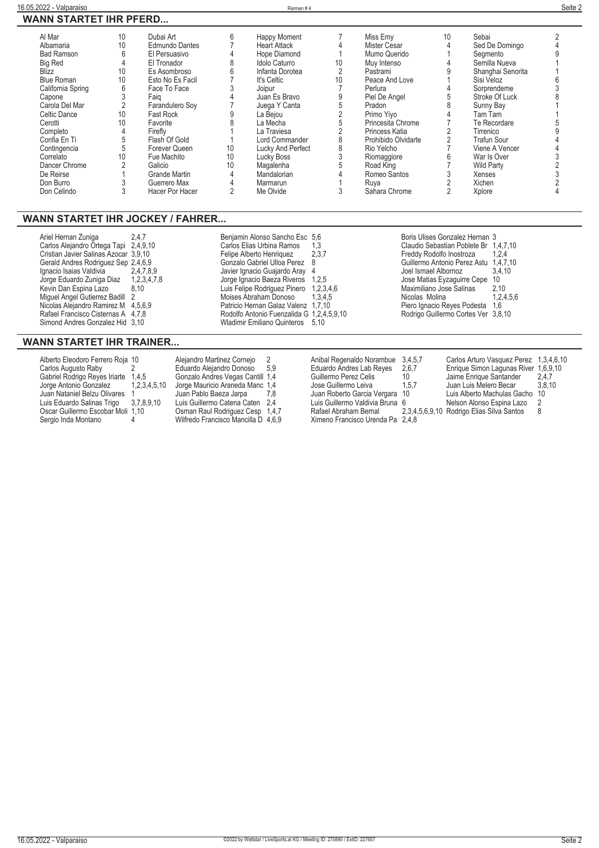|  | WANN STARTET IHR PFERD |  |
|--|------------------------|--|
|  |                        |  |

| 10 <sup>°</sup> | Dubai Art        | 6  | <b>Happy Moment</b> |    | Miss Emv            | 10 | Sebai             |  |
|-----------------|------------------|----|---------------------|----|---------------------|----|-------------------|--|
| 10              | Edmundo Dantes   |    | <b>Heart Attack</b> |    | Mister Cesar        |    | Sed De Domingo    |  |
|                 | El Persuasivo    |    | Hope Diamond        |    | Mumo Querido        |    | Segmento          |  |
|                 | El Tronador      | 8  | Idolo Caturro       | 10 | Muy Intenso         |    | Semilla Nueva     |  |
| 10              | Es Asombroso     | հ  | Infanta Dorotea     |    | Pastrami            |    | Shanghai Senorita |  |
| 10              | Esto No Es Facil |    | It's Celtic         | 10 | Peace And Love      |    | Sisi Veloz        |  |
| 6               | Face To Face     |    | Joipur              |    | Perlura             |    | Sorprendeme       |  |
|                 | Faig             |    | Juan Es Bravo       |    | Piel De Angel       |    | Stroke Of Luck    |  |
|                 | Farandulero Soy  |    | Juega Y Canta       |    | Pradon              |    | Sunny Bay         |  |
| 10              | Fast Rock        |    | La Bejou            |    | Primo Yiyo          |    | Tam Tam           |  |
| 10              | Favorite         |    | La Mecha            |    | Princesita Chrome   |    | Te Recordare      |  |
|                 | Firefly          |    | La Traviesa         |    | Princess Katia      |    | Tirrenico         |  |
|                 | Flash Of Gold    |    | Lord Commander      |    | Prohibido Olvidarte |    | Trafun Sour       |  |
|                 | Forever Queen    | 10 | Lucky And Perfect   |    | Rio Yelcho          |    | Viene A Vencer    |  |
| 10              | Fue Machito      | 10 | Lucky Boss          |    | Riomaggiore         | 6  | War Is Over       |  |
|                 | Galicio          | 10 | Magalenha           |    | Road King           |    | <b>Wild Party</b> |  |
|                 | Grande Martin    |    | Mandalorian         |    | Romeo Santos        |    | Xenses            |  |
|                 | Guerrero Max     |    | Marmarun            |    | Ruya                |    | Xichen            |  |
|                 | Hacer Por Hacer  |    | Me Olvide           |    | Sahara Chrome       |    | Xplore            |  |
|                 |                  |    |                     |    |                     |    |                   |  |

### **WANN STARTET IHR JOCKEY / FAHRER...**

| Ariel Hernan Zuniga                   | 2.4.7 | Benjamin Alonso Sancho Esc 5,6            |         | Boris Ulises Gonzalez Hernan 3        |           |
|---------------------------------------|-------|-------------------------------------------|---------|---------------------------------------|-----------|
| Carlos Alejandro Ortega Tapi 2,4,9,10 |       | Carlos Elias Urbina Ramos                 | - 1,3   | Claudio Sebastian Poblete Br 1,4,7,10 |           |
| Cristian Javier Salinas Azocar 3.9.10 |       | Felipe Alberto Henriquez                  | 2,3,7   | Freddy Rodolfo Inostroza              | 1,2,4     |
| Gerald Andres Rodriguez Sep 2,4,6,9   |       | Gonzalo Gabriel Ulloa Perez 8             |         | Guillermo Antonio Perez Astu 1.4,7,10 |           |
| Ignacio Isaias Valdivia 2.4.7.8.9     |       | Javier Ignacio Guajardo Aray 4            |         | Joel Ismael Albornoz                  | 3.4.10    |
| Jorge Eduardo Zuniga Diaz 1,2,3,4,7,8 |       | Jorge Ignacio Baeza Riveros 1,2,5         |         | Jose Matias Eyzaguirre Cepe 10        |           |
| Kevin Dan Espina Lazo                 | 8.10  | Luis Felipe Rodriguez Pinero 1,2,3,4,6    |         | Maximiliano Jose Salinas              | 2.10      |
| Miguel Angel Gutierrez Badill 2       |       | Moises Abraham Donoso                     | 1.3.4.5 | Nicolas Molina                        | 1.2.4.5.6 |
| Nicolas Alejandro Ramirez M 4,5,6,9   |       | Patricio Hernan Galaz Valenz 1.7.10       |         | Piero Ignacio Reyes Podesta           | 1.6       |
| Rafael Francisco Cisternas A 4,7,8    |       | Rodolfo Antonio Fuenzalida G 1,2,4,5,9,10 |         | Rodrigo Guillermo Cortes Ver 3,8,10   |           |
| Simond Andres Gonzalez Hid 3.10       |       | Wladimir Emiliano Quinteros 5.10          |         |                                       |           |
|                                       |       |                                           |         |                                       |           |

## **WANN STARTET IHR TRAINER...**

| Alberto Eleodoro Ferrero Roja 10      |              | Alejandro Martinez Cornejo          |       | Anibal Regenaldo Norambue 3.4.5.7 |       | Carlos Arturo Vasquez Perez 1,3,4,6,      |        |
|---------------------------------------|--------------|-------------------------------------|-------|-----------------------------------|-------|-------------------------------------------|--------|
| Carlos Augusto Raby                   |              | Eduardo Aleiandro Donoso            | 59    | Eduardo Andres Lab Reyes          | 2,6,7 | Enrique Simon Lagunas River 1,6,9,10      |        |
| Gabriel Rodrigo Reyes Iriarte 1,4,5   |              | Gonzalo Andres Vegas Cantill 1,4    |       | Guillermo Perez Celis             | 10    | Jaime Enrique Santander                   | 2,4,7  |
| Jorge Antonio Gonzalez                | 1,2,3,4,5,10 | Jorge Mauricio Araneda Manc 1.4     |       | Jose Guillermo Leiva              | 1.5.7 | Juan Luis Melero Becar                    | 3.8.10 |
| Juan Nataniel Belzu Olivares          |              | Juan Pablo Baeza Jarpa              | 7.8   | Juan Roberto Garcia Vergara 10    |       | Luis Alberto Machulas Gacho 10            |        |
| Luis Eduardo Salinas Trigo 3,7,8,9,10 |              | Luis Guillermo Catena Caten 2.4     |       | Luis Guillermo Valdivia Bruna 6   |       | Nelson Alonso Espina Lazo                 |        |
| Oscar Guillermo Escobar Moli 1,10     |              | Osman Raul Rodriguez Cesp           | 1.4.7 | Rafael Abraham Bernal             |       | 2,3,4,5,6,9,10 Rodrigo Elias Silva Santos |        |
| Sergio Inda Montano                   |              | Wilfredo Francisco Mancilla D 4,6,9 |       | Ximeno Francisco Urenda Pa 2.4.8  |       |                                           |        |

**Seonzalo Andres Vegas Cantill 1,4**<br> **Gonzalo Andres Vegas Cantill 1,4**<br> **Juge Manricio Araneda Manc 1,4**<br> **Juan Pablo Baeza Jarpa 7,8**<br>
Luis Guillermo Catena Caten 2,4<br>
Osman Raul Rodriguez Cesp 1,4,7<br>
Wilfredo Francisco

| Alberto Eleodoro Ferrero Roja 10  |                   | Alejandro Martinez Cornejo        |       | Anibal Regenaldo Norambue 3,4,5,7 |       | Carlos Arturo Vasquez Perez 1,3,4,6,10    |        |
|-----------------------------------|-------------------|-----------------------------------|-------|-----------------------------------|-------|-------------------------------------------|--------|
| Carlos Augusto Raby               |                   | Eduardo Aleiandro Donoso          | - 5.9 | Eduardo Andres Lab Reyes          | 2,6,7 | Enrique Simon Lagunas River 1,6,9,10      |        |
| Gabriel Rodrigo Reyes Iriarte     | 1.4.5             | Gonzalo Andres Vegas Cantill 1.4  |       | Guillermo Perez Celis             | 10    | Jaime Enrique Santander                   | 2.4.7  |
| Jorge Antonio Gonzalez            | 1, 2, 3, 4, 5, 10 | Jorge Mauricio Araneda Manc 1.4   |       | Jose Guillermo Leiva              | 1.5.7 | Juan Luis Melero Becar                    | 3.8.10 |
| Juan Nataniel Belzu Olivares      |                   | Juan Pablo Baeza Jarpa            | 7.8   | Juan Roberto Garcia Vergara 10    |       | Luis Alberto Machulas Gacho 10            |        |
| Luis Eduardo Salinas Trigo        | 3,7,8,9,10        | Luis Guillermo Catena Caten 2,4   |       | Luis Guillermo Valdivia Bruna 6   |       | Nelson Alonso Espina Lazo                 |        |
| Oscar Guillermo Escobar Moli 1,10 |                   | Osman Raul Rodriguez Cesp 1,4,7   |       | Rafael Abraham Bernal             |       | 2,3,4,5,6,9,10 Rodrigo Elias Silva Santos |        |
| Sargio Inda Montano               |                   | Wilfredo Francisco Mancilla D 160 |       | Yimano Francisco Uranda Pa 248    |       |                                           |        |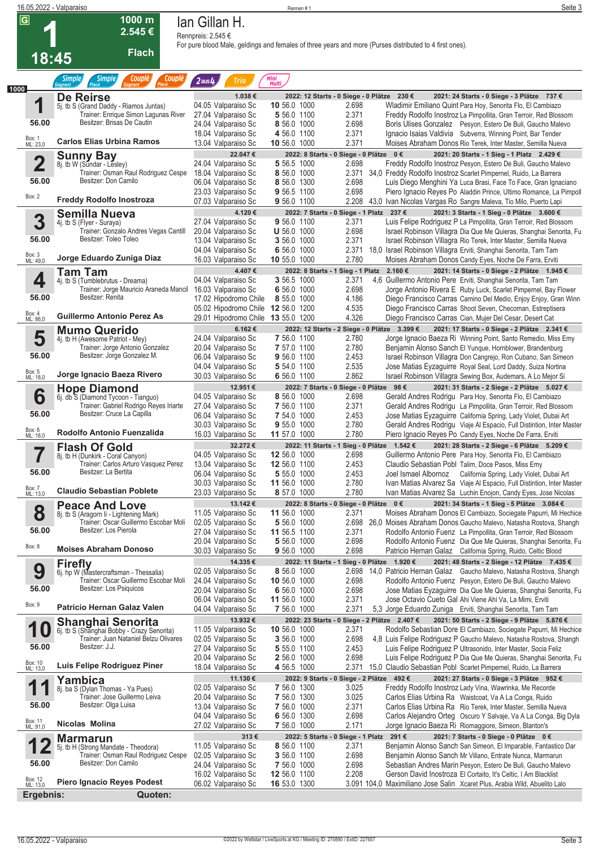| 16.05.2022 - Valparaiso |                                                                                |                                                             | Rennen #1                                                |                | Seite 3                                                                                                                                                                 |
|-------------------------|--------------------------------------------------------------------------------|-------------------------------------------------------------|----------------------------------------------------------|----------------|-------------------------------------------------------------------------------------------------------------------------------------------------------------------------|
| $\overline{G}$          | $1000$ m                                                                       | Ian Gillan H.                                               |                                                          |                |                                                                                                                                                                         |
|                         | 2.545€                                                                         | Rennpreis: 2.545 €                                          |                                                          |                |                                                                                                                                                                         |
| 18:45                   | <b>Flach</b>                                                                   |                                                             |                                                          |                | For pure blood Male, geldings and females of three years and more (Purses distributed to 4 first ones).                                                                 |
| 1000                    | Couplé<br><b>Simple</b><br>Couple<br><b>Simple</b><br>Placé                    | $2$ aus $4$<br>Trio                                         | Mini<br>Multi                                            |                |                                                                                                                                                                         |
|                         | De Reirse                                                                      | 1.038€                                                      |                                                          |                | 2022: 12 Starts - 0 Siege - 0 Plätze 230 €<br>2021: 24 Starts - 0 Siege - 3 Plätze 737 €                                                                                |
| 1                       | 5j. tb S (Grand Daddy - Riamos Juntas)<br>Trainer: Enrique Simon Lagunas River | 04.05 Valparaiso Sc<br>27.04 Valparaiso Sc                  | 10 56.0 1000<br>5 56.0 1100                              | 2.698<br>2.371 | Wladimir Emiliano Quint Para Hoy, Senorita Flo, El Cambiazo<br>Freddy Rodolfo Inostroz La Pimpollita, Gran Terroir, Red Blossom                                         |
| 56.00                   | Besitzer: Brisas De Cautin                                                     | 24.04 Valparaiso Sc                                         | 8 56.0 1000                                              | 2.698          | Boris Ulises Gonzalez Pesyon, Estero De Buli, Gaucho Malevo                                                                                                             |
| Box: 1<br>ML: 23,0      | <b>Carlos Elias Urbina Ramos</b>                                               | 18.04 Valparaiso Sc                                         | 4 56.0 1100                                              | 2.371<br>2.371 | Ignacio Isaias Valdivia Subverra, Winning Point, Bar Tender                                                                                                             |
|                         | <b>Sunny Bay</b>                                                               | 13.04 Valparaiso Sc<br>22.047€                              | 10 56.0 1000<br>2022: 8 Starts - 0 Siege - 0 Plätze 0 €  |                | Moises Abraham Donos Rio Terek, Inter Master, Semilla Nueva<br>2021: 20 Starts - 1 Sieg - 1 Platz 2.429 €                                                               |
| $\overline{\mathbf{2}}$ | 8j. tb W (Sundar - Lesley)                                                     | 24.04 Valparaiso Sc                                         | 5 56.5 1000                                              | 2.698          | Freddy Rodolfo Inostroz Pesyon, Estero De Buli, Gaucho Malevo                                                                                                           |
| 56.00                   | Trainer: Osman Raul Rodriguez Cespe<br>Besitzer: Don Camilo                    | 18.04 Valparaiso Sc                                         | 8 56.0 1000<br>8 56.0 1300                               | 2.698          | 2.371 34,0 Freddy Rodolfo Inostroz Scarlet Pimpernel, Ruido, La Barrera                                                                                                 |
|                         |                                                                                | 06.04 Valparaiso Sc<br>23.03 Valparaiso Sc                  | 9 56.5 1100                                              | 2.698          | Luis Diego Menghini Ya Luca Brasi, Face To Face, Gran Ignaciano<br>Piero Ignacio Reyes Po Aladdin Prince, Ultimo Romance, La Pimpoll                                    |
| Box: 2                  | <b>Freddy Rodolfo Inostroza</b>                                                | 07.03 Valparaiso Sc                                         | 9 56.0 1100                                              |                | 2.208 43,0 Ivan Nicolas Vargas Ro Sangre Maleva, Tio Milo, Puerto Lapi                                                                                                  |
| 3                       | <b>Semilla Nueva</b>                                                           | 4.120€<br>27.04 Valparaiso Sc                               | 2022: 7 Starts - 0 Siege - 1 Platz 237 €                 |                | 2021: 3 Starts - 1 Sieg - 0 Plätze 3.600 €                                                                                                                              |
|                         | 4j. tb S (Flyer - Suraya)<br>Trainer: Gonzalo Andres Vegas Cantill             | 20.04 Valparaiso Sc                                         | 9 56.0 1100<br>$U$ 56.0 1000                             | 2.371<br>2.698 | Luis Felipe Rodriguez P La Pimpollita, Gran Terroir, Red Blossom<br>Israel Robinson Villagra Dia Que Me Quieras, Shanghai Senorita, Fu                                  |
| 56.00                   | Besitzer: Toleo Toleo                                                          | 13.04 Valparaiso Sc                                         | 3 56.0 1000                                              | 2.371          | Israel Robinson Villagra Rio Terek, Inter Master, Semilla Nueva                                                                                                         |
| Box: 3<br>ML: 49,0      | Jorge Eduardo Zuniga Diaz                                                      | 04.04 Valparaiso Sc                                         | 6 56.0 1000<br>10 55.0 1000                              | 2.780          | 2.371 18,0 Israel Robinson Villagra Erviti, Shanghai Senorita, Tam Tam<br>Moises Abraham Donos Candy Eyes, Noche De Farra, Erviti                                       |
|                         | <b>Tam Tam</b>                                                                 | 16.03 Valparaiso Sc<br>4.407€                               | 2022: 8 Starts - 1 Sieg - 1 Platz 2.160 €                |                | 2021: 14 Starts - 0 Siege - 2 Plätze 1.945 €                                                                                                                            |
| 4                       | 4j. tb S (Tumblebrutus - Dreama)                                               | 04.04 Valparaiso Sc                                         | 3 56.5 1000                                              | 2.371          | 4,6 Guillermo Antonio Pere Erviti, Shanghai Senorita, Tam Tam                                                                                                           |
|                         | Trainer: Jorge Mauricio Araneda Mancil<br>Besitzer: Renita                     | 16.03 Valparaiso Sc                                         | 6 56.0 1000                                              | 2.698          | Jorge Antonio Rivera E Ruby Luck, Scarlet Pimpernel, Bay Flower                                                                                                         |
| 56.00                   |                                                                                | 17.02 Hipodromo Chile<br>05.02 Hipodromo Chile 12 56.0 1200 | 8 55.0 1000                                              | 4.186<br>4.535 | Diego Francisco Carras Camino Del Medio, Enjoy Enjoy, Gran Winn<br>Diego Francisco Carras Shoot Seven, Checoman, Estreptisera                                           |
| Box: 4<br>ML: 86,0      | <b>Guillermo Antonio Perez As</b>                                              | 29.01 Hipodromo Chile 13 55.0 1200                          |                                                          | 4.326          | Diego Francisco Carras Cian, Mujer Del Cesar, Desert Cat                                                                                                                |
|                         | <b>Mumo Querido</b>                                                            | 6.162€                                                      |                                                          |                | 2022: 12 Starts - 2 Siege - 0 Plätze 3.399 €<br>2021: 17 Starts - 0 Siege - 2 Plätze 2.341 €                                                                            |
| 5                       | 4j. tb H (Awesome Patriot - Mey)<br>Trainer: Jorge Antonio Gonzalez            | 24.04 Valparaiso Sc<br>20.04 Valparaiso Sc                  | 7 56.0 1100<br>7 57.0 1100                               | 2.780<br>2.780 | Jorge Ignacio Baeza Ri Winning Point, Santo Remedio, Miss Emy<br>Benjamin Alonso Sanch El Yunque, Hornblower, Brandenburg                                               |
| 56.00                   | Besitzer: Jorge Gonzalez M.                                                    | 06.04 Valparaiso Sc                                         | 9 56.0 1100                                              | 2.453          | Israel Robinson Villagra Don Cangrejo, Ron Cubano, San Simeon                                                                                                           |
| Box: 5<br>ML: 18,0      | Jorge Ignacio Baeza Rivero                                                     | 04.04 Valparaiso Sc                                         | 5 54.0 1100<br>6 56.0 1100                               | 2.535<br>2.862 | Jose Matias Eyzaguirre Royal Seal, Lord Daddy, Suiza Nortina                                                                                                            |
|                         |                                                                                | 30.03 Valparaiso Sc<br>12.951€                              | 2022: 7 Starts - 0 Siege - 0 Plätze 98 €                 |                | Israel Robinson Villagra Sewing Box, Audemars, A Lo Mejor Si<br>2021: 31 Starts - 2 Siege - 2 Plätze 5.027 €                                                            |
| 6                       | <b>Hope Diamond</b><br>6j. db S (Diamond Tycoon - Tianguo)                     | 04.05 Valparaiso Sc                                         | 8 56.0 1000                                              | 2.698          | Gerald Andres Rodrigu Para Hoy, Senorita Flo, El Cambiazo                                                                                                               |
| 56.00                   | Trainer: Gabriel Rodrigo Reyes Iriarte<br>Besitzer: Cruce La Capilla           | 27.04 Valparaiso Sc                                         | 7 56.0 1100                                              | 2.371          | Gerald Andres Rodrigu La Pimpollita, Gran Terroir, Red Blossom                                                                                                          |
|                         |                                                                                | 06.04 Valparaiso Sc<br>30.03 Valparaiso Sc                  | 7 54.0 1000<br>9 55.0 1000                               | 2.453<br>2.780 | Jose Matias Eyzaguirre California Spring, Lady Violet, Dubai Art<br>Gerald Andres Rodrigu Viaje Al Espacio, Full Distintion, Inter Master                               |
| Box: 6<br>ML: 18,0      | Rodolfo Antonio Fuenzalida                                                     | 16.03 Valparaiso Sc                                         | 11 57.0 1000                                             | 2.780          | Piero Ignacio Reyes Po Candy Eyes, Noche De Farra, Erviti                                                                                                               |
| 7                       | <b>Flash Of Gold</b>                                                           | 32.272€<br>04.05 Valparaiso Sc                              | 12 56.0 1000                                             | 2.698          | 2022: 11 Starts - 1 Sieg - 0 Plätze 1.542 €<br>2021: 28 Starts - 2 Siege - 6 Plätze 5.209 €<br>Guillermo Antonio Pere Para Hoy, Senorita Flo, El Cambiazo               |
|                         | 8. b H (Dunkirk - Coral Canyon)<br>Trainer: Carlos Arturo Vasquez Perez        | 13.04 Valparaiso Sc                                         | 12 56.0 1100                                             | 2.453          | Claudio Sebastian Pobl Talim, Doce Pasos, Miss Emy                                                                                                                      |
| 56.00                   | Besitzer: La Bertita                                                           | 06.04 Valparaiso Sc                                         | 5 55.0 1000                                              | 2.453          | Joel Ismael Albornoz California Spring, Lady Violet, Dubai Art                                                                                                          |
| Box: 7<br>ML: 13,0      | <b>Claudio Sebastian Poblete</b>                                               | 30.03 Valparaiso Sc<br>23.03 Valparaiso Sc                  | 11 56.0 1000<br>8 57.0 1000                              | 2.780<br>2.780 | Ivan Matias Alvarez Sa Viaje Al Espacio, Full Distintion, Inter Master<br>Ivan Matias Alvarez Sa Luchin Enojon, Candy Eyes, Jose Nicolas                                |
|                         | <b>Peace And Love</b>                                                          | 13.142€                                                     | 2022: 8 Starts - 0 Siege - 0 Plätze 0 €                  |                | 2021: 34 Starts - 1 Sieg - 5 Plätze 3.084 €                                                                                                                             |
| 8                       | 8j. tb S (Aragorn Ii - Lightening Mark)                                        | 11.05 Valparaiso Sc                                         | 11 56.0 1000                                             | 2.371          | Moises Abraham Donos El Cambiazo, Sociegate Papurri, Mi Hechice                                                                                                         |
| 56.00                   | Trainer: Oscar Guillermo Escobar Moli<br>Besitzer: Los Pierola                 | 02.05 Valparaiso Sc<br>27.04 Valparaiso Sc                  | 5 56.0 1000<br>11 56.5 1100                              | 2.371          | 2.698 26,0 Moises Abraham Donos Gaucho Malevo, Natasha Rostova, Shangh<br>Rodolfo Antonio Fuenz La Pimpollita, Gran Terroir, Red Blossom                                |
| Box: 8                  |                                                                                | 20.04 Valparaiso Sc                                         | 5 56.0 1000                                              | 2.698          | Rodolfo Antonio Fuenz Dia Que Me Quieras, Shanghai Senorita, Fu                                                                                                         |
|                         | <b>Moises Abraham Donoso</b>                                                   | 30.03 Valparaiso Sc                                         | 9 56.0 1000                                              | 2.698          | Patricio Hernan Galaz California Spring, Ruido, Celtic Blood                                                                                                            |
| 9                       | <b>Firefly</b><br>6j. hp W (Mastercraftsman - Thessalia)                       | 14.335 €<br>02.05 Valparaiso Sc                             | 8 56.0 1000                                              |                | 2022: 11 Starts - 1 Sieg - 0 Plätze 1.920 €<br>2021: 48 Starts - 2 Siege - 12 Plätze 7.435 €<br>2.698 14,0 Patricio Hernan Galaz Gaucho Malevo, Natasha Rostova, Shangh |
|                         | Trainer: Oscar Guillermo Escobar Moli                                          | 24.04 Valparaiso Sc                                         | 10 56.0 1000                                             | 2.698          | Rodolfo Antonio Fuenz Pesyon, Estero De Buli, Gaucho Malevo                                                                                                             |
| 56.00                   | Besitzer: Los Psiquicos                                                        | 20.04 Valparaiso Sc                                         | 6 56.0 1000                                              | 2.698          | Jose Matias Eyzaguirre Dia Que Me Quieras, Shanghai Senorita, Fu                                                                                                        |
| Box: 9                  | Patricio Hernan Galaz Valen                                                    | 06.04 Valparaiso Sc<br>04.04 Valparaiso Sc                  | 11 56.0 1000<br>7 56.0 1000                              | 2.371<br>2.371 | Jose Octavio Cueto Gal Ahi Viene Ahi Va, La Mimi, Erviti<br>5,3 Jorge Eduardo Zuniga Erviti, Shanghai Senorita, Tam Tam                                                 |
|                         | <b>Shanghai Senorita</b>                                                       | 13.932 €                                                    |                                                          |                | 2022: 23 Starts - 0 Siege - 2 Plätze 2.407 €<br>2021: 50 Starts - 2 Siege - 9 Plätze 5.876 €                                                                            |
| 10                      | 6j. tb S (Shanghai Bobby - Crazy Senorita)                                     | 11.05 Valparaiso Sc                                         | 10 56.0 1000                                             | 2.371          | Rodolfo Sebastian Dore El Cambiazo, Sociegate Papurri, Mi Hechice                                                                                                       |
| 56.00                   | Trainer: Juan Nataniel Belzu Olivares<br>Besitzer: J.J.                        | 02.05 Valparaiso Sc<br>27.04 Valparaiso Sc                  | <b>3</b> 56.0 1000<br>5 55.0 1100                        | 2.698<br>2.453 | 4,8 Luis Felipe Rodriguez P Gaucho Malevo, Natasha Rostova, Shangh<br>Luis Felipe Rodriguez P Ultrasonido, Inter Master, Socia Feliz                                    |
|                         |                                                                                | 20.04 Valparaiso Sc                                         | 2 56.0 1000                                              | 2.698          | Luis Felipe Rodriguez P Dia Que Me Quieras, Shanghai Senorita, Fu                                                                                                       |
| Box: 10<br>ML: 13,0     | Luis Felipe Rodriguez Piner                                                    | 18.04 Valparaiso Sc                                         | 4 56.5 1000                                              |                | 2.371 15,0 Claudio Sebastian Pobl Scarlet Pimpernel, Ruido, La Barrera                                                                                                  |
| 1                       | Yambica<br>8j. ba S (Dylan Thomas - Ya Pues)                                   | 11.130 €<br>02.05 Valparaiso Sc                             | 2022: 9 Starts - 0 Siege - 2 Plätze 492 €<br>7 56.0 1300 | 3.025          | 2021: 27 Starts - 0 Siege - 3 Plätze 952 €<br>Freddy Rodolfo Inostroz Lady Vina, Wawrinka, Me Recorde                                                                   |
|                         | Trainer: Jose Guillermo Leiva                                                  | 20.04 Valparaiso Sc                                         | 7 56.0 1300                                              | 3.025          | Carlos Elias Urbina Ra Waistcoat, Va A La Conga, Ruido                                                                                                                  |
| 56.00                   | Besitzer: Olga Luisa                                                           | 13.04 Valparaiso Sc                                         | 7 56.0 1000                                              | 2.371          | Carlos Elias Urbina Ra Rio Terek, Inter Master, Semilla Nueva                                                                                                           |
| Box: 11<br>ML: 91,0     | Nicolas Molina                                                                 | 04.04 Valparaiso Sc<br>27.02 Valparaiso Sc                  | 6 56.0 1300<br>7 56.0 1000                               | 2.698<br>2.171 | Carlos Alejandro Orteg Oscuro Y Salvaje, Va A La Conga, Big Dyla<br>Jorge Ignacio Baeza Ri Riomaggiore, Simeon, Blanton's                                               |
|                         | <b>Marmarun</b>                                                                | 313€                                                        | 2022: 5 Starts - 0 Siege - 1 Platz 291 €                 |                | 2021: 7 Starts - 0 Siege - 0 Plätze 0 €                                                                                                                                 |
|                         | 5j. tb H (Strong Mandate - Theodora)                                           | 11.05 Valparaiso Sc                                         | 8 56.0 1100                                              | 2.371          | Benjamin Alonso Sanch San Simeon, El Imparable, Fantastico Dar                                                                                                          |
| 56.00                   | Trainer: Osman Raul Rodriguez Cespe<br>Besitzer: Don Camilo                    | 02.05 Valparaiso Sc<br>24.04 Valparaiso Sc                  | 3 56.0 1100<br>7 56.0 1000                               | 2.698<br>2.698 | Benjamin Alonso Sanch Mr Villano, Entrate Nunca, Marmarun<br>Sebastian Andres Marin Pesyon, Estero De Buli, Gaucho Malevo                                               |
|                         |                                                                                | 16.02 Valparaiso Sc                                         | 12 56.0 1100                                             | 2.208          | Gerson David Inostroza El Cortaito, It's Celtic, I Am Blacklist                                                                                                         |
| Box: 12<br>ML: 13,0     | <b>Piero Ignacio Reyes Podest</b>                                              | 06.02 Valparaiso Sc                                         | 16 53.0 1300                                             |                | 3.091 104,0 Maximiliano Jose Salin Xcaret Plus, Arabia Wild, Abuelito Lalo                                                                                              |
| Ergebnis:               | Quoten:                                                                        |                                                             |                                                          |                |                                                                                                                                                                         |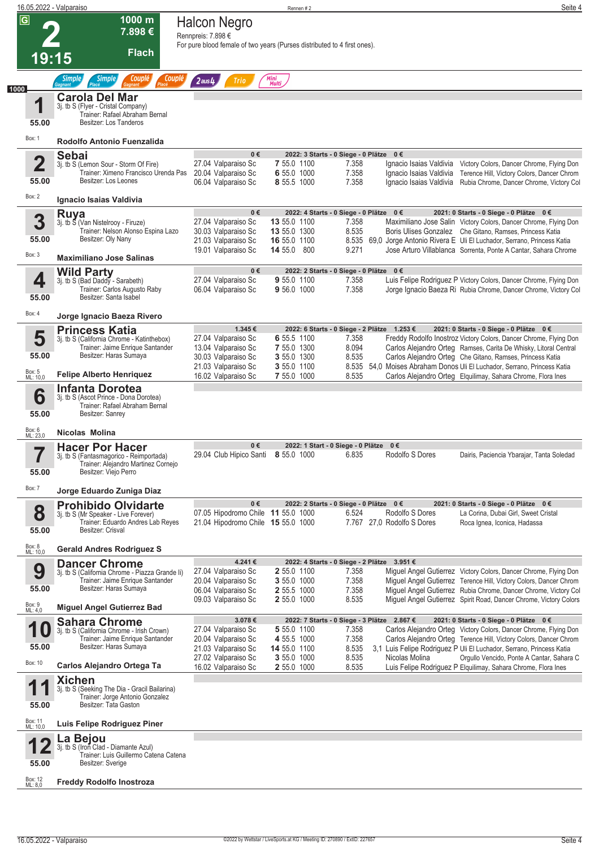| 16.05.2022 - Valparaiso |                                                                                                                        |                                                                          | Rennen #2                   |                                                                      | Seite 4                                                                                                                                       |
|-------------------------|------------------------------------------------------------------------------------------------------------------------|--------------------------------------------------------------------------|-----------------------------|----------------------------------------------------------------------|-----------------------------------------------------------------------------------------------------------------------------------------------|
| $\overline{G}$          | 1000 m                                                                                                                 | <b>Halcon Negro</b>                                                      |                             |                                                                      |                                                                                                                                               |
|                         | 7.898€                                                                                                                 | Rennpreis: 7.898 €                                                       |                             |                                                                      |                                                                                                                                               |
|                         |                                                                                                                        | For pure blood female of two years (Purses distributed to 4 first ones). |                             |                                                                      |                                                                                                                                               |
| 19:15                   | <b>Flach</b>                                                                                                           |                                                                          |                             |                                                                      |                                                                                                                                               |
|                         | Couplé<br>Couplé<br>Simple<br><b>Simple</b>                                                                            | $2$ aus $4$<br>Trio                                                      | Mini<br>Multi               |                                                                      |                                                                                                                                               |
| 1000                    | <b>Carola Del Mar</b>                                                                                                  |                                                                          |                             |                                                                      |                                                                                                                                               |
| 1                       | 3j. tb S (Flyer - Cristal Company)<br>Trainer: Rafael Abraham Bernal                                                   |                                                                          |                             |                                                                      |                                                                                                                                               |
| 55.00                   | Besitzer: Los Tanderos                                                                                                 |                                                                          |                             |                                                                      |                                                                                                                                               |
| Box: 1                  | Rodolfo Antonio Fuenzalida                                                                                             | $0 \in$                                                                  |                             | 2022: 3 Starts - 0 Siege - 0 Plätze 0 €                              |                                                                                                                                               |
| $\overline{\mathbf{2}}$ | <b>Sebai</b><br>3j. tb S (Lemon Sour - Storm Of Fire)                                                                  | 27.04 Valparaiso Sc                                                      | 7 55.0 1100                 | Ignacio Isaias Valdivia<br>7.358                                     | Victory Colors, Dancer Chrome, Flying Don                                                                                                     |
| 55.00                   | Trainer: Ximeno Francisco Urenda Pas<br>Besitzer: Los Leones                                                           | 20.04 Valparaiso Sc<br>06.04 Valparaiso Sc                               | 6 55.0 1000<br>8 55.5 1000  | 7.358<br>Ignacio Isaias Valdivia<br>7.358<br>Ignacio Isaias Valdivia | Terence Hill, Victory Colors, Dancer Chrom<br>Rubia Chrome, Dancer Chrome, Victory Col                                                        |
| Box: 2                  |                                                                                                                        |                                                                          |                             |                                                                      |                                                                                                                                               |
|                         | Ignacio Isaias Valdivia                                                                                                | $0 \in$                                                                  |                             | 2022: 4 Starts - 0 Siege - 0 Plätze 0 €                              | 2021: 0 Starts - 0 Siege - 0 Plätze 0 €                                                                                                       |
| 3                       | Ruya<br>3j. tb 5 (Van Nistelrooy - Firuze)                                                                             | 27.04 Valparaiso Sc                                                      | 13 55.0 1100                | 7.358                                                                | Maximiliano Jose Salin Victory Colors, Dancer Chrome, Flying Don                                                                              |
| 55.00                   | Trainer: Nelson Alonso Espina Lazo<br>Besitzer: Oly Nany                                                               | 30.03 Valparaiso Sc                                                      | 13 55.0 1300                | 8.535                                                                | Boris Ulises Gonzalez Che Gitano, Ramses, Princess Katia                                                                                      |
|                         |                                                                                                                        | 21.03 Valparaiso Sc<br>19.01 Valparaiso Sc                               | 16 55.0 1100<br>14 55.0 800 | 9.271                                                                | 8.535 69,0 Jorge Antonio Rivera E Uli El Luchador, Serrano, Princess Katia<br>Jose Arturo Villablanca Sorrenta, Ponte A Cantar, Sahara Chrome |
| Box: 3                  | <b>Maximiliano Jose Salinas</b>                                                                                        |                                                                          |                             |                                                                      |                                                                                                                                               |
|                         | <b>Wild Party</b><br>3j. tb S (Bad Daddy - Sarabeth)                                                                   | 0€<br>27.04 Valparaiso Sc                                                | 9 55.0 1100                 | 2022: 2 Starts - 0 Siege - 0 Plätze 0 €<br>7.358                     | Luis Felipe Rodriguez P Victory Colors, Dancer Chrome, Flying Don                                                                             |
| 4                       | Trainer: Carlos Augusto Raby                                                                                           | 06.04 Valparaiso Sc                                                      | 9 56.0 1000                 | 7.358                                                                | Jorge Ignacio Baeza Ri Rubia Chrome, Dancer Chrome, Victory Col                                                                               |
| 55.00                   | Besitzer: Santa Isabel                                                                                                 |                                                                          |                             |                                                                      |                                                                                                                                               |
| Box: 4                  | Jorge Ignacio Baeza Rivero                                                                                             |                                                                          |                             |                                                                      |                                                                                                                                               |
| 5                       | <b>Princess Katia</b>                                                                                                  | 1.345€<br>27.04 Valparaiso Sc                                            | 6 55.5 1100                 | 2022: 6 Starts - 0 Siege - 2 Plätze 1.253 €<br>7.358                 | 2021: 0 Starts - 0 Siege - 0 Plätze 0 €<br>Freddy Rodolfo Inostroz Victory Colors, Dancer Chrome, Flying Don                                  |
|                         | 3j. tb S (California Chrome - Katinthebox)<br>Trainer: Jaime Enrique Santander                                         | 13.04 Valparaiso Sc                                                      | 7 55.0 1300                 | 8.094                                                                | Carlos Alejandro Orteg Ramses, Carita De Whisky, Litoral Central                                                                              |
| 55.00                   | Besitzer: Haras Sumaya                                                                                                 | 30.03 Valparaiso Sc                                                      | 3 55.0 1300                 | 8.535                                                                | Carlos Alejandro Orteg Che Gitano, Ramses, Princess Katia                                                                                     |
| Box: 5<br>ML: 10,0      | <b>Felipe Alberto Henriquez</b>                                                                                        | 21.03 Valparaiso Sc<br>16.02 Valparaiso Sc                               | 3 55.0 1100<br>7 55.0 1000  | 8.535                                                                | 8.535 54,0 Moises Abraham Donos Uli El Luchador, Serrano, Princess Katia<br>Carlos Alejandro Orteg Elquilimay, Sahara Chrome, Flora Ines      |
| 6<br>55.00              | <b>Infanta Dorotea</b><br>3j. tb S (Ascot Prince - Dona Dorotea)<br>Trainer: Rafael Abraham Bernal<br>Besitzer: Sanrey |                                                                          |                             |                                                                      |                                                                                                                                               |
| Box: 6<br>ML: 23,0      | Nicolas Molina                                                                                                         |                                                                          |                             |                                                                      |                                                                                                                                               |
| $\overline{\textbf{z}}$ | <b>Hacer Por Hacer</b>                                                                                                 | 0€                                                                       |                             | 2022: 1 Start - 0 Siege - 0 Plätze 0 €                               |                                                                                                                                               |
| 55.00                   | 3). to S (Fantasmagonco - Reimportada)<br>Trainer: Alejandro Martinez Cornejo<br>Besitzer: Viejo Perro                 | 29.04 Club Hipico Santi 8 55.0 1000                                      |                             | 6.835<br>Rodolfo S Dores                                             | Dairis, Paciencia Ybarajar, Tanta Soledad                                                                                                     |
| Box: 7                  | Jorge Eduardo Zuniga Diaz                                                                                              |                                                                          |                             |                                                                      |                                                                                                                                               |
|                         | <b>Prohibido Olvidarte</b>                                                                                             | $0 \in$                                                                  |                             | 2022: 2 Starts - 0 Siege - 0 Plätze 0 €                              | 2021: 0 Starts - 0 Siege - 0 Plätze 0 €                                                                                                       |
| 8<br>55.00              | 3j. tb S (Mr Speaker - Live Forever)<br>Trainer: Eduardo Andres Lab Reyes<br>Besitzer: Crisval                         | 07.05 Hipodromo Chile 11 55.0 1000<br>21.04 Hipodromo Chile 15 55.0 1000 |                             | Rodolfo S Dores<br>6.524<br>7.767 27.0 Rodolfo S Dores               | La Corina, Dubai Girl, Sweet Cristal<br>Roca Ignea, Iconica, Hadassa                                                                          |
| Box: 8<br>ML: 10,0      | <b>Gerald Andres Rodriguez S</b>                                                                                       |                                                                          |                             |                                                                      |                                                                                                                                               |
|                         | <b>Dancer Chrome</b>                                                                                                   | 4.241€                                                                   |                             | 2022: 4 Starts - 0 Siege - 2 Plätze 3.951 €                          |                                                                                                                                               |
| 9                       | 3j. tb S (California Chrome - Piazza Grande li)<br>Trainer: Jaime Enrique Santander                                    | 27.04 Valparaiso Sc<br>20.04 Valparaiso Sc                               | 2 55.0 1100<br>3 55.0 1000  | 7.358<br>7.358                                                       | Miguel Angel Gutierrez Victory Colors, Dancer Chrome, Flying Don<br>Miquel Angel Gutierrez Terence Hill, Victory Colors, Dancer Chrom         |
| 55.00                   | Besitzer: Haras Sumaya                                                                                                 | 06.04 Valparaiso Sc                                                      | 2 55.5 1000                 | 7.358                                                                | Miguel Angel Gutierrez Rubia Chrome, Dancer Chrome, Victory Col                                                                               |
| Box: 9<br>ML: 4,0       | <b>Miguel Angel Gutierrez Bad</b>                                                                                      | 09.03 Valparaiso Sc                                                      | 2 55.0 1000                 | 8.535                                                                | Miguel Angel Gutierrez Spirit Road, Dancer Chrome, Victory Colors                                                                             |
| И                       | <b>Sahara Chrome</b>                                                                                                   | 3.078€                                                                   |                             | 2022: 7 Starts - 0 Siege - 3 Plätze 2.867 €                          | 2021: 0 Starts - 0 Siege - 0 Plätze 0 €                                                                                                       |
| 1 U                     | 3j. tb S (California Chrome - Irish Crown)<br>Trainer: Jaime Enrique Santander                                         | 27.04 Valparaiso Sc<br>20.04 Valparaiso Sc                               | 5 55.0 1100<br>4 55.5 1000  | 7.358<br>7.358                                                       | Carlos Alejandro Orteg Victory Colors, Dancer Chrome, Flying Don<br>Carlos Alejandro Orteg Terence Hill, Victory Colors, Dancer Chrom         |
| 55.00                   | Besitzer: Haras Sumaya                                                                                                 | 21.03 Valparaiso Sc                                                      | 14 55.0 1100                | 8.535                                                                | 3,1 Luis Felipe Rodriguez P Uli El Luchador, Serrano, Princess Katia                                                                          |
| Box: 10                 | Carlos Alejandro Ortega Ta                                                                                             | 27.02 Valparaiso Sc<br>16.02 Valparaiso Sc                               | 3 55.0 1000<br>2 55.0 1000  | 8.535<br>Nicolas Molina<br>8.535                                     | Orgullo Vencido, Ponte A Cantar, Sahara C<br>Luis Felipe Rodriguez P Elquilimay, Sahara Chrome, Flora Ines                                    |
|                         | <b>Xichen</b>                                                                                                          |                                                                          |                             |                                                                      |                                                                                                                                               |
| 55.00                   | 3j. tb S (Seeking The Dia - Gracil Bailarina)<br>Trainer: Jorge Antonio Gonzalez<br>Besitzer: Tata Gaston              |                                                                          |                             |                                                                      |                                                                                                                                               |
| Box: 11<br>ML: 10,0     | Luis Felipe Rodriguez Piner                                                                                            |                                                                          |                             |                                                                      |                                                                                                                                               |
|                         | La Bejou                                                                                                               |                                                                          |                             |                                                                      |                                                                                                                                               |
| 55.00                   | 3j. tb S (Iron Clad - Diamante Azul)<br>Trainer: Luis Guillermo Catena Catena<br>Besitzer: Sverige                     |                                                                          |                             |                                                                      |                                                                                                                                               |
| Box: 12<br>ML: 8,0      | <b>Freddy Rodolfo Inostroza</b>                                                                                        |                                                                          |                             |                                                                      |                                                                                                                                               |
|                         |                                                                                                                        |                                                                          |                             |                                                                      |                                                                                                                                               |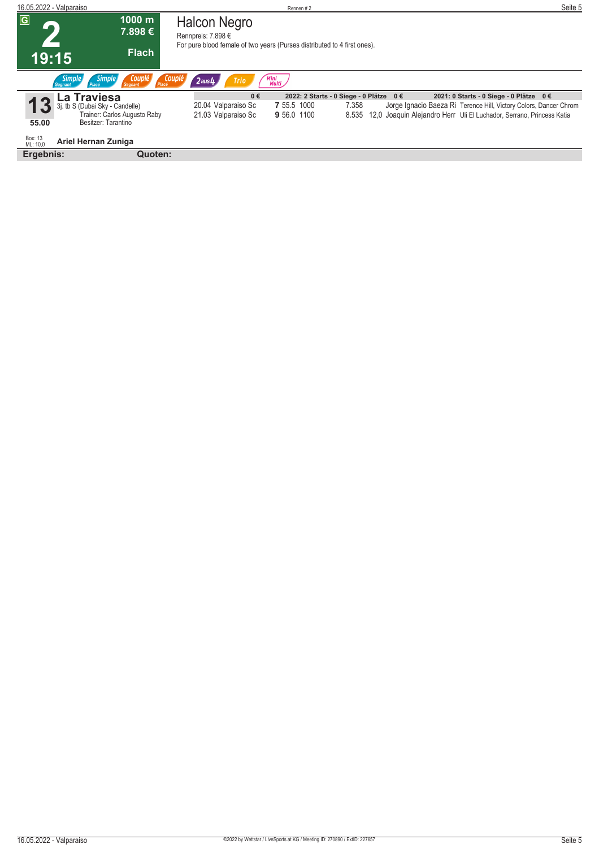| 16.05.2022 - Valparaiso         |                                                             |                                                                                                                | Rennen#2      |                                         |                                                                      | Seite 5 |
|---------------------------------|-------------------------------------------------------------|----------------------------------------------------------------------------------------------------------------|---------------|-----------------------------------------|----------------------------------------------------------------------|---------|
| $\overline{G}$                  | 1000 m<br>7.898 €                                           | Halcon Negro<br>Rennpreis: 7.898 €<br>For pure blood female of two years (Purses distributed to 4 first ones). |               |                                         |                                                                      |         |
| 19:15                           | <b>Flach</b>                                                |                                                                                                                |               |                                         |                                                                      |         |
| <b>Simple</b><br><b>Gagnant</b> | <b>Simple</b><br>Couplé<br>Placé<br>Placé<br><b>Gagnant</b> | Couplé<br>$2$ aus $4$<br>Trio                                                                                  | Mini<br>Multi |                                         |                                                                      |         |
| -a                              | <b>Traviesa</b>                                             | 0€                                                                                                             |               | 2022: 2 Starts - 0 Siege - 0 Plätze 0 € | 2021: 0 Starts - 0 Siege - 0 Plätze 0 €                              |         |
|                                 | i. tb S (Dubai Sky - Candelle)                              | 20.04 Valparaiso Sc                                                                                            | 7 55.5 1000   | 7.358                                   | Jorge Ignacio Baeza Ri Terence Hill, Victory Colors, Dancer Chrom    |         |
| 55.00                           | Trainer: Carlos Augusto Raby<br>Besitzer: Tarantino         | 21.03 Valparaiso Sc                                                                                            | 9 56.0 1100   | 8.535                                   | 12,0 Joaquin Alejandro Herr Uli El Luchador, Serrano, Princess Katia |         |
| Box: 13<br>ML: 10,0             | Ariel Hernan Zuniga                                         |                                                                                                                |               |                                         |                                                                      |         |
| Ergebnis:                       | Quoten:                                                     |                                                                                                                |               |                                         |                                                                      |         |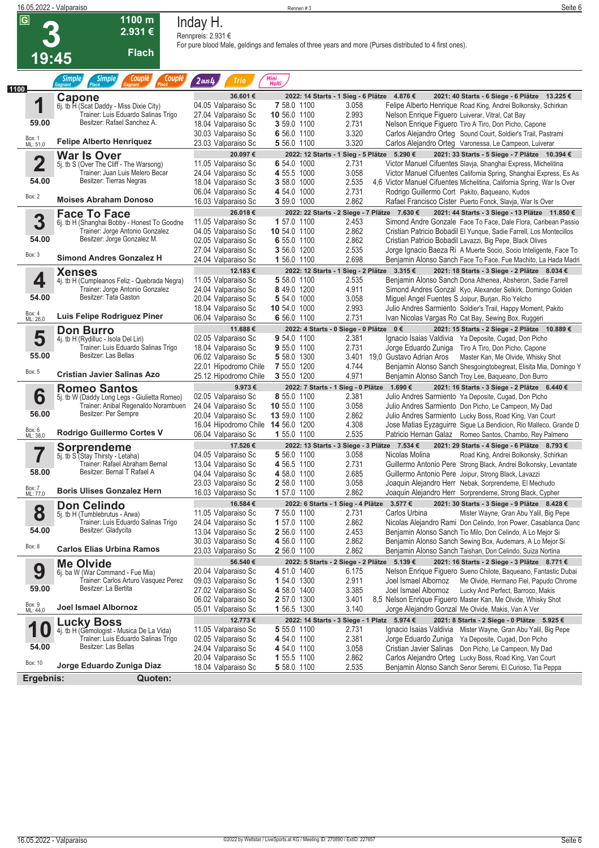| $\overline{\mathsf{G}}$<br>1100 m<br>Inday H.<br>2.931€<br>Rennpreis: 2.931 €<br>For pure blood Male, geldings and females of three years and more (Purses distributed to 4 first ones).<br><b>Flach</b><br>19:45<br><b>Couplé</b><br><b>Simple</b><br><b>Couplé</b><br>Mini<br>Multi<br><b>Simple</b><br>$2$ aus $4$<br><b>Trio</b><br>1100<br>36.601€<br>2021: 40 Starts - 6 Siege - 6 Plätze 13.225 €<br>2022: 14 Starts - 1 Sieg - 6 Plätze 4.876 €<br>Capone<br>1<br>04.05 Valparaiso Sc<br>7 58.0 1100<br>3.058<br>Felipe Alberto Henrique Road King, Andrei Bolkonsky, Schirkan<br>6j. tb H (Scat Daddy - Miss Dixie City)<br>Trainer: Luis Eduardo Salinas Trigo<br>10 56.0 1100<br>2.993<br>27.04 Valparaiso Sc<br>Nelson Enrique Figuero Luiverar, Vitral, Cat Bay<br>Besitzer: Rafael Sanchez A.<br>59.00<br>2.731<br>18.04 Valparaiso Sc<br>3 59.0 1100<br>Nelson Enrique Figuero Tiro A Tiro, Don Picho, Capone<br>3.320<br>30.03 Valparaiso Sc<br>6 56.0 1100<br>Carlos Alejandro Orteg Sound Court, Soldier's Trail, Pastrami<br>Box: 1<br>ML: 51,0<br><b>Felipe Alberto Henriquez</b><br>3.320<br>23.03 Valparaiso Sc<br>5 56.0 1100<br>Carlos Alejandro Orteg Varonessa, Le Campeon, Luiverar<br>20.097€<br>2022: 12 Starts - 1 Sieg - 5 Plätze 5.290 €<br>2021: 33 Starts - 5 Siege - 7 Plätze 10.394 €<br><b>War Is Over</b><br>$\overline{\mathbf{2}}$<br>Victor Manuel Cifuentes Slavja, Shanghai Express, Michelitina<br>11.05 Valparaiso Sc<br>6 54.0 1000<br>2.731<br>5j. tb S (Over The Cliff - The Warsong)<br>Trainer: Juan Luis Melero Becar<br>3.058<br>24.04 Valparaiso Sc<br>4 55.5 1000<br>Victor Manuel Cifuentes California Spring, Shanghai Express, Es As<br>Besitzer: Tierras Negras<br>54.00<br>2.535<br>3 58.0 1000<br>18.04 Valparaiso Sc<br>4,6 Victor Manuel Cifuentes Michelitina, California Spring, War Is Over<br>2.731<br>4 54.0 1000<br>Rodrigo Guillermo Cort Pakito, Baqueano, Kudos<br>06.04 Valparaiso Sc<br>Box: 2<br><b>Moises Abraham Donoso</b><br>2.862<br>16.03 Valparaiso Sc<br>3 59.0 1000<br>Rafael Francisco Cister Puerto Fonck, Slavja, War Is Over<br>26.018€<br>2022: 22 Starts - 2 Siege - 7 Plätze 7.630 €<br>2021: 44 Starts - 3 Siege - 13 Plätze 11.850 €<br><b>Face To Face</b><br>3<br>11.05 Valparaiso Sc<br>1 57.0 1100<br>2.453<br>Simond Andre Gonzale Face To Face, Dale Flora, Caribean Passio<br>6j. tb H (Shanghai Bobby - Honest To Goodne<br>Trainer: Jorge Antonio Gonzalez<br>04.05 Valparaiso Sc<br>2.862<br>10 54.0 1100<br>Cristian Patricio Bobadil El Yunque, Sadie Farrell, Los Montecillos<br>Besitzer: Jorge Gonzalez M.<br>54.00<br>2.862<br>02.05 Valparaiso Sc<br>6 55.0 1100<br>Cristian Patricio Bobadil Lavazzi, Big Pepe, Black Olives<br>2.535<br>27.04 Valparaiso Sc<br>3 56.0 1200<br>Jorge Ignacio Baeza Ri A Muerte Socio, Socio Inteligente, Face To<br>Box: 3<br><b>Simond Andres Gonzalez H</b><br>2.698<br>24.04 Valparaiso Sc<br>1 56.0 1100<br>Benjamin Alonso Sanch Face To Face, Fue Machito, La Hada Madri<br>2022: 12 Starts - 1 Sieg - 2 Plätze 3.315 €<br>12.183€<br>2021: 18 Starts - 3 Siege - 2 Plätze 8.034 €<br><b>Xenses</b><br>4<br>11.05 Valparaiso Sc<br>5 58.0 1100<br>2.535<br>Benjamin Alonso Sanch Dona Athenea, Absheron, Sadie Farrell<br>4j. tb H (Cumpleanos Feliz - Quebrada Negra)<br>Trainer: Jorge Antonio Gonzalez<br>8 49.0 1200<br>4.911<br>24.04 Valparaiso Sc<br>Simond Andres Gonzal Kyo, Alexander Selkirk, Domingo Golden<br>Besitzer: Tata Gaston<br>54.00<br>3.058<br>20.04 Valparaiso Sc<br>5 54.0 1000<br>Miguel Angel Fuentes S Joipur, Burjan, Rio Yelcho<br>2.993<br>10 54.0 1000<br>18.04 Valparaiso Sc<br>Julio Andres Sarmiento Soldier's Trail, Happy Moment, Pakito<br>Box: 4<br>ML: 26,0<br>Luis Felipe Rodriguez Piner<br>2.731<br>06.04 Valparaiso Sc<br>6 56.0 1100<br>Ivan Nicolas Vargas Ro Cat Bay, Sewing Box, Ruggeri<br>2022: 4 Starts - 0 Siege - 0 Plätze 0 €<br><b>Don Burro</b><br>11.688€<br>2021: 15 Starts - 2 Siege - 2 Plätze 10.889 €<br>5<br>9 54.0 1100<br>2.381<br>Ignacio Isaias Valdivia Ya Deposite, Cugad, Don Picho<br>02.05 Valparaiso Sc<br>4j. tb H (Rydilluc - Isola Del Liri)<br>Trainer: Luis Eduardo Salinas Trigo<br>18.04 Valparaiso Sc<br>9 55.0 1100<br>2.731<br>Jorge Eduardo Zuniga Tiro A Tiro, Don Picho, Capone<br>Besitzer: Las Bellas<br>55.00<br>3.401 19,0 Gustavo Adrian Aros<br>06.02 Valparaiso Sc<br>5 58.0 1300<br>Master Kan, Me Olvide, Whisky Shot<br>4.744<br>22.01 Hipodromo Chile<br>7 55.0 1200<br>Benjamin Alonso Sanch Shesgoingtobegreat, Elisita Mia, Domingo Y<br>Box: 5<br>Cristian Javier Salinas Azo<br>4.971<br>25.12 Hipodromo Chile<br>3 55.0 1200<br>Benjamin Alonso Sanch Troy Lee, Baqueano, Don Burro<br>9.973€<br>2022: 7 Starts - 1 Sieg - 0 Plätze 1.690 €<br>2021: 16 Starts - 3 Siege - 2 Plätze 6.440 €<br><b>Romeo Santos</b><br>6<br>8 55.0 1100<br>2.381<br>02.05 Valparaiso Sc<br>Julio Andres Sarmiento Ya Deposite, Cugad, Don Picho<br>5j. tb W (Daddy Long Legs - Giulietta Romeo)<br>Trainer: Anibal Regenaldo Norambuen<br>3.058<br>24.04 Valparaiso Sc<br>10 55.0 1100<br>Julio Andres Sarmiento Don Picho, Le Campeon, My Dad<br>Besitzer: Per Sempre<br>56.00<br>2.862<br>20.04 Valparaiso Sc<br>13 59.0 1100<br>Julio Andres Sarmiento Lucky Boss, Road King, Van Court<br>4.308<br>16.04 Hipodromo Chile 14 56.0 1200<br>Jose Matias Eyzaguirre Sigue La Bendicion, Rio Malleco, Grande D<br>Box: 6<br>ML: 38,0<br>Rodrigo Guillermo Cortes V<br>2.535<br>06.04 Valparaiso Sc<br>1 55.0 1100<br>Patricio Hernan Galaz Romeo Santos, Chambo, Rey Palmeno<br>17.526€<br>2022: 13 Starts - 3 Siege - 3 Plätze 7.534 €<br>2021: 29 Starts - 4 Siege - 6 Plätze 8.793 €<br>Sorprendeme<br>۳.<br>5j. tb S <sup>"</sup> (Stay Thirsty - Letaha)<br>04.05 Valparaiso Sc<br>5 56.0 1100<br>3.058<br>Nicolas Molina<br>Road King, Andrei Bolkonsky, Schirkan<br>Trainer: Rafael Abraham Bernal<br>13.04 Valparaiso Sc<br>4 56.5 1100<br>2.731<br>Guillermo Antonio Pere Strong Black, Andrei Bolkonsky, Levantate<br>Besitzer: Bernal T Rafael A<br>58.00<br>04.04 Valparaiso Sc<br>4 58.0 1100<br>2.685<br>Guillermo Antonio Pere Joipur, Strong Black, Lavazzi<br>3.058<br>23.03 Valparaiso Sc<br>2 58.0 1100<br>Joaquin Alejandro Herr Nebak, Sorprendeme, El Mechudo<br>Box: 7<br>ML: 77,0<br><b>Boris Ulises Gonzalez Hern</b><br>2.862<br>16.03 Valparaiso Sc<br>1 57.0 1100<br>Joaquin Alejandro Herr Sorprendeme, Strong Black, Cypher<br>16.584€<br>3.577€<br>2022: 6 Starts - 1 Sieg - 4 Plätze<br>2021: 30 Starts - 3 Siege - 9 Plätze 8.428 €<br><b>Don Celindo</b><br>8<br>11.05 Valparaiso Sc<br>7 55.0 1100<br>2.731<br>Carlos Urbina<br>Mister Wayne, Gran Abu Yalil, Big Pepe<br>5j. tb H (Tumblebrutus - Arwa)<br>Trainer: Luis Eduardo Salinas Trigo<br>24.04 Valparaiso Sc<br>1 57.0 1100<br>2.862<br>Nicolas Alejandro Rami Don Celindo, Iron Power, Casablanca Danc<br>54.00<br>Besitzer: Gladycita<br>13.04 Valparaiso Sc<br>2 56.0 1100<br>2.453<br>Benjamin Alonso Sanch Tio Milo, Don Celindo, A Lo Mejor Si<br>2.862<br>30.03 Valparaiso Sc<br>4 56.0 1100<br>Benjamin Alonso Sanch Sewing Box, Audemars, A Lo Mejor Si<br>Box: 8<br><b>Carlos Elias Urbina Ramos</b><br>2.862<br>Benjamin Alonso Sanch Taishan, Don Celindo, Suiza Nortina<br>23.03 Valparaiso Sc<br>2 56.0 1100<br>56.540€<br>2022: 5 Starts - 2 Siege - 2 Plätze 5.139 €<br>2021: 16 Starts - 2 Siege - 3 Plätze 8.771 €<br><b>Me Olvide</b><br>9<br>20.04 Valparaiso Sc<br>4 51.0 1400<br>6.175<br>Nelson Enrique Figuero Sueno Chilote, Baqueano, Fantastic Dubai<br>6j. ba W (War Command - Fue Mia)<br>Trainer: Carlos Arturo Vasquez Perez<br>2.911<br>1 54.0 1300<br>Joel Ismael Albornoz<br>09.03 Valparaiso Sc<br>Me Olvide, Hermano Fiel, Papudo Chrome<br>Besitzer: La Bertita<br>59.00<br>3.385<br>27.02 Valparaiso Sc<br>4 58.0 1400<br>Joel Ismael Albornoz<br>Lucky And Perfect, Barroco, Makis<br>3.401<br>8,5 Nelson Enrique Figuero Master Kan, Me Olvide, Whisky Shot<br>06.02 Valparaiso Sc<br>2 57.0 1300<br>Box: 9<br>ML: 44,0<br>Joel Ismael Albornoz<br>3.140<br>05.01 Valparaiso Sc<br>1 56.5 1300<br>Jorge Alejandro Gonzal Me Olvide, Makis, Van A Ver<br>2022: 14 Starts - 3 Siege - 1 Platz 5.974 €<br>12.773 €<br>2021: 8 Starts - 2 Siege - 0 Plätze 5.925 €<br><b>Lucky Boss</b><br>2.731<br>11.05 Valparaiso Sc<br>5 55.0 1100<br>Ignacio Isaias Valdivia Mister Wayne, Gran Abu Yalil, Big Pepe<br>4j. tb H (Gemologist - Musica De La Vida)<br>Trainer: Luis Eduardo Salinas Trigo<br>2.381<br>02.05 Valparaiso Sc<br>4 54.0 1100<br>Jorge Eduardo Zuniga Ya Deposite, Cugad, Don Picho<br>Besitzer: Las Bellas<br>54.00<br>24.04 Valparaiso Sc<br>3.058<br>Cristian Javier Salinas Don Picho, Le Campeon, My Dad<br>4 54.0 1100<br>2.862<br>20.04 Valparaiso Sc<br>Carlos Alejandro Orteg Lucky Boss, Road King, Van Court<br>1 55.5 1100<br>Box: 10<br>Jorge Eduardo Zuniga Diaz<br>2.535<br>5 58.0 1100<br>Benjamin Alonso Sanch Senor Seremi, El Curioso, Tia Peppa<br>18.04 Valparaiso Sc<br>Ergebnis:<br>Quoten: | 16.05.2022 - Valparaiso |  | Rennen #3 | Seite 6 |
|------------------------------------------------------------------------------------------------------------------------------------------------------------------------------------------------------------------------------------------------------------------------------------------------------------------------------------------------------------------------------------------------------------------------------------------------------------------------------------------------------------------------------------------------------------------------------------------------------------------------------------------------------------------------------------------------------------------------------------------------------------------------------------------------------------------------------------------------------------------------------------------------------------------------------------------------------------------------------------------------------------------------------------------------------------------------------------------------------------------------------------------------------------------------------------------------------------------------------------------------------------------------------------------------------------------------------------------------------------------------------------------------------------------------------------------------------------------------------------------------------------------------------------------------------------------------------------------------------------------------------------------------------------------------------------------------------------------------------------------------------------------------------------------------------------------------------------------------------------------------------------------------------------------------------------------------------------------------------------------------------------------------------------------------------------------------------------------------------------------------------------------------------------------------------------------------------------------------------------------------------------------------------------------------------------------------------------------------------------------------------------------------------------------------------------------------------------------------------------------------------------------------------------------------------------------------------------------------------------------------------------------------------------------------------------------------------------------------------------------------------------------------------------------------------------------------------------------------------------------------------------------------------------------------------------------------------------------------------------------------------------------------------------------------------------------------------------------------------------------------------------------------------------------------------------------------------------------------------------------------------------------------------------------------------------------------------------------------------------------------------------------------------------------------------------------------------------------------------------------------------------------------------------------------------------------------------------------------------------------------------------------------------------------------------------------------------------------------------------------------------------------------------------------------------------------------------------------------------------------------------------------------------------------------------------------------------------------------------------------------------------------------------------------------------------------------------------------------------------------------------------------------------------------------------------------------------------------------------------------------------------------------------------------------------------------------------------------------------------------------------------------------------------------------------------------------------------------------------------------------------------------------------------------------------------------------------------------------------------------------------------------------------------------------------------------------------------------------------------------------------------------------------------------------------------------------------------------------------------------------------------------------------------------------------------------------------------------------------------------------------------------------------------------------------------------------------------------------------------------------------------------------------------------------------------------------------------------------------------------------------------------------------------------------------------------------------------------------------------------------------------------------------------------------------------------------------------------------------------------------------------------------------------------------------------------------------------------------------------------------------------------------------------------------------------------------------------------------------------------------------------------------------------------------------------------------------------------------------------------------------------------------------------------------------------------------------------------------------------------------------------------------------------------------------------------------------------------------------------------------------------------------------------------------------------------------------------------------------------------------------------------------------------------------------------------------------------------------------------------------------------------------------------------------------------------------------------------------------------------------------------------------------------------------------------------------------------------------------------------------------------------------------------------------------------------------------------------------------------------------------------------------------------------------------------------------------------------------------------------------------------------------------------------------------------------------------------------------------------------------------------------------------------------------------------------------------------------------------------------------------------------------------------------------------------------------------------------------------------------------------------------------------------------------------------------------------------------------------------------------------------------------------------------------------------------------------------------------------------------------------------------------------------------------------------------------------------------------------------------------------------------------------------------------------------------------------------------------------------------------------------------------------------------------------------------------------------------------------------------------------------------------------------------------------------------------------------------------------------------------------------------------------------------------------------------------------------------------------------------------------------------------------------------------------------------------------------------------------------------------------------------------------------------------------------------------------------------------------------------------------------------------------------------------------------------------------------------------------------------------------------------------------------------------------------------------------------------------------------------------------------------------------------------------------------------------------------------------------------------------------------------------------------------------------------------------------------------------------------------------------------------------------------------------------------------------------------------------------------------------------------------------------------------------------------------------------------------------------------|-------------------------|--|-----------|---------|
|                                                                                                                                                                                                                                                                                                                                                                                                                                                                                                                                                                                                                                                                                                                                                                                                                                                                                                                                                                                                                                                                                                                                                                                                                                                                                                                                                                                                                                                                                                                                                                                                                                                                                                                                                                                                                                                                                                                                                                                                                                                                                                                                                                                                                                                                                                                                                                                                                                                                                                                                                                                                                                                                                                                                                                                                                                                                                                                                                                                                                                                                                                                                                                                                                                                                                                                                                                                                                                                                                                                                                                                                                                                                                                                                                                                                                                                                                                                                                                                                                                                                                                                                                                                                                                                                                                                                                                                                                                                                                                                                                                                                                                                                                                                                                                                                                                                                                                                                                                                                                                                                                                                                                                                                                                                                                                                                                                                                                                                                                                                                                                                                                                                                                                                                                                                                                                                                                                                                                                                                                                                                                                                                                                                                                                                                                                                                                                                                                                                                                                                                                                                                                                                                                                                                                                                                                                                                                                                                                                                                                                                                                                                                                                                                                                                                                                                                                                                                                                                                                                                                                                                                                                                                                                                                                                                                                                                                                                                                                                                                                                                                                                                                                                                                                                                                                                                                                                                                                                                                                                                                                                                                                                                                                                                                                                                                                                                                                                                                                                                                                                                                                                            |                         |  |           |         |
|                                                                                                                                                                                                                                                                                                                                                                                                                                                                                                                                                                                                                                                                                                                                                                                                                                                                                                                                                                                                                                                                                                                                                                                                                                                                                                                                                                                                                                                                                                                                                                                                                                                                                                                                                                                                                                                                                                                                                                                                                                                                                                                                                                                                                                                                                                                                                                                                                                                                                                                                                                                                                                                                                                                                                                                                                                                                                                                                                                                                                                                                                                                                                                                                                                                                                                                                                                                                                                                                                                                                                                                                                                                                                                                                                                                                                                                                                                                                                                                                                                                                                                                                                                                                                                                                                                                                                                                                                                                                                                                                                                                                                                                                                                                                                                                                                                                                                                                                                                                                                                                                                                                                                                                                                                                                                                                                                                                                                                                                                                                                                                                                                                                                                                                                                                                                                                                                                                                                                                                                                                                                                                                                                                                                                                                                                                                                                                                                                                                                                                                                                                                                                                                                                                                                                                                                                                                                                                                                                                                                                                                                                                                                                                                                                                                                                                                                                                                                                                                                                                                                                                                                                                                                                                                                                                                                                                                                                                                                                                                                                                                                                                                                                                                                                                                                                                                                                                                                                                                                                                                                                                                                                                                                                                                                                                                                                                                                                                                                                                                                                                                                                                            |                         |  |           |         |
|                                                                                                                                                                                                                                                                                                                                                                                                                                                                                                                                                                                                                                                                                                                                                                                                                                                                                                                                                                                                                                                                                                                                                                                                                                                                                                                                                                                                                                                                                                                                                                                                                                                                                                                                                                                                                                                                                                                                                                                                                                                                                                                                                                                                                                                                                                                                                                                                                                                                                                                                                                                                                                                                                                                                                                                                                                                                                                                                                                                                                                                                                                                                                                                                                                                                                                                                                                                                                                                                                                                                                                                                                                                                                                                                                                                                                                                                                                                                                                                                                                                                                                                                                                                                                                                                                                                                                                                                                                                                                                                                                                                                                                                                                                                                                                                                                                                                                                                                                                                                                                                                                                                                                                                                                                                                                                                                                                                                                                                                                                                                                                                                                                                                                                                                                                                                                                                                                                                                                                                                                                                                                                                                                                                                                                                                                                                                                                                                                                                                                                                                                                                                                                                                                                                                                                                                                                                                                                                                                                                                                                                                                                                                                                                                                                                                                                                                                                                                                                                                                                                                                                                                                                                                                                                                                                                                                                                                                                                                                                                                                                                                                                                                                                                                                                                                                                                                                                                                                                                                                                                                                                                                                                                                                                                                                                                                                                                                                                                                                                                                                                                                                                            |                         |  |           |         |
|                                                                                                                                                                                                                                                                                                                                                                                                                                                                                                                                                                                                                                                                                                                                                                                                                                                                                                                                                                                                                                                                                                                                                                                                                                                                                                                                                                                                                                                                                                                                                                                                                                                                                                                                                                                                                                                                                                                                                                                                                                                                                                                                                                                                                                                                                                                                                                                                                                                                                                                                                                                                                                                                                                                                                                                                                                                                                                                                                                                                                                                                                                                                                                                                                                                                                                                                                                                                                                                                                                                                                                                                                                                                                                                                                                                                                                                                                                                                                                                                                                                                                                                                                                                                                                                                                                                                                                                                                                                                                                                                                                                                                                                                                                                                                                                                                                                                                                                                                                                                                                                                                                                                                                                                                                                                                                                                                                                                                                                                                                                                                                                                                                                                                                                                                                                                                                                                                                                                                                                                                                                                                                                                                                                                                                                                                                                                                                                                                                                                                                                                                                                                                                                                                                                                                                                                                                                                                                                                                                                                                                                                                                                                                                                                                                                                                                                                                                                                                                                                                                                                                                                                                                                                                                                                                                                                                                                                                                                                                                                                                                                                                                                                                                                                                                                                                                                                                                                                                                                                                                                                                                                                                                                                                                                                                                                                                                                                                                                                                                                                                                                                                                            |                         |  |           |         |
|                                                                                                                                                                                                                                                                                                                                                                                                                                                                                                                                                                                                                                                                                                                                                                                                                                                                                                                                                                                                                                                                                                                                                                                                                                                                                                                                                                                                                                                                                                                                                                                                                                                                                                                                                                                                                                                                                                                                                                                                                                                                                                                                                                                                                                                                                                                                                                                                                                                                                                                                                                                                                                                                                                                                                                                                                                                                                                                                                                                                                                                                                                                                                                                                                                                                                                                                                                                                                                                                                                                                                                                                                                                                                                                                                                                                                                                                                                                                                                                                                                                                                                                                                                                                                                                                                                                                                                                                                                                                                                                                                                                                                                                                                                                                                                                                                                                                                                                                                                                                                                                                                                                                                                                                                                                                                                                                                                                                                                                                                                                                                                                                                                                                                                                                                                                                                                                                                                                                                                                                                                                                                                                                                                                                                                                                                                                                                                                                                                                                                                                                                                                                                                                                                                                                                                                                                                                                                                                                                                                                                                                                                                                                                                                                                                                                                                                                                                                                                                                                                                                                                                                                                                                                                                                                                                                                                                                                                                                                                                                                                                                                                                                                                                                                                                                                                                                                                                                                                                                                                                                                                                                                                                                                                                                                                                                                                                                                                                                                                                                                                                                                                                            |                         |  |           |         |
|                                                                                                                                                                                                                                                                                                                                                                                                                                                                                                                                                                                                                                                                                                                                                                                                                                                                                                                                                                                                                                                                                                                                                                                                                                                                                                                                                                                                                                                                                                                                                                                                                                                                                                                                                                                                                                                                                                                                                                                                                                                                                                                                                                                                                                                                                                                                                                                                                                                                                                                                                                                                                                                                                                                                                                                                                                                                                                                                                                                                                                                                                                                                                                                                                                                                                                                                                                                                                                                                                                                                                                                                                                                                                                                                                                                                                                                                                                                                                                                                                                                                                                                                                                                                                                                                                                                                                                                                                                                                                                                                                                                                                                                                                                                                                                                                                                                                                                                                                                                                                                                                                                                                                                                                                                                                                                                                                                                                                                                                                                                                                                                                                                                                                                                                                                                                                                                                                                                                                                                                                                                                                                                                                                                                                                                                                                                                                                                                                                                                                                                                                                                                                                                                                                                                                                                                                                                                                                                                                                                                                                                                                                                                                                                                                                                                                                                                                                                                                                                                                                                                                                                                                                                                                                                                                                                                                                                                                                                                                                                                                                                                                                                                                                                                                                                                                                                                                                                                                                                                                                                                                                                                                                                                                                                                                                                                                                                                                                                                                                                                                                                                                                            |                         |  |           |         |
|                                                                                                                                                                                                                                                                                                                                                                                                                                                                                                                                                                                                                                                                                                                                                                                                                                                                                                                                                                                                                                                                                                                                                                                                                                                                                                                                                                                                                                                                                                                                                                                                                                                                                                                                                                                                                                                                                                                                                                                                                                                                                                                                                                                                                                                                                                                                                                                                                                                                                                                                                                                                                                                                                                                                                                                                                                                                                                                                                                                                                                                                                                                                                                                                                                                                                                                                                                                                                                                                                                                                                                                                                                                                                                                                                                                                                                                                                                                                                                                                                                                                                                                                                                                                                                                                                                                                                                                                                                                                                                                                                                                                                                                                                                                                                                                                                                                                                                                                                                                                                                                                                                                                                                                                                                                                                                                                                                                                                                                                                                                                                                                                                                                                                                                                                                                                                                                                                                                                                                                                                                                                                                                                                                                                                                                                                                                                                                                                                                                                                                                                                                                                                                                                                                                                                                                                                                                                                                                                                                                                                                                                                                                                                                                                                                                                                                                                                                                                                                                                                                                                                                                                                                                                                                                                                                                                                                                                                                                                                                                                                                                                                                                                                                                                                                                                                                                                                                                                                                                                                                                                                                                                                                                                                                                                                                                                                                                                                                                                                                                                                                                                                                            |                         |  |           |         |
|                                                                                                                                                                                                                                                                                                                                                                                                                                                                                                                                                                                                                                                                                                                                                                                                                                                                                                                                                                                                                                                                                                                                                                                                                                                                                                                                                                                                                                                                                                                                                                                                                                                                                                                                                                                                                                                                                                                                                                                                                                                                                                                                                                                                                                                                                                                                                                                                                                                                                                                                                                                                                                                                                                                                                                                                                                                                                                                                                                                                                                                                                                                                                                                                                                                                                                                                                                                                                                                                                                                                                                                                                                                                                                                                                                                                                                                                                                                                                                                                                                                                                                                                                                                                                                                                                                                                                                                                                                                                                                                                                                                                                                                                                                                                                                                                                                                                                                                                                                                                                                                                                                                                                                                                                                                                                                                                                                                                                                                                                                                                                                                                                                                                                                                                                                                                                                                                                                                                                                                                                                                                                                                                                                                                                                                                                                                                                                                                                                                                                                                                                                                                                                                                                                                                                                                                                                                                                                                                                                                                                                                                                                                                                                                                                                                                                                                                                                                                                                                                                                                                                                                                                                                                                                                                                                                                                                                                                                                                                                                                                                                                                                                                                                                                                                                                                                                                                                                                                                                                                                                                                                                                                                                                                                                                                                                                                                                                                                                                                                                                                                                                                                            |                         |  |           |         |
|                                                                                                                                                                                                                                                                                                                                                                                                                                                                                                                                                                                                                                                                                                                                                                                                                                                                                                                                                                                                                                                                                                                                                                                                                                                                                                                                                                                                                                                                                                                                                                                                                                                                                                                                                                                                                                                                                                                                                                                                                                                                                                                                                                                                                                                                                                                                                                                                                                                                                                                                                                                                                                                                                                                                                                                                                                                                                                                                                                                                                                                                                                                                                                                                                                                                                                                                                                                                                                                                                                                                                                                                                                                                                                                                                                                                                                                                                                                                                                                                                                                                                                                                                                                                                                                                                                                                                                                                                                                                                                                                                                                                                                                                                                                                                                                                                                                                                                                                                                                                                                                                                                                                                                                                                                                                                                                                                                                                                                                                                                                                                                                                                                                                                                                                                                                                                                                                                                                                                                                                                                                                                                                                                                                                                                                                                                                                                                                                                                                                                                                                                                                                                                                                                                                                                                                                                                                                                                                                                                                                                                                                                                                                                                                                                                                                                                                                                                                                                                                                                                                                                                                                                                                                                                                                                                                                                                                                                                                                                                                                                                                                                                                                                                                                                                                                                                                                                                                                                                                                                                                                                                                                                                                                                                                                                                                                                                                                                                                                                                                                                                                                                                            |                         |  |           |         |
|                                                                                                                                                                                                                                                                                                                                                                                                                                                                                                                                                                                                                                                                                                                                                                                                                                                                                                                                                                                                                                                                                                                                                                                                                                                                                                                                                                                                                                                                                                                                                                                                                                                                                                                                                                                                                                                                                                                                                                                                                                                                                                                                                                                                                                                                                                                                                                                                                                                                                                                                                                                                                                                                                                                                                                                                                                                                                                                                                                                                                                                                                                                                                                                                                                                                                                                                                                                                                                                                                                                                                                                                                                                                                                                                                                                                                                                                                                                                                                                                                                                                                                                                                                                                                                                                                                                                                                                                                                                                                                                                                                                                                                                                                                                                                                                                                                                                                                                                                                                                                                                                                                                                                                                                                                                                                                                                                                                                                                                                                                                                                                                                                                                                                                                                                                                                                                                                                                                                                                                                                                                                                                                                                                                                                                                                                                                                                                                                                                                                                                                                                                                                                                                                                                                                                                                                                                                                                                                                                                                                                                                                                                                                                                                                                                                                                                                                                                                                                                                                                                                                                                                                                                                                                                                                                                                                                                                                                                                                                                                                                                                                                                                                                                                                                                                                                                                                                                                                                                                                                                                                                                                                                                                                                                                                                                                                                                                                                                                                                                                                                                                                                                            |                         |  |           |         |
|                                                                                                                                                                                                                                                                                                                                                                                                                                                                                                                                                                                                                                                                                                                                                                                                                                                                                                                                                                                                                                                                                                                                                                                                                                                                                                                                                                                                                                                                                                                                                                                                                                                                                                                                                                                                                                                                                                                                                                                                                                                                                                                                                                                                                                                                                                                                                                                                                                                                                                                                                                                                                                                                                                                                                                                                                                                                                                                                                                                                                                                                                                                                                                                                                                                                                                                                                                                                                                                                                                                                                                                                                                                                                                                                                                                                                                                                                                                                                                                                                                                                                                                                                                                                                                                                                                                                                                                                                                                                                                                                                                                                                                                                                                                                                                                                                                                                                                                                                                                                                                                                                                                                                                                                                                                                                                                                                                                                                                                                                                                                                                                                                                                                                                                                                                                                                                                                                                                                                                                                                                                                                                                                                                                                                                                                                                                                                                                                                                                                                                                                                                                                                                                                                                                                                                                                                                                                                                                                                                                                                                                                                                                                                                                                                                                                                                                                                                                                                                                                                                                                                                                                                                                                                                                                                                                                                                                                                                                                                                                                                                                                                                                                                                                                                                                                                                                                                                                                                                                                                                                                                                                                                                                                                                                                                                                                                                                                                                                                                                                                                                                                                                            |                         |  |           |         |
|                                                                                                                                                                                                                                                                                                                                                                                                                                                                                                                                                                                                                                                                                                                                                                                                                                                                                                                                                                                                                                                                                                                                                                                                                                                                                                                                                                                                                                                                                                                                                                                                                                                                                                                                                                                                                                                                                                                                                                                                                                                                                                                                                                                                                                                                                                                                                                                                                                                                                                                                                                                                                                                                                                                                                                                                                                                                                                                                                                                                                                                                                                                                                                                                                                                                                                                                                                                                                                                                                                                                                                                                                                                                                                                                                                                                                                                                                                                                                                                                                                                                                                                                                                                                                                                                                                                                                                                                                                                                                                                                                                                                                                                                                                                                                                                                                                                                                                                                                                                                                                                                                                                                                                                                                                                                                                                                                                                                                                                                                                                                                                                                                                                                                                                                                                                                                                                                                                                                                                                                                                                                                                                                                                                                                                                                                                                                                                                                                                                                                                                                                                                                                                                                                                                                                                                                                                                                                                                                                                                                                                                                                                                                                                                                                                                                                                                                                                                                                                                                                                                                                                                                                                                                                                                                                                                                                                                                                                                                                                                                                                                                                                                                                                                                                                                                                                                                                                                                                                                                                                                                                                                                                                                                                                                                                                                                                                                                                                                                                                                                                                                                                                            |                         |  |           |         |
|                                                                                                                                                                                                                                                                                                                                                                                                                                                                                                                                                                                                                                                                                                                                                                                                                                                                                                                                                                                                                                                                                                                                                                                                                                                                                                                                                                                                                                                                                                                                                                                                                                                                                                                                                                                                                                                                                                                                                                                                                                                                                                                                                                                                                                                                                                                                                                                                                                                                                                                                                                                                                                                                                                                                                                                                                                                                                                                                                                                                                                                                                                                                                                                                                                                                                                                                                                                                                                                                                                                                                                                                                                                                                                                                                                                                                                                                                                                                                                                                                                                                                                                                                                                                                                                                                                                                                                                                                                                                                                                                                                                                                                                                                                                                                                                                                                                                                                                                                                                                                                                                                                                                                                                                                                                                                                                                                                                                                                                                                                                                                                                                                                                                                                                                                                                                                                                                                                                                                                                                                                                                                                                                                                                                                                                                                                                                                                                                                                                                                                                                                                                                                                                                                                                                                                                                                                                                                                                                                                                                                                                                                                                                                                                                                                                                                                                                                                                                                                                                                                                                                                                                                                                                                                                                                                                                                                                                                                                                                                                                                                                                                                                                                                                                                                                                                                                                                                                                                                                                                                                                                                                                                                                                                                                                                                                                                                                                                                                                                                                                                                                                                                            |                         |  |           |         |
|                                                                                                                                                                                                                                                                                                                                                                                                                                                                                                                                                                                                                                                                                                                                                                                                                                                                                                                                                                                                                                                                                                                                                                                                                                                                                                                                                                                                                                                                                                                                                                                                                                                                                                                                                                                                                                                                                                                                                                                                                                                                                                                                                                                                                                                                                                                                                                                                                                                                                                                                                                                                                                                                                                                                                                                                                                                                                                                                                                                                                                                                                                                                                                                                                                                                                                                                                                                                                                                                                                                                                                                                                                                                                                                                                                                                                                                                                                                                                                                                                                                                                                                                                                                                                                                                                                                                                                                                                                                                                                                                                                                                                                                                                                                                                                                                                                                                                                                                                                                                                                                                                                                                                                                                                                                                                                                                                                                                                                                                                                                                                                                                                                                                                                                                                                                                                                                                                                                                                                                                                                                                                                                                                                                                                                                                                                                                                                                                                                                                                                                                                                                                                                                                                                                                                                                                                                                                                                                                                                                                                                                                                                                                                                                                                                                                                                                                                                                                                                                                                                                                                                                                                                                                                                                                                                                                                                                                                                                                                                                                                                                                                                                                                                                                                                                                                                                                                                                                                                                                                                                                                                                                                                                                                                                                                                                                                                                                                                                                                                                                                                                                                                            |                         |  |           |         |
|                                                                                                                                                                                                                                                                                                                                                                                                                                                                                                                                                                                                                                                                                                                                                                                                                                                                                                                                                                                                                                                                                                                                                                                                                                                                                                                                                                                                                                                                                                                                                                                                                                                                                                                                                                                                                                                                                                                                                                                                                                                                                                                                                                                                                                                                                                                                                                                                                                                                                                                                                                                                                                                                                                                                                                                                                                                                                                                                                                                                                                                                                                                                                                                                                                                                                                                                                                                                                                                                                                                                                                                                                                                                                                                                                                                                                                                                                                                                                                                                                                                                                                                                                                                                                                                                                                                                                                                                                                                                                                                                                                                                                                                                                                                                                                                                                                                                                                                                                                                                                                                                                                                                                                                                                                                                                                                                                                                                                                                                                                                                                                                                                                                                                                                                                                                                                                                                                                                                                                                                                                                                                                                                                                                                                                                                                                                                                                                                                                                                                                                                                                                                                                                                                                                                                                                                                                                                                                                                                                                                                                                                                                                                                                                                                                                                                                                                                                                                                                                                                                                                                                                                                                                                                                                                                                                                                                                                                                                                                                                                                                                                                                                                                                                                                                                                                                                                                                                                                                                                                                                                                                                                                                                                                                                                                                                                                                                                                                                                                                                                                                                                                                            |                         |  |           |         |
|                                                                                                                                                                                                                                                                                                                                                                                                                                                                                                                                                                                                                                                                                                                                                                                                                                                                                                                                                                                                                                                                                                                                                                                                                                                                                                                                                                                                                                                                                                                                                                                                                                                                                                                                                                                                                                                                                                                                                                                                                                                                                                                                                                                                                                                                                                                                                                                                                                                                                                                                                                                                                                                                                                                                                                                                                                                                                                                                                                                                                                                                                                                                                                                                                                                                                                                                                                                                                                                                                                                                                                                                                                                                                                                                                                                                                                                                                                                                                                                                                                                                                                                                                                                                                                                                                                                                                                                                                                                                                                                                                                                                                                                                                                                                                                                                                                                                                                                                                                                                                                                                                                                                                                                                                                                                                                                                                                                                                                                                                                                                                                                                                                                                                                                                                                                                                                                                                                                                                                                                                                                                                                                                                                                                                                                                                                                                                                                                                                                                                                                                                                                                                                                                                                                                                                                                                                                                                                                                                                                                                                                                                                                                                                                                                                                                                                                                                                                                                                                                                                                                                                                                                                                                                                                                                                                                                                                                                                                                                                                                                                                                                                                                                                                                                                                                                                                                                                                                                                                                                                                                                                                                                                                                                                                                                                                                                                                                                                                                                                                                                                                                                                            |                         |  |           |         |
|                                                                                                                                                                                                                                                                                                                                                                                                                                                                                                                                                                                                                                                                                                                                                                                                                                                                                                                                                                                                                                                                                                                                                                                                                                                                                                                                                                                                                                                                                                                                                                                                                                                                                                                                                                                                                                                                                                                                                                                                                                                                                                                                                                                                                                                                                                                                                                                                                                                                                                                                                                                                                                                                                                                                                                                                                                                                                                                                                                                                                                                                                                                                                                                                                                                                                                                                                                                                                                                                                                                                                                                                                                                                                                                                                                                                                                                                                                                                                                                                                                                                                                                                                                                                                                                                                                                                                                                                                                                                                                                                                                                                                                                                                                                                                                                                                                                                                                                                                                                                                                                                                                                                                                                                                                                                                                                                                                                                                                                                                                                                                                                                                                                                                                                                                                                                                                                                                                                                                                                                                                                                                                                                                                                                                                                                                                                                                                                                                                                                                                                                                                                                                                                                                                                                                                                                                                                                                                                                                                                                                                                                                                                                                                                                                                                                                                                                                                                                                                                                                                                                                                                                                                                                                                                                                                                                                                                                                                                                                                                                                                                                                                                                                                                                                                                                                                                                                                                                                                                                                                                                                                                                                                                                                                                                                                                                                                                                                                                                                                                                                                                                                                            |                         |  |           |         |
|                                                                                                                                                                                                                                                                                                                                                                                                                                                                                                                                                                                                                                                                                                                                                                                                                                                                                                                                                                                                                                                                                                                                                                                                                                                                                                                                                                                                                                                                                                                                                                                                                                                                                                                                                                                                                                                                                                                                                                                                                                                                                                                                                                                                                                                                                                                                                                                                                                                                                                                                                                                                                                                                                                                                                                                                                                                                                                                                                                                                                                                                                                                                                                                                                                                                                                                                                                                                                                                                                                                                                                                                                                                                                                                                                                                                                                                                                                                                                                                                                                                                                                                                                                                                                                                                                                                                                                                                                                                                                                                                                                                                                                                                                                                                                                                                                                                                                                                                                                                                                                                                                                                                                                                                                                                                                                                                                                                                                                                                                                                                                                                                                                                                                                                                                                                                                                                                                                                                                                                                                                                                                                                                                                                                                                                                                                                                                                                                                                                                                                                                                                                                                                                                                                                                                                                                                                                                                                                                                                                                                                                                                                                                                                                                                                                                                                                                                                                                                                                                                                                                                                                                                                                                                                                                                                                                                                                                                                                                                                                                                                                                                                                                                                                                                                                                                                                                                                                                                                                                                                                                                                                                                                                                                                                                                                                                                                                                                                                                                                                                                                                                                                            |                         |  |           |         |
|                                                                                                                                                                                                                                                                                                                                                                                                                                                                                                                                                                                                                                                                                                                                                                                                                                                                                                                                                                                                                                                                                                                                                                                                                                                                                                                                                                                                                                                                                                                                                                                                                                                                                                                                                                                                                                                                                                                                                                                                                                                                                                                                                                                                                                                                                                                                                                                                                                                                                                                                                                                                                                                                                                                                                                                                                                                                                                                                                                                                                                                                                                                                                                                                                                                                                                                                                                                                                                                                                                                                                                                                                                                                                                                                                                                                                                                                                                                                                                                                                                                                                                                                                                                                                                                                                                                                                                                                                                                                                                                                                                                                                                                                                                                                                                                                                                                                                                                                                                                                                                                                                                                                                                                                                                                                                                                                                                                                                                                                                                                                                                                                                                                                                                                                                                                                                                                                                                                                                                                                                                                                                                                                                                                                                                                                                                                                                                                                                                                                                                                                                                                                                                                                                                                                                                                                                                                                                                                                                                                                                                                                                                                                                                                                                                                                                                                                                                                                                                                                                                                                                                                                                                                                                                                                                                                                                                                                                                                                                                                                                                                                                                                                                                                                                                                                                                                                                                                                                                                                                                                                                                                                                                                                                                                                                                                                                                                                                                                                                                                                                                                                                                            |                         |  |           |         |
|                                                                                                                                                                                                                                                                                                                                                                                                                                                                                                                                                                                                                                                                                                                                                                                                                                                                                                                                                                                                                                                                                                                                                                                                                                                                                                                                                                                                                                                                                                                                                                                                                                                                                                                                                                                                                                                                                                                                                                                                                                                                                                                                                                                                                                                                                                                                                                                                                                                                                                                                                                                                                                                                                                                                                                                                                                                                                                                                                                                                                                                                                                                                                                                                                                                                                                                                                                                                                                                                                                                                                                                                                                                                                                                                                                                                                                                                                                                                                                                                                                                                                                                                                                                                                                                                                                                                                                                                                                                                                                                                                                                                                                                                                                                                                                                                                                                                                                                                                                                                                                                                                                                                                                                                                                                                                                                                                                                                                                                                                                                                                                                                                                                                                                                                                                                                                                                                                                                                                                                                                                                                                                                                                                                                                                                                                                                                                                                                                                                                                                                                                                                                                                                                                                                                                                                                                                                                                                                                                                                                                                                                                                                                                                                                                                                                                                                                                                                                                                                                                                                                                                                                                                                                                                                                                                                                                                                                                                                                                                                                                                                                                                                                                                                                                                                                                                                                                                                                                                                                                                                                                                                                                                                                                                                                                                                                                                                                                                                                                                                                                                                                                                            |                         |  |           |         |
|                                                                                                                                                                                                                                                                                                                                                                                                                                                                                                                                                                                                                                                                                                                                                                                                                                                                                                                                                                                                                                                                                                                                                                                                                                                                                                                                                                                                                                                                                                                                                                                                                                                                                                                                                                                                                                                                                                                                                                                                                                                                                                                                                                                                                                                                                                                                                                                                                                                                                                                                                                                                                                                                                                                                                                                                                                                                                                                                                                                                                                                                                                                                                                                                                                                                                                                                                                                                                                                                                                                                                                                                                                                                                                                                                                                                                                                                                                                                                                                                                                                                                                                                                                                                                                                                                                                                                                                                                                                                                                                                                                                                                                                                                                                                                                                                                                                                                                                                                                                                                                                                                                                                                                                                                                                                                                                                                                                                                                                                                                                                                                                                                                                                                                                                                                                                                                                                                                                                                                                                                                                                                                                                                                                                                                                                                                                                                                                                                                                                                                                                                                                                                                                                                                                                                                                                                                                                                                                                                                                                                                                                                                                                                                                                                                                                                                                                                                                                                                                                                                                                                                                                                                                                                                                                                                                                                                                                                                                                                                                                                                                                                                                                                                                                                                                                                                                                                                                                                                                                                                                                                                                                                                                                                                                                                                                                                                                                                                                                                                                                                                                                                                            |                         |  |           |         |
|                                                                                                                                                                                                                                                                                                                                                                                                                                                                                                                                                                                                                                                                                                                                                                                                                                                                                                                                                                                                                                                                                                                                                                                                                                                                                                                                                                                                                                                                                                                                                                                                                                                                                                                                                                                                                                                                                                                                                                                                                                                                                                                                                                                                                                                                                                                                                                                                                                                                                                                                                                                                                                                                                                                                                                                                                                                                                                                                                                                                                                                                                                                                                                                                                                                                                                                                                                                                                                                                                                                                                                                                                                                                                                                                                                                                                                                                                                                                                                                                                                                                                                                                                                                                                                                                                                                                                                                                                                                                                                                                                                                                                                                                                                                                                                                                                                                                                                                                                                                                                                                                                                                                                                                                                                                                                                                                                                                                                                                                                                                                                                                                                                                                                                                                                                                                                                                                                                                                                                                                                                                                                                                                                                                                                                                                                                                                                                                                                                                                                                                                                                                                                                                                                                                                                                                                                                                                                                                                                                                                                                                                                                                                                                                                                                                                                                                                                                                                                                                                                                                                                                                                                                                                                                                                                                                                                                                                                                                                                                                                                                                                                                                                                                                                                                                                                                                                                                                                                                                                                                                                                                                                                                                                                                                                                                                                                                                                                                                                                                                                                                                                                                            |                         |  |           |         |
|                                                                                                                                                                                                                                                                                                                                                                                                                                                                                                                                                                                                                                                                                                                                                                                                                                                                                                                                                                                                                                                                                                                                                                                                                                                                                                                                                                                                                                                                                                                                                                                                                                                                                                                                                                                                                                                                                                                                                                                                                                                                                                                                                                                                                                                                                                                                                                                                                                                                                                                                                                                                                                                                                                                                                                                                                                                                                                                                                                                                                                                                                                                                                                                                                                                                                                                                                                                                                                                                                                                                                                                                                                                                                                                                                                                                                                                                                                                                                                                                                                                                                                                                                                                                                                                                                                                                                                                                                                                                                                                                                                                                                                                                                                                                                                                                                                                                                                                                                                                                                                                                                                                                                                                                                                                                                                                                                                                                                                                                                                                                                                                                                                                                                                                                                                                                                                                                                                                                                                                                                                                                                                                                                                                                                                                                                                                                                                                                                                                                                                                                                                                                                                                                                                                                                                                                                                                                                                                                                                                                                                                                                                                                                                                                                                                                                                                                                                                                                                                                                                                                                                                                                                                                                                                                                                                                                                                                                                                                                                                                                                                                                                                                                                                                                                                                                                                                                                                                                                                                                                                                                                                                                                                                                                                                                                                                                                                                                                                                                                                                                                                                                                            |                         |  |           |         |
|                                                                                                                                                                                                                                                                                                                                                                                                                                                                                                                                                                                                                                                                                                                                                                                                                                                                                                                                                                                                                                                                                                                                                                                                                                                                                                                                                                                                                                                                                                                                                                                                                                                                                                                                                                                                                                                                                                                                                                                                                                                                                                                                                                                                                                                                                                                                                                                                                                                                                                                                                                                                                                                                                                                                                                                                                                                                                                                                                                                                                                                                                                                                                                                                                                                                                                                                                                                                                                                                                                                                                                                                                                                                                                                                                                                                                                                                                                                                                                                                                                                                                                                                                                                                                                                                                                                                                                                                                                                                                                                                                                                                                                                                                                                                                                                                                                                                                                                                                                                                                                                                                                                                                                                                                                                                                                                                                                                                                                                                                                                                                                                                                                                                                                                                                                                                                                                                                                                                                                                                                                                                                                                                                                                                                                                                                                                                                                                                                                                                                                                                                                                                                                                                                                                                                                                                                                                                                                                                                                                                                                                                                                                                                                                                                                                                                                                                                                                                                                                                                                                                                                                                                                                                                                                                                                                                                                                                                                                                                                                                                                                                                                                                                                                                                                                                                                                                                                                                                                                                                                                                                                                                                                                                                                                                                                                                                                                                                                                                                                                                                                                                                                            |                         |  |           |         |
|                                                                                                                                                                                                                                                                                                                                                                                                                                                                                                                                                                                                                                                                                                                                                                                                                                                                                                                                                                                                                                                                                                                                                                                                                                                                                                                                                                                                                                                                                                                                                                                                                                                                                                                                                                                                                                                                                                                                                                                                                                                                                                                                                                                                                                                                                                                                                                                                                                                                                                                                                                                                                                                                                                                                                                                                                                                                                                                                                                                                                                                                                                                                                                                                                                                                                                                                                                                                                                                                                                                                                                                                                                                                                                                                                                                                                                                                                                                                                                                                                                                                                                                                                                                                                                                                                                                                                                                                                                                                                                                                                                                                                                                                                                                                                                                                                                                                                                                                                                                                                                                                                                                                                                                                                                                                                                                                                                                                                                                                                                                                                                                                                                                                                                                                                                                                                                                                                                                                                                                                                                                                                                                                                                                                                                                                                                                                                                                                                                                                                                                                                                                                                                                                                                                                                                                                                                                                                                                                                                                                                                                                                                                                                                                                                                                                                                                                                                                                                                                                                                                                                                                                                                                                                                                                                                                                                                                                                                                                                                                                                                                                                                                                                                                                                                                                                                                                                                                                                                                                                                                                                                                                                                                                                                                                                                                                                                                                                                                                                                                                                                                                                                            |                         |  |           |         |
|                                                                                                                                                                                                                                                                                                                                                                                                                                                                                                                                                                                                                                                                                                                                                                                                                                                                                                                                                                                                                                                                                                                                                                                                                                                                                                                                                                                                                                                                                                                                                                                                                                                                                                                                                                                                                                                                                                                                                                                                                                                                                                                                                                                                                                                                                                                                                                                                                                                                                                                                                                                                                                                                                                                                                                                                                                                                                                                                                                                                                                                                                                                                                                                                                                                                                                                                                                                                                                                                                                                                                                                                                                                                                                                                                                                                                                                                                                                                                                                                                                                                                                                                                                                                                                                                                                                                                                                                                                                                                                                                                                                                                                                                                                                                                                                                                                                                                                                                                                                                                                                                                                                                                                                                                                                                                                                                                                                                                                                                                                                                                                                                                                                                                                                                                                                                                                                                                                                                                                                                                                                                                                                                                                                                                                                                                                                                                                                                                                                                                                                                                                                                                                                                                                                                                                                                                                                                                                                                                                                                                                                                                                                                                                                                                                                                                                                                                                                                                                                                                                                                                                                                                                                                                                                                                                                                                                                                                                                                                                                                                                                                                                                                                                                                                                                                                                                                                                                                                                                                                                                                                                                                                                                                                                                                                                                                                                                                                                                                                                                                                                                                                                            |                         |  |           |         |
|                                                                                                                                                                                                                                                                                                                                                                                                                                                                                                                                                                                                                                                                                                                                                                                                                                                                                                                                                                                                                                                                                                                                                                                                                                                                                                                                                                                                                                                                                                                                                                                                                                                                                                                                                                                                                                                                                                                                                                                                                                                                                                                                                                                                                                                                                                                                                                                                                                                                                                                                                                                                                                                                                                                                                                                                                                                                                                                                                                                                                                                                                                                                                                                                                                                                                                                                                                                                                                                                                                                                                                                                                                                                                                                                                                                                                                                                                                                                                                                                                                                                                                                                                                                                                                                                                                                                                                                                                                                                                                                                                                                                                                                                                                                                                                                                                                                                                                                                                                                                                                                                                                                                                                                                                                                                                                                                                                                                                                                                                                                                                                                                                                                                                                                                                                                                                                                                                                                                                                                                                                                                                                                                                                                                                                                                                                                                                                                                                                                                                                                                                                                                                                                                                                                                                                                                                                                                                                                                                                                                                                                                                                                                                                                                                                                                                                                                                                                                                                                                                                                                                                                                                                                                                                                                                                                                                                                                                                                                                                                                                                                                                                                                                                                                                                                                                                                                                                                                                                                                                                                                                                                                                                                                                                                                                                                                                                                                                                                                                                                                                                                                                                            |                         |  |           |         |
|                                                                                                                                                                                                                                                                                                                                                                                                                                                                                                                                                                                                                                                                                                                                                                                                                                                                                                                                                                                                                                                                                                                                                                                                                                                                                                                                                                                                                                                                                                                                                                                                                                                                                                                                                                                                                                                                                                                                                                                                                                                                                                                                                                                                                                                                                                                                                                                                                                                                                                                                                                                                                                                                                                                                                                                                                                                                                                                                                                                                                                                                                                                                                                                                                                                                                                                                                                                                                                                                                                                                                                                                                                                                                                                                                                                                                                                                                                                                                                                                                                                                                                                                                                                                                                                                                                                                                                                                                                                                                                                                                                                                                                                                                                                                                                                                                                                                                                                                                                                                                                                                                                                                                                                                                                                                                                                                                                                                                                                                                                                                                                                                                                                                                                                                                                                                                                                                                                                                                                                                                                                                                                                                                                                                                                                                                                                                                                                                                                                                                                                                                                                                                                                                                                                                                                                                                                                                                                                                                                                                                                                                                                                                                                                                                                                                                                                                                                                                                                                                                                                                                                                                                                                                                                                                                                                                                                                                                                                                                                                                                                                                                                                                                                                                                                                                                                                                                                                                                                                                                                                                                                                                                                                                                                                                                                                                                                                                                                                                                                                                                                                                                                            |                         |  |           |         |
|                                                                                                                                                                                                                                                                                                                                                                                                                                                                                                                                                                                                                                                                                                                                                                                                                                                                                                                                                                                                                                                                                                                                                                                                                                                                                                                                                                                                                                                                                                                                                                                                                                                                                                                                                                                                                                                                                                                                                                                                                                                                                                                                                                                                                                                                                                                                                                                                                                                                                                                                                                                                                                                                                                                                                                                                                                                                                                                                                                                                                                                                                                                                                                                                                                                                                                                                                                                                                                                                                                                                                                                                                                                                                                                                                                                                                                                                                                                                                                                                                                                                                                                                                                                                                                                                                                                                                                                                                                                                                                                                                                                                                                                                                                                                                                                                                                                                                                                                                                                                                                                                                                                                                                                                                                                                                                                                                                                                                                                                                                                                                                                                                                                                                                                                                                                                                                                                                                                                                                                                                                                                                                                                                                                                                                                                                                                                                                                                                                                                                                                                                                                                                                                                                                                                                                                                                                                                                                                                                                                                                                                                                                                                                                                                                                                                                                                                                                                                                                                                                                                                                                                                                                                                                                                                                                                                                                                                                                                                                                                                                                                                                                                                                                                                                                                                                                                                                                                                                                                                                                                                                                                                                                                                                                                                                                                                                                                                                                                                                                                                                                                                                                            |                         |  |           |         |
|                                                                                                                                                                                                                                                                                                                                                                                                                                                                                                                                                                                                                                                                                                                                                                                                                                                                                                                                                                                                                                                                                                                                                                                                                                                                                                                                                                                                                                                                                                                                                                                                                                                                                                                                                                                                                                                                                                                                                                                                                                                                                                                                                                                                                                                                                                                                                                                                                                                                                                                                                                                                                                                                                                                                                                                                                                                                                                                                                                                                                                                                                                                                                                                                                                                                                                                                                                                                                                                                                                                                                                                                                                                                                                                                                                                                                                                                                                                                                                                                                                                                                                                                                                                                                                                                                                                                                                                                                                                                                                                                                                                                                                                                                                                                                                                                                                                                                                                                                                                                                                                                                                                                                                                                                                                                                                                                                                                                                                                                                                                                                                                                                                                                                                                                                                                                                                                                                                                                                                                                                                                                                                                                                                                                                                                                                                                                                                                                                                                                                                                                                                                                                                                                                                                                                                                                                                                                                                                                                                                                                                                                                                                                                                                                                                                                                                                                                                                                                                                                                                                                                                                                                                                                                                                                                                                                                                                                                                                                                                                                                                                                                                                                                                                                                                                                                                                                                                                                                                                                                                                                                                                                                                                                                                                                                                                                                                                                                                                                                                                                                                                                                                            |                         |  |           |         |
|                                                                                                                                                                                                                                                                                                                                                                                                                                                                                                                                                                                                                                                                                                                                                                                                                                                                                                                                                                                                                                                                                                                                                                                                                                                                                                                                                                                                                                                                                                                                                                                                                                                                                                                                                                                                                                                                                                                                                                                                                                                                                                                                                                                                                                                                                                                                                                                                                                                                                                                                                                                                                                                                                                                                                                                                                                                                                                                                                                                                                                                                                                                                                                                                                                                                                                                                                                                                                                                                                                                                                                                                                                                                                                                                                                                                                                                                                                                                                                                                                                                                                                                                                                                                                                                                                                                                                                                                                                                                                                                                                                                                                                                                                                                                                                                                                                                                                                                                                                                                                                                                                                                                                                                                                                                                                                                                                                                                                                                                                                                                                                                                                                                                                                                                                                                                                                                                                                                                                                                                                                                                                                                                                                                                                                                                                                                                                                                                                                                                                                                                                                                                                                                                                                                                                                                                                                                                                                                                                                                                                                                                                                                                                                                                                                                                                                                                                                                                                                                                                                                                                                                                                                                                                                                                                                                                                                                                                                                                                                                                                                                                                                                                                                                                                                                                                                                                                                                                                                                                                                                                                                                                                                                                                                                                                                                                                                                                                                                                                                                                                                                                                                            |                         |  |           |         |
|                                                                                                                                                                                                                                                                                                                                                                                                                                                                                                                                                                                                                                                                                                                                                                                                                                                                                                                                                                                                                                                                                                                                                                                                                                                                                                                                                                                                                                                                                                                                                                                                                                                                                                                                                                                                                                                                                                                                                                                                                                                                                                                                                                                                                                                                                                                                                                                                                                                                                                                                                                                                                                                                                                                                                                                                                                                                                                                                                                                                                                                                                                                                                                                                                                                                                                                                                                                                                                                                                                                                                                                                                                                                                                                                                                                                                                                                                                                                                                                                                                                                                                                                                                                                                                                                                                                                                                                                                                                                                                                                                                                                                                                                                                                                                                                                                                                                                                                                                                                                                                                                                                                                                                                                                                                                                                                                                                                                                                                                                                                                                                                                                                                                                                                                                                                                                                                                                                                                                                                                                                                                                                                                                                                                                                                                                                                                                                                                                                                                                                                                                                                                                                                                                                                                                                                                                                                                                                                                                                                                                                                                                                                                                                                                                                                                                                                                                                                                                                                                                                                                                                                                                                                                                                                                                                                                                                                                                                                                                                                                                                                                                                                                                                                                                                                                                                                                                                                                                                                                                                                                                                                                                                                                                                                                                                                                                                                                                                                                                                                                                                                                                                            |                         |  |           |         |
|                                                                                                                                                                                                                                                                                                                                                                                                                                                                                                                                                                                                                                                                                                                                                                                                                                                                                                                                                                                                                                                                                                                                                                                                                                                                                                                                                                                                                                                                                                                                                                                                                                                                                                                                                                                                                                                                                                                                                                                                                                                                                                                                                                                                                                                                                                                                                                                                                                                                                                                                                                                                                                                                                                                                                                                                                                                                                                                                                                                                                                                                                                                                                                                                                                                                                                                                                                                                                                                                                                                                                                                                                                                                                                                                                                                                                                                                                                                                                                                                                                                                                                                                                                                                                                                                                                                                                                                                                                                                                                                                                                                                                                                                                                                                                                                                                                                                                                                                                                                                                                                                                                                                                                                                                                                                                                                                                                                                                                                                                                                                                                                                                                                                                                                                                                                                                                                                                                                                                                                                                                                                                                                                                                                                                                                                                                                                                                                                                                                                                                                                                                                                                                                                                                                                                                                                                                                                                                                                                                                                                                                                                                                                                                                                                                                                                                                                                                                                                                                                                                                                                                                                                                                                                                                                                                                                                                                                                                                                                                                                                                                                                                                                                                                                                                                                                                                                                                                                                                                                                                                                                                                                                                                                                                                                                                                                                                                                                                                                                                                                                                                                                                            |                         |  |           |         |
|                                                                                                                                                                                                                                                                                                                                                                                                                                                                                                                                                                                                                                                                                                                                                                                                                                                                                                                                                                                                                                                                                                                                                                                                                                                                                                                                                                                                                                                                                                                                                                                                                                                                                                                                                                                                                                                                                                                                                                                                                                                                                                                                                                                                                                                                                                                                                                                                                                                                                                                                                                                                                                                                                                                                                                                                                                                                                                                                                                                                                                                                                                                                                                                                                                                                                                                                                                                                                                                                                                                                                                                                                                                                                                                                                                                                                                                                                                                                                                                                                                                                                                                                                                                                                                                                                                                                                                                                                                                                                                                                                                                                                                                                                                                                                                                                                                                                                                                                                                                                                                                                                                                                                                                                                                                                                                                                                                                                                                                                                                                                                                                                                                                                                                                                                                                                                                                                                                                                                                                                                                                                                                                                                                                                                                                                                                                                                                                                                                                                                                                                                                                                                                                                                                                                                                                                                                                                                                                                                                                                                                                                                                                                                                                                                                                                                                                                                                                                                                                                                                                                                                                                                                                                                                                                                                                                                                                                                                                                                                                                                                                                                                                                                                                                                                                                                                                                                                                                                                                                                                                                                                                                                                                                                                                                                                                                                                                                                                                                                                                                                                                                                                            |                         |  |           |         |
|                                                                                                                                                                                                                                                                                                                                                                                                                                                                                                                                                                                                                                                                                                                                                                                                                                                                                                                                                                                                                                                                                                                                                                                                                                                                                                                                                                                                                                                                                                                                                                                                                                                                                                                                                                                                                                                                                                                                                                                                                                                                                                                                                                                                                                                                                                                                                                                                                                                                                                                                                                                                                                                                                                                                                                                                                                                                                                                                                                                                                                                                                                                                                                                                                                                                                                                                                                                                                                                                                                                                                                                                                                                                                                                                                                                                                                                                                                                                                                                                                                                                                                                                                                                                                                                                                                                                                                                                                                                                                                                                                                                                                                                                                                                                                                                                                                                                                                                                                                                                                                                                                                                                                                                                                                                                                                                                                                                                                                                                                                                                                                                                                                                                                                                                                                                                                                                                                                                                                                                                                                                                                                                                                                                                                                                                                                                                                                                                                                                                                                                                                                                                                                                                                                                                                                                                                                                                                                                                                                                                                                                                                                                                                                                                                                                                                                                                                                                                                                                                                                                                                                                                                                                                                                                                                                                                                                                                                                                                                                                                                                                                                                                                                                                                                                                                                                                                                                                                                                                                                                                                                                                                                                                                                                                                                                                                                                                                                                                                                                                                                                                                                                            |                         |  |           |         |
|                                                                                                                                                                                                                                                                                                                                                                                                                                                                                                                                                                                                                                                                                                                                                                                                                                                                                                                                                                                                                                                                                                                                                                                                                                                                                                                                                                                                                                                                                                                                                                                                                                                                                                                                                                                                                                                                                                                                                                                                                                                                                                                                                                                                                                                                                                                                                                                                                                                                                                                                                                                                                                                                                                                                                                                                                                                                                                                                                                                                                                                                                                                                                                                                                                                                                                                                                                                                                                                                                                                                                                                                                                                                                                                                                                                                                                                                                                                                                                                                                                                                                                                                                                                                                                                                                                                                                                                                                                                                                                                                                                                                                                                                                                                                                                                                                                                                                                                                                                                                                                                                                                                                                                                                                                                                                                                                                                                                                                                                                                                                                                                                                                                                                                                                                                                                                                                                                                                                                                                                                                                                                                                                                                                                                                                                                                                                                                                                                                                                                                                                                                                                                                                                                                                                                                                                                                                                                                                                                                                                                                                                                                                                                                                                                                                                                                                                                                                                                                                                                                                                                                                                                                                                                                                                                                                                                                                                                                                                                                                                                                                                                                                                                                                                                                                                                                                                                                                                                                                                                                                                                                                                                                                                                                                                                                                                                                                                                                                                                                                                                                                                                                            |                         |  |           |         |
|                                                                                                                                                                                                                                                                                                                                                                                                                                                                                                                                                                                                                                                                                                                                                                                                                                                                                                                                                                                                                                                                                                                                                                                                                                                                                                                                                                                                                                                                                                                                                                                                                                                                                                                                                                                                                                                                                                                                                                                                                                                                                                                                                                                                                                                                                                                                                                                                                                                                                                                                                                                                                                                                                                                                                                                                                                                                                                                                                                                                                                                                                                                                                                                                                                                                                                                                                                                                                                                                                                                                                                                                                                                                                                                                                                                                                                                                                                                                                                                                                                                                                                                                                                                                                                                                                                                                                                                                                                                                                                                                                                                                                                                                                                                                                                                                                                                                                                                                                                                                                                                                                                                                                                                                                                                                                                                                                                                                                                                                                                                                                                                                                                                                                                                                                                                                                                                                                                                                                                                                                                                                                                                                                                                                                                                                                                                                                                                                                                                                                                                                                                                                                                                                                                                                                                                                                                                                                                                                                                                                                                                                                                                                                                                                                                                                                                                                                                                                                                                                                                                                                                                                                                                                                                                                                                                                                                                                                                                                                                                                                                                                                                                                                                                                                                                                                                                                                                                                                                                                                                                                                                                                                                                                                                                                                                                                                                                                                                                                                                                                                                                                                                            |                         |  |           |         |
|                                                                                                                                                                                                                                                                                                                                                                                                                                                                                                                                                                                                                                                                                                                                                                                                                                                                                                                                                                                                                                                                                                                                                                                                                                                                                                                                                                                                                                                                                                                                                                                                                                                                                                                                                                                                                                                                                                                                                                                                                                                                                                                                                                                                                                                                                                                                                                                                                                                                                                                                                                                                                                                                                                                                                                                                                                                                                                                                                                                                                                                                                                                                                                                                                                                                                                                                                                                                                                                                                                                                                                                                                                                                                                                                                                                                                                                                                                                                                                                                                                                                                                                                                                                                                                                                                                                                                                                                                                                                                                                                                                                                                                                                                                                                                                                                                                                                                                                                                                                                                                                                                                                                                                                                                                                                                                                                                                                                                                                                                                                                                                                                                                                                                                                                                                                                                                                                                                                                                                                                                                                                                                                                                                                                                                                                                                                                                                                                                                                                                                                                                                                                                                                                                                                                                                                                                                                                                                                                                                                                                                                                                                                                                                                                                                                                                                                                                                                                                                                                                                                                                                                                                                                                                                                                                                                                                                                                                                                                                                                                                                                                                                                                                                                                                                                                                                                                                                                                                                                                                                                                                                                                                                                                                                                                                                                                                                                                                                                                                                                                                                                                                                            |                         |  |           |         |
|                                                                                                                                                                                                                                                                                                                                                                                                                                                                                                                                                                                                                                                                                                                                                                                                                                                                                                                                                                                                                                                                                                                                                                                                                                                                                                                                                                                                                                                                                                                                                                                                                                                                                                                                                                                                                                                                                                                                                                                                                                                                                                                                                                                                                                                                                                                                                                                                                                                                                                                                                                                                                                                                                                                                                                                                                                                                                                                                                                                                                                                                                                                                                                                                                                                                                                                                                                                                                                                                                                                                                                                                                                                                                                                                                                                                                                                                                                                                                                                                                                                                                                                                                                                                                                                                                                                                                                                                                                                                                                                                                                                                                                                                                                                                                                                                                                                                                                                                                                                                                                                                                                                                                                                                                                                                                                                                                                                                                                                                                                                                                                                                                                                                                                                                                                                                                                                                                                                                                                                                                                                                                                                                                                                                                                                                                                                                                                                                                                                                                                                                                                                                                                                                                                                                                                                                                                                                                                                                                                                                                                                                                                                                                                                                                                                                                                                                                                                                                                                                                                                                                                                                                                                                                                                                                                                                                                                                                                                                                                                                                                                                                                                                                                                                                                                                                                                                                                                                                                                                                                                                                                                                                                                                                                                                                                                                                                                                                                                                                                                                                                                                                                            |                         |  |           |         |
|                                                                                                                                                                                                                                                                                                                                                                                                                                                                                                                                                                                                                                                                                                                                                                                                                                                                                                                                                                                                                                                                                                                                                                                                                                                                                                                                                                                                                                                                                                                                                                                                                                                                                                                                                                                                                                                                                                                                                                                                                                                                                                                                                                                                                                                                                                                                                                                                                                                                                                                                                                                                                                                                                                                                                                                                                                                                                                                                                                                                                                                                                                                                                                                                                                                                                                                                                                                                                                                                                                                                                                                                                                                                                                                                                                                                                                                                                                                                                                                                                                                                                                                                                                                                                                                                                                                                                                                                                                                                                                                                                                                                                                                                                                                                                                                                                                                                                                                                                                                                                                                                                                                                                                                                                                                                                                                                                                                                                                                                                                                                                                                                                                                                                                                                                                                                                                                                                                                                                                                                                                                                                                                                                                                                                                                                                                                                                                                                                                                                                                                                                                                                                                                                                                                                                                                                                                                                                                                                                                                                                                                                                                                                                                                                                                                                                                                                                                                                                                                                                                                                                                                                                                                                                                                                                                                                                                                                                                                                                                                                                                                                                                                                                                                                                                                                                                                                                                                                                                                                                                                                                                                                                                                                                                                                                                                                                                                                                                                                                                                                                                                                                                            |                         |  |           |         |
|                                                                                                                                                                                                                                                                                                                                                                                                                                                                                                                                                                                                                                                                                                                                                                                                                                                                                                                                                                                                                                                                                                                                                                                                                                                                                                                                                                                                                                                                                                                                                                                                                                                                                                                                                                                                                                                                                                                                                                                                                                                                                                                                                                                                                                                                                                                                                                                                                                                                                                                                                                                                                                                                                                                                                                                                                                                                                                                                                                                                                                                                                                                                                                                                                                                                                                                                                                                                                                                                                                                                                                                                                                                                                                                                                                                                                                                                                                                                                                                                                                                                                                                                                                                                                                                                                                                                                                                                                                                                                                                                                                                                                                                                                                                                                                                                                                                                                                                                                                                                                                                                                                                                                                                                                                                                                                                                                                                                                                                                                                                                                                                                                                                                                                                                                                                                                                                                                                                                                                                                                                                                                                                                                                                                                                                                                                                                                                                                                                                                                                                                                                                                                                                                                                                                                                                                                                                                                                                                                                                                                                                                                                                                                                                                                                                                                                                                                                                                                                                                                                                                                                                                                                                                                                                                                                                                                                                                                                                                                                                                                                                                                                                                                                                                                                                                                                                                                                                                                                                                                                                                                                                                                                                                                                                                                                                                                                                                                                                                                                                                                                                                                                            |                         |  |           |         |
|                                                                                                                                                                                                                                                                                                                                                                                                                                                                                                                                                                                                                                                                                                                                                                                                                                                                                                                                                                                                                                                                                                                                                                                                                                                                                                                                                                                                                                                                                                                                                                                                                                                                                                                                                                                                                                                                                                                                                                                                                                                                                                                                                                                                                                                                                                                                                                                                                                                                                                                                                                                                                                                                                                                                                                                                                                                                                                                                                                                                                                                                                                                                                                                                                                                                                                                                                                                                                                                                                                                                                                                                                                                                                                                                                                                                                                                                                                                                                                                                                                                                                                                                                                                                                                                                                                                                                                                                                                                                                                                                                                                                                                                                                                                                                                                                                                                                                                                                                                                                                                                                                                                                                                                                                                                                                                                                                                                                                                                                                                                                                                                                                                                                                                                                                                                                                                                                                                                                                                                                                                                                                                                                                                                                                                                                                                                                                                                                                                                                                                                                                                                                                                                                                                                                                                                                                                                                                                                                                                                                                                                                                                                                                                                                                                                                                                                                                                                                                                                                                                                                                                                                                                                                                                                                                                                                                                                                                                                                                                                                                                                                                                                                                                                                                                                                                                                                                                                                                                                                                                                                                                                                                                                                                                                                                                                                                                                                                                                                                                                                                                                                                                            |                         |  |           |         |
|                                                                                                                                                                                                                                                                                                                                                                                                                                                                                                                                                                                                                                                                                                                                                                                                                                                                                                                                                                                                                                                                                                                                                                                                                                                                                                                                                                                                                                                                                                                                                                                                                                                                                                                                                                                                                                                                                                                                                                                                                                                                                                                                                                                                                                                                                                                                                                                                                                                                                                                                                                                                                                                                                                                                                                                                                                                                                                                                                                                                                                                                                                                                                                                                                                                                                                                                                                                                                                                                                                                                                                                                                                                                                                                                                                                                                                                                                                                                                                                                                                                                                                                                                                                                                                                                                                                                                                                                                                                                                                                                                                                                                                                                                                                                                                                                                                                                                                                                                                                                                                                                                                                                                                                                                                                                                                                                                                                                                                                                                                                                                                                                                                                                                                                                                                                                                                                                                                                                                                                                                                                                                                                                                                                                                                                                                                                                                                                                                                                                                                                                                                                                                                                                                                                                                                                                                                                                                                                                                                                                                                                                                                                                                                                                                                                                                                                                                                                                                                                                                                                                                                                                                                                                                                                                                                                                                                                                                                                                                                                                                                                                                                                                                                                                                                                                                                                                                                                                                                                                                                                                                                                                                                                                                                                                                                                                                                                                                                                                                                                                                                                                                                            |                         |  |           |         |
|                                                                                                                                                                                                                                                                                                                                                                                                                                                                                                                                                                                                                                                                                                                                                                                                                                                                                                                                                                                                                                                                                                                                                                                                                                                                                                                                                                                                                                                                                                                                                                                                                                                                                                                                                                                                                                                                                                                                                                                                                                                                                                                                                                                                                                                                                                                                                                                                                                                                                                                                                                                                                                                                                                                                                                                                                                                                                                                                                                                                                                                                                                                                                                                                                                                                                                                                                                                                                                                                                                                                                                                                                                                                                                                                                                                                                                                                                                                                                                                                                                                                                                                                                                                                                                                                                                                                                                                                                                                                                                                                                                                                                                                                                                                                                                                                                                                                                                                                                                                                                                                                                                                                                                                                                                                                                                                                                                                                                                                                                                                                                                                                                                                                                                                                                                                                                                                                                                                                                                                                                                                                                                                                                                                                                                                                                                                                                                                                                                                                                                                                                                                                                                                                                                                                                                                                                                                                                                                                                                                                                                                                                                                                                                                                                                                                                                                                                                                                                                                                                                                                                                                                                                                                                                                                                                                                                                                                                                                                                                                                                                                                                                                                                                                                                                                                                                                                                                                                                                                                                                                                                                                                                                                                                                                                                                                                                                                                                                                                                                                                                                                                                                            |                         |  |           |         |
|                                                                                                                                                                                                                                                                                                                                                                                                                                                                                                                                                                                                                                                                                                                                                                                                                                                                                                                                                                                                                                                                                                                                                                                                                                                                                                                                                                                                                                                                                                                                                                                                                                                                                                                                                                                                                                                                                                                                                                                                                                                                                                                                                                                                                                                                                                                                                                                                                                                                                                                                                                                                                                                                                                                                                                                                                                                                                                                                                                                                                                                                                                                                                                                                                                                                                                                                                                                                                                                                                                                                                                                                                                                                                                                                                                                                                                                                                                                                                                                                                                                                                                                                                                                                                                                                                                                                                                                                                                                                                                                                                                                                                                                                                                                                                                                                                                                                                                                                                                                                                                                                                                                                                                                                                                                                                                                                                                                                                                                                                                                                                                                                                                                                                                                                                                                                                                                                                                                                                                                                                                                                                                                                                                                                                                                                                                                                                                                                                                                                                                                                                                                                                                                                                                                                                                                                                                                                                                                                                                                                                                                                                                                                                                                                                                                                                                                                                                                                                                                                                                                                                                                                                                                                                                                                                                                                                                                                                                                                                                                                                                                                                                                                                                                                                                                                                                                                                                                                                                                                                                                                                                                                                                                                                                                                                                                                                                                                                                                                                                                                                                                                                                            |                         |  |           |         |
|                                                                                                                                                                                                                                                                                                                                                                                                                                                                                                                                                                                                                                                                                                                                                                                                                                                                                                                                                                                                                                                                                                                                                                                                                                                                                                                                                                                                                                                                                                                                                                                                                                                                                                                                                                                                                                                                                                                                                                                                                                                                                                                                                                                                                                                                                                                                                                                                                                                                                                                                                                                                                                                                                                                                                                                                                                                                                                                                                                                                                                                                                                                                                                                                                                                                                                                                                                                                                                                                                                                                                                                                                                                                                                                                                                                                                                                                                                                                                                                                                                                                                                                                                                                                                                                                                                                                                                                                                                                                                                                                                                                                                                                                                                                                                                                                                                                                                                                                                                                                                                                                                                                                                                                                                                                                                                                                                                                                                                                                                                                                                                                                                                                                                                                                                                                                                                                                                                                                                                                                                                                                                                                                                                                                                                                                                                                                                                                                                                                                                                                                                                                                                                                                                                                                                                                                                                                                                                                                                                                                                                                                                                                                                                                                                                                                                                                                                                                                                                                                                                                                                                                                                                                                                                                                                                                                                                                                                                                                                                                                                                                                                                                                                                                                                                                                                                                                                                                                                                                                                                                                                                                                                                                                                                                                                                                                                                                                                                                                                                                                                                                                                                            |                         |  |           |         |
|                                                                                                                                                                                                                                                                                                                                                                                                                                                                                                                                                                                                                                                                                                                                                                                                                                                                                                                                                                                                                                                                                                                                                                                                                                                                                                                                                                                                                                                                                                                                                                                                                                                                                                                                                                                                                                                                                                                                                                                                                                                                                                                                                                                                                                                                                                                                                                                                                                                                                                                                                                                                                                                                                                                                                                                                                                                                                                                                                                                                                                                                                                                                                                                                                                                                                                                                                                                                                                                                                                                                                                                                                                                                                                                                                                                                                                                                                                                                                                                                                                                                                                                                                                                                                                                                                                                                                                                                                                                                                                                                                                                                                                                                                                                                                                                                                                                                                                                                                                                                                                                                                                                                                                                                                                                                                                                                                                                                                                                                                                                                                                                                                                                                                                                                                                                                                                                                                                                                                                                                                                                                                                                                                                                                                                                                                                                                                                                                                                                                                                                                                                                                                                                                                                                                                                                                                                                                                                                                                                                                                                                                                                                                                                                                                                                                                                                                                                                                                                                                                                                                                                                                                                                                                                                                                                                                                                                                                                                                                                                                                                                                                                                                                                                                                                                                                                                                                                                                                                                                                                                                                                                                                                                                                                                                                                                                                                                                                                                                                                                                                                                                                                            |                         |  |           |         |
|                                                                                                                                                                                                                                                                                                                                                                                                                                                                                                                                                                                                                                                                                                                                                                                                                                                                                                                                                                                                                                                                                                                                                                                                                                                                                                                                                                                                                                                                                                                                                                                                                                                                                                                                                                                                                                                                                                                                                                                                                                                                                                                                                                                                                                                                                                                                                                                                                                                                                                                                                                                                                                                                                                                                                                                                                                                                                                                                                                                                                                                                                                                                                                                                                                                                                                                                                                                                                                                                                                                                                                                                                                                                                                                                                                                                                                                                                                                                                                                                                                                                                                                                                                                                                                                                                                                                                                                                                                                                                                                                                                                                                                                                                                                                                                                                                                                                                                                                                                                                                                                                                                                                                                                                                                                                                                                                                                                                                                                                                                                                                                                                                                                                                                                                                                                                                                                                                                                                                                                                                                                                                                                                                                                                                                                                                                                                                                                                                                                                                                                                                                                                                                                                                                                                                                                                                                                                                                                                                                                                                                                                                                                                                                                                                                                                                                                                                                                                                                                                                                                                                                                                                                                                                                                                                                                                                                                                                                                                                                                                                                                                                                                                                                                                                                                                                                                                                                                                                                                                                                                                                                                                                                                                                                                                                                                                                                                                                                                                                                                                                                                                                                            |                         |  |           |         |
|                                                                                                                                                                                                                                                                                                                                                                                                                                                                                                                                                                                                                                                                                                                                                                                                                                                                                                                                                                                                                                                                                                                                                                                                                                                                                                                                                                                                                                                                                                                                                                                                                                                                                                                                                                                                                                                                                                                                                                                                                                                                                                                                                                                                                                                                                                                                                                                                                                                                                                                                                                                                                                                                                                                                                                                                                                                                                                                                                                                                                                                                                                                                                                                                                                                                                                                                                                                                                                                                                                                                                                                                                                                                                                                                                                                                                                                                                                                                                                                                                                                                                                                                                                                                                                                                                                                                                                                                                                                                                                                                                                                                                                                                                                                                                                                                                                                                                                                                                                                                                                                                                                                                                                                                                                                                                                                                                                                                                                                                                                                                                                                                                                                                                                                                                                                                                                                                                                                                                                                                                                                                                                                                                                                                                                                                                                                                                                                                                                                                                                                                                                                                                                                                                                                                                                                                                                                                                                                                                                                                                                                                                                                                                                                                                                                                                                                                                                                                                                                                                                                                                                                                                                                                                                                                                                                                                                                                                                                                                                                                                                                                                                                                                                                                                                                                                                                                                                                                                                                                                                                                                                                                                                                                                                                                                                                                                                                                                                                                                                                                                                                                                                            |                         |  |           |         |
|                                                                                                                                                                                                                                                                                                                                                                                                                                                                                                                                                                                                                                                                                                                                                                                                                                                                                                                                                                                                                                                                                                                                                                                                                                                                                                                                                                                                                                                                                                                                                                                                                                                                                                                                                                                                                                                                                                                                                                                                                                                                                                                                                                                                                                                                                                                                                                                                                                                                                                                                                                                                                                                                                                                                                                                                                                                                                                                                                                                                                                                                                                                                                                                                                                                                                                                                                                                                                                                                                                                                                                                                                                                                                                                                                                                                                                                                                                                                                                                                                                                                                                                                                                                                                                                                                                                                                                                                                                                                                                                                                                                                                                                                                                                                                                                                                                                                                                                                                                                                                                                                                                                                                                                                                                                                                                                                                                                                                                                                                                                                                                                                                                                                                                                                                                                                                                                                                                                                                                                                                                                                                                                                                                                                                                                                                                                                                                                                                                                                                                                                                                                                                                                                                                                                                                                                                                                                                                                                                                                                                                                                                                                                                                                                                                                                                                                                                                                                                                                                                                                                                                                                                                                                                                                                                                                                                                                                                                                                                                                                                                                                                                                                                                                                                                                                                                                                                                                                                                                                                                                                                                                                                                                                                                                                                                                                                                                                                                                                                                                                                                                                                                            |                         |  |           |         |
|                                                                                                                                                                                                                                                                                                                                                                                                                                                                                                                                                                                                                                                                                                                                                                                                                                                                                                                                                                                                                                                                                                                                                                                                                                                                                                                                                                                                                                                                                                                                                                                                                                                                                                                                                                                                                                                                                                                                                                                                                                                                                                                                                                                                                                                                                                                                                                                                                                                                                                                                                                                                                                                                                                                                                                                                                                                                                                                                                                                                                                                                                                                                                                                                                                                                                                                                                                                                                                                                                                                                                                                                                                                                                                                                                                                                                                                                                                                                                                                                                                                                                                                                                                                                                                                                                                                                                                                                                                                                                                                                                                                                                                                                                                                                                                                                                                                                                                                                                                                                                                                                                                                                                                                                                                                                                                                                                                                                                                                                                                                                                                                                                                                                                                                                                                                                                                                                                                                                                                                                                                                                                                                                                                                                                                                                                                                                                                                                                                                                                                                                                                                                                                                                                                                                                                                                                                                                                                                                                                                                                                                                                                                                                                                                                                                                                                                                                                                                                                                                                                                                                                                                                                                                                                                                                                                                                                                                                                                                                                                                                                                                                                                                                                                                                                                                                                                                                                                                                                                                                                                                                                                                                                                                                                                                                                                                                                                                                                                                                                                                                                                                                                            |                         |  |           |         |
|                                                                                                                                                                                                                                                                                                                                                                                                                                                                                                                                                                                                                                                                                                                                                                                                                                                                                                                                                                                                                                                                                                                                                                                                                                                                                                                                                                                                                                                                                                                                                                                                                                                                                                                                                                                                                                                                                                                                                                                                                                                                                                                                                                                                                                                                                                                                                                                                                                                                                                                                                                                                                                                                                                                                                                                                                                                                                                                                                                                                                                                                                                                                                                                                                                                                                                                                                                                                                                                                                                                                                                                                                                                                                                                                                                                                                                                                                                                                                                                                                                                                                                                                                                                                                                                                                                                                                                                                                                                                                                                                                                                                                                                                                                                                                                                                                                                                                                                                                                                                                                                                                                                                                                                                                                                                                                                                                                                                                                                                                                                                                                                                                                                                                                                                                                                                                                                                                                                                                                                                                                                                                                                                                                                                                                                                                                                                                                                                                                                                                                                                                                                                                                                                                                                                                                                                                                                                                                                                                                                                                                                                                                                                                                                                                                                                                                                                                                                                                                                                                                                                                                                                                                                                                                                                                                                                                                                                                                                                                                                                                                                                                                                                                                                                                                                                                                                                                                                                                                                                                                                                                                                                                                                                                                                                                                                                                                                                                                                                                                                                                                                                                                            |                         |  |           |         |
|                                                                                                                                                                                                                                                                                                                                                                                                                                                                                                                                                                                                                                                                                                                                                                                                                                                                                                                                                                                                                                                                                                                                                                                                                                                                                                                                                                                                                                                                                                                                                                                                                                                                                                                                                                                                                                                                                                                                                                                                                                                                                                                                                                                                                                                                                                                                                                                                                                                                                                                                                                                                                                                                                                                                                                                                                                                                                                                                                                                                                                                                                                                                                                                                                                                                                                                                                                                                                                                                                                                                                                                                                                                                                                                                                                                                                                                                                                                                                                                                                                                                                                                                                                                                                                                                                                                                                                                                                                                                                                                                                                                                                                                                                                                                                                                                                                                                                                                                                                                                                                                                                                                                                                                                                                                                                                                                                                                                                                                                                                                                                                                                                                                                                                                                                                                                                                                                                                                                                                                                                                                                                                                                                                                                                                                                                                                                                                                                                                                                                                                                                                                                                                                                                                                                                                                                                                                                                                                                                                                                                                                                                                                                                                                                                                                                                                                                                                                                                                                                                                                                                                                                                                                                                                                                                                                                                                                                                                                                                                                                                                                                                                                                                                                                                                                                                                                                                                                                                                                                                                                                                                                                                                                                                                                                                                                                                                                                                                                                                                                                                                                                                                            |                         |  |           |         |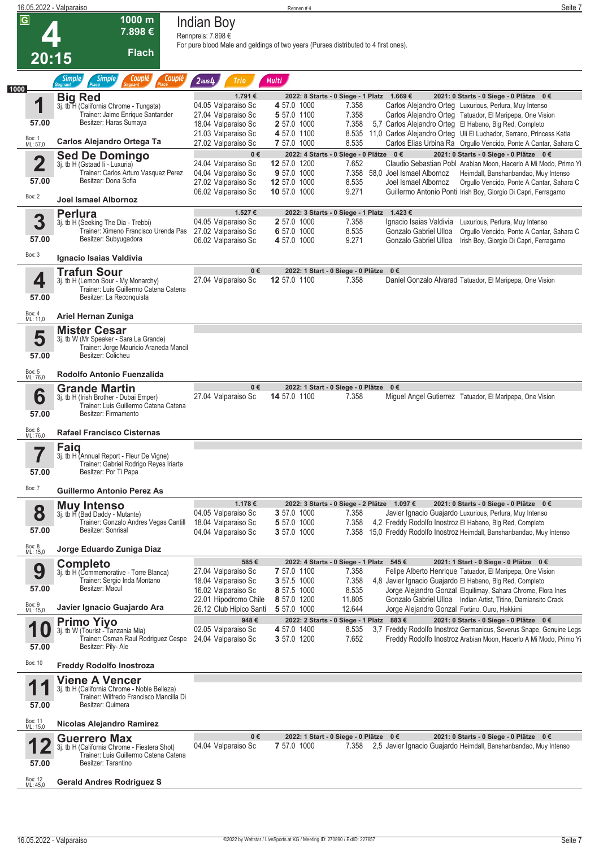| 16.05.2022 - Valparaiso |                                                                                     |                                                                                     | Rennen#4                   |                                             | Seite 7                                                                                                                               |
|-------------------------|-------------------------------------------------------------------------------------|-------------------------------------------------------------------------------------|----------------------------|---------------------------------------------|---------------------------------------------------------------------------------------------------------------------------------------|
| $\overline{G}$          | 1000 m<br>7.898€                                                                    | <b>Indian Boy</b><br>Rennpreis: 7.898 €                                             |                            |                                             |                                                                                                                                       |
| 20:15                   | <b>Flach</b>                                                                        | For pure blood Male and geldings of two years (Purses distributed to 4 first ones). |                            |                                             |                                                                                                                                       |
|                         | <b>Simple</b><br>Couplé<br><b>Simple</b><br>Couplé<br>Placé<br>Gagnant<br>Place     | $2$ aus $4$<br>Trio                                                                 | <b>Multi</b>               |                                             |                                                                                                                                       |
| 1000                    | <b>Big Red</b>                                                                      | 1.791€                                                                              |                            | 2022: 8 Starts - 0 Siege - 1 Platz 1.669 €  | 2021: 0 Starts - 0 Siege - 0 Plätze 0 €                                                                                               |
| И                       | 3j. tb H (California Chrome - Tungata)                                              | 04.05 Valparaiso Sc                                                                 | 4 57.0 1000                | 7.358                                       | Carlos Alejandro Orteg Luxurious, Perlura, Muy Intenso                                                                                |
|                         | Trainer: Jaime Enrique Santander<br>Besitzer: Haras Sumaya                          | 27.04 Valparaiso Sc                                                                 | 5 57.0 1100                | 7.358                                       | Carlos Alejandro Orteg Tatuador, El Maripepa, One Vision                                                                              |
| 57.00                   |                                                                                     | 18.04 Valparaiso Sc                                                                 | 2 57.0 1000                | 7.358                                       | 5,7 Carlos Alejandro Orteg El Habano, Big Red, Completo<br>8.535 11,0 Carlos Alejandro Orteg Uli El Luchador, Serrano, Princess Katia |
| Box: 1<br>ML: 57,0      | Carlos Alejandro Ortega Ta                                                          | 21.03 Valparaiso Sc<br>27.02 Valparaiso Sc                                          | 4 57.0 1100<br>7 57.0 1000 | 8.535                                       | Carlos Elias Urbina Ra Orgullo Vencido, Ponte A Cantar, Sahara C                                                                      |
|                         | <b>Sed De Domingo</b>                                                               | $0 \in$                                                                             |                            | 2022: 4 Starts - 0 Siege - 0 Plätze 0 €     | 2021: 0 Starts - 0 Siege - 0 Plätze 0 €                                                                                               |
|                         | 3j. tb H (Gstaad Ii - Luxuria)                                                      | 24.04 Valparaiso Sc                                                                 | 12 57.0 1200               | 7.652                                       | Claudio Sebastian Pobl Arabian Moon, Hacerlo A Mi Modo, Primo Yi                                                                      |
|                         | Trainer: Carlos Arturo Vasquez Perez<br>Besitzer: Dona Sofia                        | 04.04 Valparaiso Sc                                                                 | 9 57.0 1000                | 7.358                                       | 58,0 Joel Ismael Albornoz<br>Heimdall, Banshanbandao, Muy Intenso                                                                     |
| 57.00                   |                                                                                     | 27.02 Valparaiso Sc                                                                 | 12 57.0 1000               | 8.535<br>9.271                              | Joel Ismael Albornoz<br>Orgullo Vencido, Ponte A Cantar, Sahara C                                                                     |
| Box: 2                  | <b>Joel Ismael Albornoz</b>                                                         | 06.02 Valparaiso Sc                                                                 | 10 57.0 1000               |                                             | Guillermo Antonio Ponti Irish Boy, Giorgio Di Capri, Ferragamo                                                                        |
|                         | <b>Perlura</b>                                                                      | 1.527€                                                                              |                            | 2022: 3 Starts - 0 Siege - 1 Platz 1.423 €  |                                                                                                                                       |
| 3                       | 3j. tb H (Seeking The Dia - Trebbi)                                                 | 04.05 Valparaiso Sc                                                                 | 2 57.0 1000                | 7.358                                       | Ignacio Isaias Valdivia<br>Luxurious, Perlura, Muy Intenso                                                                            |
|                         | Trainer: Ximeno Francisco Urenda Pas 27.02 Valparaiso Sc                            |                                                                                     | 6 57.0 1000                | 8.535                                       | Gonzalo Gabriel Ulloa<br>Orgullo Vencido, Ponte A Cantar, Sahara C                                                                    |
| 57.00                   | Besitzer: Subyugadora                                                               | 06.02 Valparaiso Sc                                                                 | 4 57.0 1000                | 9.271                                       | Gonzalo Gabriel Ulloa<br>Irish Boy, Giorgio Di Capri, Ferragamo                                                                       |
| Box: 3                  | Ignacio Isaias Valdivia                                                             |                                                                                     |                            |                                             |                                                                                                                                       |
|                         | <b>Trafun Sour</b>                                                                  | $0 \in$                                                                             |                            | 2022: 1 Start - 0 Siege - 0 Plätze 0 €      |                                                                                                                                       |
| 4                       | 3j. tb H (Lemon Sour - My Monarchy)                                                 | 27.04 Valparaiso Sc                                                                 | 12 57.0 1100               | 7.358                                       | Daniel Gonzalo Alvarad Tatuador, El Maripepa, One Vision                                                                              |
|                         | Trainer: Luis Guillermo Catena Catena                                               |                                                                                     |                            |                                             |                                                                                                                                       |
| 57.00                   | Besitzer: La Reconquista                                                            |                                                                                     |                            |                                             |                                                                                                                                       |
| Box: 4<br>ML: 11,0      | Ariel Hernan Zuniga                                                                 |                                                                                     |                            |                                             |                                                                                                                                       |
|                         | <b>Mister Cesar</b>                                                                 |                                                                                     |                            |                                             |                                                                                                                                       |
| 5                       | 3j. tb W (Mr Speaker - Sara La Grande)                                              |                                                                                     |                            |                                             |                                                                                                                                       |
|                         | Trainer: Jorge Mauricio Araneda Mancil<br>Besitzer: Colicheu                        |                                                                                     |                            |                                             |                                                                                                                                       |
| 57.00                   |                                                                                     |                                                                                     |                            |                                             |                                                                                                                                       |
| Box: 5<br>ML: 76,0      | Rodolfo Antonio Fuenzalida                                                          |                                                                                     |                            |                                             |                                                                                                                                       |
|                         | <b>Grande Martin</b>                                                                | $0 \in$                                                                             |                            | 2022: 1 Start - 0 Siege - 0 Plätze 0 €      |                                                                                                                                       |
| 6                       | 3j. tb H (Irish Brother - Dubai Emper)<br>Trainer: Luis Guillermo Catena Catena     | 27.04 Valparaiso Sc                                                                 | 14 57.0 1100               | 7.358                                       | Miguel Angel Gutierrez Tatuador, El Maripepa, One Vision                                                                              |
| 57.00                   | Besitzer: Firmamento                                                                |                                                                                     |                            |                                             |                                                                                                                                       |
|                         |                                                                                     |                                                                                     |                            |                                             |                                                                                                                                       |
| Box: 6<br>ML: 76,0      | <b>Rafael Francisco Cisternas</b>                                                   |                                                                                     |                            |                                             |                                                                                                                                       |
| 7                       | Faiq                                                                                |                                                                                     |                            |                                             |                                                                                                                                       |
| П                       | 3j. tb H (Annual Report - Fleur De Vigne)<br>Trainer: Gabriel Rodrigo Reyes Iriarte |                                                                                     |                            |                                             |                                                                                                                                       |
| 57.00                   | Besitzer: Por Ti Papa                                                               |                                                                                     |                            |                                             |                                                                                                                                       |
|                         |                                                                                     |                                                                                     |                            |                                             |                                                                                                                                       |
| Box: 7                  | Guillermo Antonio Perez As                                                          |                                                                                     |                            |                                             |                                                                                                                                       |
|                         | <b>Muy Intenso</b>                                                                  | 1.178€                                                                              |                            | 2022: 3 Starts - 0 Siege - 2 Plätze 1.097 € | 2021: 0 Starts - 0 Siege - 0 Plätze 0 €                                                                                               |
| 8                       | 3j. tb H (Bad Daddy - Mutante)<br>Trainer: Gonzalo Andres Vegas Cantill             | 04.05 Valparaiso Sc                                                                 | 3 57.0 1000<br>5 57.0 1000 | 7.358<br>7.358                              | Javier Ignacio Guajardo Luxurious, Perlura, Muy Intenso<br>4,2 Freddy Rodolfo Inostroz El Habano, Big Red, Completo                   |
| 57.00                   | Besitzer: Sonrisal                                                                  | 18.04 Valparaiso Sc<br>04.04 Valparaiso Sc                                          | <b>3</b> 57.0 1000         |                                             | 7.358 15,0 Freddy Rodolfo Inostroz Heimdall, Banshanbandao, Muy Intenso                                                               |
|                         |                                                                                     |                                                                                     |                            |                                             |                                                                                                                                       |
| Box: 8<br>ML: 15,0      | Jorge Eduardo Zuniga Diaz                                                           |                                                                                     |                            |                                             |                                                                                                                                       |
|                         | <b>Completo</b>                                                                     | 585€                                                                                |                            | 2022: 4 Starts - 0 Siege - 1 Platz 545 €    | 2021: 1 Start - 0 Siege - 0 Plätze 0 €                                                                                                |
| 9                       | 3j. tb H (Commemorative - Torre Blanca)<br>Trainer: Sergio Inda Montano             | 27.04 Valparaiso Sc<br>18.04 Valparaiso Sc                                          | 7 57.0 1100<br>3 57.5 1000 | 7.358<br>7.358                              | Felipe Alberto Henrique Tatuador, El Maripepa, One Vision<br>4,8 Javier Ignacio Guajardo El Habano, Big Red, Completo                 |
| 57.00                   | Besitzer: Macul                                                                     | 16.02 Valparaiso Sc                                                                 | 8 57.5 1000                | 8.535                                       | Jorge Alejandro Gonzal Elquilimay, Sahara Chrome, Flora Ines                                                                          |
|                         |                                                                                     | 22.01 Hipodromo Chile                                                               | 8 57.0 1200                | 11.805                                      | Gonzalo Gabriel Ulloa Indian Artist, Titino, Damiansito Crack                                                                         |
| Box: 9<br>ML: 15,0      | Javier Ignacio Guajardo Ara                                                         | 26.12 Club Hipico Santi                                                             | 5 57.0 1000                | 12.644                                      | Jorge Alejandro Gonzal Fortino, Ouro, Hakkimi                                                                                         |
|                         | <b>Primo Yiyo</b>                                                                   | 948€                                                                                |                            | 2022: 2 Starts - 0 Siege - 1 Platz 883 €    | 2021: 0 Starts - 0 Siege - 0 Plätze 0 €                                                                                               |
|                         | 3j. tb W (Tourist - Tanzania Mia)<br>Trainer: Osman Raul Rodriguez Cespe            | 02.05 Valparaiso Sc<br>24.04 Valparaiso Sc                                          | 4 57.0 1400<br>3 57.0 1200 | 8.535<br>7.652                              | 3,7 Freddy Rodolfo Inostroz Germanicus, Severus Snape, Genuine Legs                                                                   |
| 57.00                   | Besitzer: Pily- Ale                                                                 |                                                                                     |                            |                                             | Freddy Rodolfo Inostroz Arabian Moon, Hacerlo A Mi Modo, Primo Yi                                                                     |
| Box: 10                 |                                                                                     |                                                                                     |                            |                                             |                                                                                                                                       |
|                         | <b>Freddy Rodolfo Inostroza</b>                                                     |                                                                                     |                            |                                             |                                                                                                                                       |
|                         | <b>Viene A Vencer</b><br>3j. tb H (California Chrome - Noble Belleza)               |                                                                                     |                            |                                             |                                                                                                                                       |
|                         | Trainer: Wilfredo Francisco Mancilla Di                                             |                                                                                     |                            |                                             |                                                                                                                                       |
| 57.00                   | Besitzer: Quimera                                                                   |                                                                                     |                            |                                             |                                                                                                                                       |
| Box: 11<br>ML: 15,0     | Nicolas Alejandro Ramirez                                                           |                                                                                     |                            |                                             |                                                                                                                                       |
|                         |                                                                                     | $0 \in$                                                                             |                            | 2022: 1 Start - 0 Siege - 0 Plätze 0 €      | 2021: 0 Starts - 0 Siege - 0 Plätze 0 €                                                                                               |
|                         | <b>Guerrero Max</b><br>3j. tb H (California Chrome - Fiestera Shot)                 | 04.04 Valparaiso Sc                                                                 | 7 57.0 1000                | 7.358                                       | 2,5 Javier Ignacio Guajardo Heimdall, Banshanbandao, Muy Intenso                                                                      |
|                         | Trainer: Luis Guillermo Catena Catena                                               |                                                                                     |                            |                                             |                                                                                                                                       |
| 57.00                   | Besitzer: Tarantino                                                                 |                                                                                     |                            |                                             |                                                                                                                                       |
|                         | <b>Gerald Andres Rodriguez S</b>                                                    |                                                                                     |                            |                                             |                                                                                                                                       |
| Box: 12<br>ML: 45,0     |                                                                                     |                                                                                     |                            |                                             |                                                                                                                                       |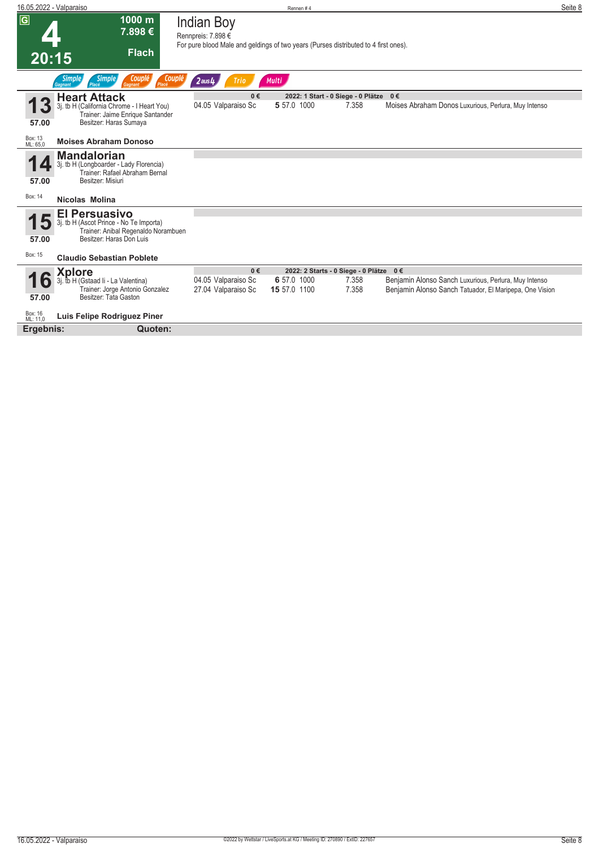| 16.05.2022 - Valparaiso                                                                                                                     | Rennen#4                                                                                                                       | Seite 8 |
|---------------------------------------------------------------------------------------------------------------------------------------------|--------------------------------------------------------------------------------------------------------------------------------|---------|
| $\overline{G}$<br>1000 m<br>7.898€<br><b>Flach</b><br>20:15                                                                                 | <b>Indian Boy</b><br>Rennpreis: 7.898 €<br>For pure blood Male and geldings of two years (Purses distributed to 4 first ones). |         |
| Placé Couple<br><b>Simple</b><br><b>Simple</b><br>Couplé<br><b>Gagnant</b><br>Placé<br>Gagnant                                              | Multi<br>$2$ aus $4$<br><b>Trio</b>                                                                                            |         |
| <b>Heart Attack</b>                                                                                                                         | $0 \in$<br>2022: 1 Start - 0 Siege - 0 Plätze 0 €                                                                              |         |
| 3j. tb H (California Chrome - I Heart You)<br>Trainer: Jaime Enrique Santander<br>Besitzer: Haras Sumaya<br>57.00                           | 5 57.0 1000<br>04.05 Valparaiso Sc<br>7.358<br>Moises Abraham Donos Luxurious, Perlura, Muy Intenso                            |         |
| Box: 13<br><b>Moises Abraham Donoso</b><br>ML: 65.0                                                                                         |                                                                                                                                |         |
| <b>Mandalorian</b><br>4<br>3j. tb H (Longboarder - Lady Florencia)<br>Trainer: Rafael Abraham Bernal<br>Besitzer: Misiuri<br>57.00          |                                                                                                                                |         |
| Box: 14<br>Nicolas Molina                                                                                                                   |                                                                                                                                |         |
| <b>El Persuasivo</b><br>3j. tb H (Ascot Prince - No Te Importa)<br>Trainer: Anibal Regenaldo Norambuen<br>Besitzer: Haras Don Luis<br>57.00 |                                                                                                                                |         |
| Box: 15<br><b>Claudio Sebastian Poblete</b>                                                                                                 |                                                                                                                                |         |
| Xplore                                                                                                                                      | $0 \in$<br>2022: 2 Starts - 0 Siege - 0 Plätze 0 €                                                                             |         |
| tb H (Gstaad Ii - La Valentina)<br>l O                                                                                                      | 04.05 Valparaiso Sc<br>6 57.0 1000<br>Benjamin Alonso Sanch Luxurious, Perlura, Muy Intenso<br>7.358                           |         |
| Trainer: Jorge Antonio Gonzalez<br>Besitzer: Tata Gaston<br>57.00                                                                           | 7.358<br>27.04 Valparaiso Sc<br>15 57.0 1100<br>Benjamin Alonso Sanch Tatuador, El Maripepa, One Vision                        |         |
| Box: 16<br>ML: 11,0<br>Luis Felipe Rodriguez Piner                                                                                          |                                                                                                                                |         |
| Ergebnis:<br>Quoten:                                                                                                                        |                                                                                                                                |         |
|                                                                                                                                             |                                                                                                                                |         |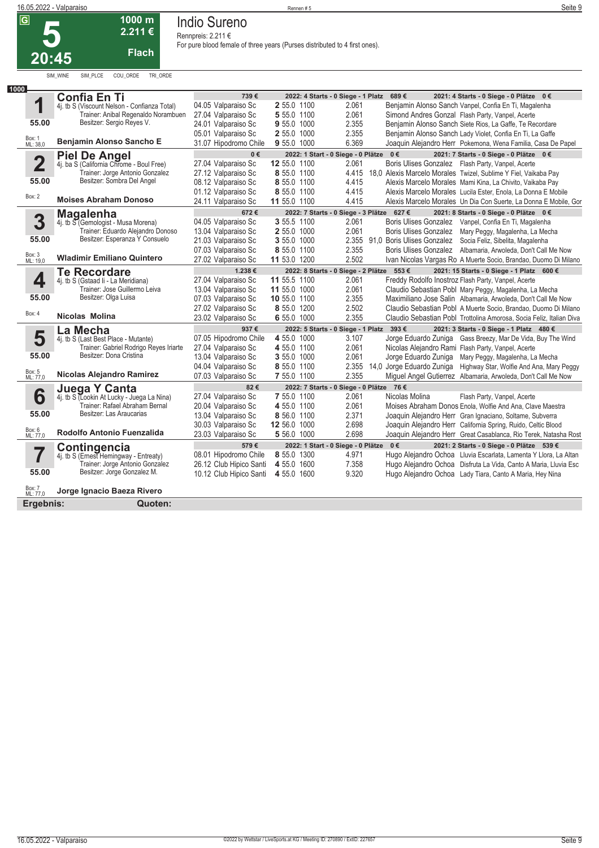**Indio Sureno**

**Rennpreis: 2.211 €**

**5 20:45 2.211 € Flach**

# SIM\_WINE SIM\_PLCE COU\_ORDE TRI\_ORDE

**1000 m**

|  |  |  | For pure blood female of three years (Purses distributed to 4 first ones). |  |
|--|--|--|----------------------------------------------------------------------------|--|
|  |  |  |                                                                            |  |

| 1000                    |                                                                                |                                            |                             |                                           |                                                                                                                                         |
|-------------------------|--------------------------------------------------------------------------------|--------------------------------------------|-----------------------------|-------------------------------------------|-----------------------------------------------------------------------------------------------------------------------------------------|
|                         | <b>Confia En Ti</b>                                                            | 739€                                       |                             | 2022: 4 Starts - 0 Siege - 1 Platz 689 €  | 2021: 4 Starts - 0 Siege - 0 Plätze 0 €                                                                                                 |
| 1                       | 4j. tb S (Viscount Nelson - Confianza Total)                                   | 04.05 Valparaiso Sc                        | 2 55.0 1100                 | 2.061                                     | Benjamin Alonso Sanch Vanpel, Confia En Ti, Magalenha                                                                                   |
|                         | Trainer: Anibal Regenaldo Norambuen<br>Besitzer: Sergio Reyes V.               | 27.04 Valparaiso Sc                        | 5 55.0 1100                 | 2.061                                     | Simond Andres Gonzal Flash Party, Vanpel, Acerte                                                                                        |
| 55.00                   |                                                                                | 24.01 Valparaiso Sc                        | 9 55.0 1000                 | 2.355                                     | Benjamin Alonso Sanch Siete Rios, La Gaffe, Te Recordare                                                                                |
| Box: 1<br>ML: 38,0      | <b>Benjamin Alonso Sancho E</b>                                                | 05.01 Valparaiso Sc                        | 2 55.0 1000                 | 2.355                                     | Benjamin Alonso Sanch Lady Violet, Confia En Ti, La Gaffe                                                                               |
|                         |                                                                                | 31.07 Hipodromo Chile                      | 9 55.0 1000                 | 6.369                                     | Joaquin Alejandro Herr Pokemona, Wena Familia, Casa De Papel                                                                            |
|                         | <b>Piel De Angel</b>                                                           | $0 \in$                                    |                             | 2022: 1 Start - 0 Siege - 0 Plätze 0 €    | 2021: 7 Starts - 0 Siege - 0 Plätze 0 €                                                                                                 |
| $\overline{\mathbf{2}}$ | 4j. ba S (California Chrome - Boul Free)<br>Trainer: Jorge Antonio Gonzalez    | 27.04 Valparaiso Sc                        | 12 55.0 1100                | 2.061                                     | Boris Ulises Gonzalez Flash Party, Vanpel, Acerte                                                                                       |
| 55.00                   | Besitzer: Sombra Del Angel                                                     | 27.12 Valparaiso Sc                        | 8 55.0 1100                 |                                           | 4.415 18,0 Alexis Marcelo Morales Twizel, Sublime Y Fiel, Vaikaba Pay                                                                   |
|                         |                                                                                | 08.12 Valparaiso Sc                        | 8 55.0 1100                 | 4.415<br>4.415                            | Alexis Marcelo Morales Mami Kina, La Chivito, Vaikaba Pay                                                                               |
| Box: 2                  | <b>Moises Abraham Donoso</b>                                                   | 01.12 Valparaiso Sc                        | 8 55.0 1100<br>11 55.0 1100 | 4.415                                     | Alexis Marcelo Morales Lucila Ester, Enola, La Donna E Mobile<br>Alexis Marcelo Morales Un Dia Con Suerte, La Donna E Mobile, Gor       |
|                         |                                                                                | 24.11 Valparaiso Sc                        |                             |                                           |                                                                                                                                         |
|                         | <b>Magalenha</b><br>4j. tb S (Gemologist - Musa Morena)                        | 672€                                       |                             | 2022: 7 Starts - 0 Siege - 3 Plätze 627 € | 2021: 8 Starts - 0 Siege - 0 Plätze 0 €                                                                                                 |
| 3                       |                                                                                | 04.05 Valparaiso Sc                        | 3 55.5 1100                 | 2.061                                     | Boris Ulises Gonzalez Vanpel, Confia En Ti, Magalenha                                                                                   |
| 55.00                   | Trainer: Eduardo Alejandro Donoso<br>Besitzer: Esperanza Y Consuelo            | 13.04 Valparaiso Sc                        | 2 55.0 1000<br>3 55.0 1000  | 2.061                                     | Boris Ulises Gonzalez Mary Peggy, Magalenha, La Mecha                                                                                   |
|                         |                                                                                | 21.03 Valparaiso Sc                        | 8 55.0 1100                 | 2.355                                     | 2.355 91,0 Boris Ulises Gonzalez Socia Feliz, Sibelita, Magalenha                                                                       |
| Box: 3<br>ML: 19,0      | <b>Wladimir Emiliano Quintero</b>                                              | 07.03 Valparaiso Sc<br>27.02 Valparaiso Sc | 11 53.0 1200                | 2.502                                     | Boris Ulises Gonzalez Albamaria, Arwoleda, Don't Call Me Now<br>Ivan Nicolas Vargas Ro A Muerte Socio, Brandao, Duomo Di Milano         |
|                         |                                                                                |                                            |                             |                                           |                                                                                                                                         |
|                         | <b>Te Recordare</b>                                                            | 1.238€                                     |                             | 2022: 8 Starts - 0 Siege - 2 Plätze 553 € | 2021: 15 Starts - 0 Siege - 1 Platz 600 €                                                                                               |
| 4                       | 4j. tb S (Gstaad li - La Meridiana)                                            | 27.04 Valparaiso Sc                        | 11 55.5 1100                | 2.061                                     | Freddy Rodolfo Inostroz Flash Party, Vanpel, Acerte                                                                                     |
| 55.00                   | Trainer: Jose Guillermo Leiva<br>Besitzer: Olga Luisa                          | 13.04 Valparaiso Sc                        | 11 55.0 1000                | 2.061                                     | Claudio Sebastian Pobl Mary Peggy, Magalenha, La Mecha                                                                                  |
|                         |                                                                                | 07.03 Valparaiso Sc                        | 10 55.0 1100<br>8 55.0 1200 | 2.355<br>2.502                            | Maximiliano Jose Salin Albamaria, Arwoleda, Don't Call Me Now                                                                           |
| Box: 4                  | Nicolas Molina                                                                 | 27.02 Valparaiso Sc<br>23.02 Valparaiso Sc | 6 55.0 1000                 | 2.355                                     | Claudio Sebastian Pobl A Muerte Socio, Brandao, Duomo Di Milano<br>Claudio Sebastian Pobl Trottolina Amorosa, Socia Feliz, Italian Diva |
|                         |                                                                                |                                            |                             |                                           |                                                                                                                                         |
|                         | La Mecha                                                                       | 937€<br>07.05 Hipodromo Chile              | 4 55.0 1000                 | 2022: 5 Starts - 0 Siege - 1 Platz 393 €  | 2021: 3 Starts - 0 Siege - 1 Platz 480 €                                                                                                |
| 5                       | 4j. tb S (Last Best Place - Mutante)<br>Trainer: Gabriel Rodrigo Reyes Iriarte | 27.04 Valparaiso Sc                        | 4 55.0 1100                 | 3.107<br>2.061                            | Jorge Eduardo Zuniga Gass Breezy, Mar De Vida, Buy The Wind<br>Nicolas Alejandro Rami Flash Party, Vanpel, Acerte                       |
| 55.00                   | Besitzer: Dona Cristina                                                        | 13.04 Valparaiso Sc                        | 3 55.0 1000                 | 2.061                                     | Jorge Eduardo Zuniga<br>Mary Peggy, Magalenha, La Mecha                                                                                 |
|                         |                                                                                | 04.04 Valparaiso Sc                        | 8 55.0 1100                 | 2.355                                     | 14.0 Jorge Eduardo Zuniga Highway Star, Wolfie And Ana, Mary Peggy                                                                      |
| Box: 5<br>ML: 77,0      | Nicolas Alejandro Ramirez                                                      | 07.03 Valparaiso Sc                        | 7 55.0 1100                 | 2.355                                     | Miguel Angel Gutierrez Albamaria, Arwoleda, Don't Call Me Now                                                                           |
|                         |                                                                                | 82€                                        |                             | 2022: 7 Starts - 0 Siege - 0 Plätze 76 €  |                                                                                                                                         |
| 6                       | <b>Juega Y Canta</b><br>4j. tb S (Lookin At Lucky - Juega La Nina)             | 27.04 Valparaiso Sc                        | 7 55.0 1100                 | 2.061                                     | Nicolas Molina<br>Flash Party, Vanpel, Acerte                                                                                           |
|                         | Trainer: Rafael Abraham Bernal                                                 | 20.04 Valparaiso Sc                        | 4 55.0 1100                 | 2.061                                     | Moises Abraham Donos Enola, Wolfie And Ana, Clave Maestra                                                                               |
| 55.00                   | Besitzer: Las Araucarias                                                       | 13.04 Valparaiso Sc                        | 8 56.0 1100                 | 2.371                                     | Joaquin Alejandro Herr Gran Ignaciano, Soltame, Subverra                                                                                |
|                         |                                                                                | 30.03 Valparaiso Sc                        | 12 56.0 1000                | 2.698                                     | Joaquin Alejandro Herr California Spring, Ruido, Celtic Blood                                                                           |
| Box: 6<br>ML: 77,0      | Rodolfo Antonio Fuenzalida                                                     | 23.03 Valparaiso Sc                        | 5 56.0 1000                 | 2.698                                     | Joaquin Alejandro Herr Great Casablanca, Rio Terek, Natasha Rost                                                                        |
|                         |                                                                                | 579€                                       |                             | 2022: 1 Start - 0 Siege - 0 Plätze 0 €    | 2021: 2 Starts - 0 Siege - 0 Plätze 539 €                                                                                               |
| 7                       | Contingencia<br>4j. tb S (Ernest Hemingway - Entreaty)                         | 08.01 Hipodromo Chile                      | 8 55.0 1300                 | 4.971                                     | Hugo Alejandro Ochoa Lluvia Escarlata, Lamenta Y Llora, La Altan                                                                        |
|                         | Trainer: Jorge Antonio Gonzalez                                                | 26.12 Club Hipico Santi                    | 4 55.0 1600                 | 7.358                                     | Hugo Alejandro Ochoa Disfruta La Vida, Canto A Maria, Lluvia Esc                                                                        |
| 55.00                   | Besitzer: Jorge Gonzalez M.                                                    | 10.12 Club Hipico Santi                    | 4 55.0 1600                 | 9.320                                     | Hugo Alejandro Ochoa Lady Tiara, Canto A Maria, Hey Nina                                                                                |
|                         |                                                                                |                                            |                             |                                           |                                                                                                                                         |
| Box: 7<br>ML: 77,0      | Jorge Ignacio Baeza Rivero                                                     |                                            |                             |                                           |                                                                                                                                         |
| Ergebnis:               | Quoten:                                                                        |                                            |                             |                                           |                                                                                                                                         |
|                         |                                                                                |                                            |                             |                                           |                                                                                                                                         |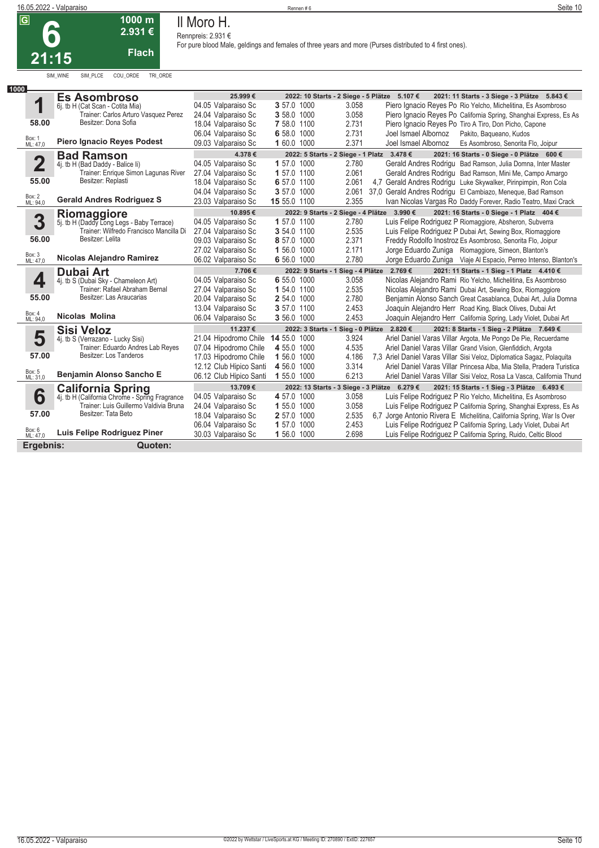| $\bullet$ | 1 UUU 111<br>2.931€ |
|-----------|---------------------|
| 21:15     | <b>Flach</b>        |

SIM\_WINE SIM\_PLCE COU\_ORDE TRI\_ORDE

**1000 m**

## **Il Moro H. Rennpreis: 2.931 €**

| 1000                            |                                                                                          |                         |                            |                                                       |                      |                                                                        |
|---------------------------------|------------------------------------------------------------------------------------------|-------------------------|----------------------------|-------------------------------------------------------|----------------------|------------------------------------------------------------------------|
|                                 | <b>Es Asombroso</b>                                                                      | 25.999€                 |                            | 2022: 10 Starts - 2 Siege - 5 Plätze 5.107 €          |                      | 2021: 11 Starts - 3 Siege - 3 Plätze 5.843 €                           |
| 1                               | 6j. tb H (Cat Scan - Cotita Mia)                                                         | 04.05 Valparaiso Sc     | 3 57.0 1000                | 3.058                                                 |                      | Piero Ignacio Reyes Po Rio Yelcho, Michelitina, Es Asombroso           |
|                                 | Trainer: Carlos Arturo Vasquez Perez                                                     | 24.04 Valparaiso Sc     | 3 58.0 1000                | 3.058                                                 |                      | Piero Ignacio Reyes Po California Spring, Shanghai Express, Es As      |
| 58.00                           | Besitzer: Dona Sofia                                                                     | 18.04 Valparaiso Sc     | 7 58.0 1100                | 2.731                                                 |                      | Piero Ignacio Reyes Po Tiro A Tiro, Don Picho, Capone                  |
|                                 |                                                                                          | 06.04 Valparaiso Sc     | 6 58.0 1000                | 2.731                                                 | Joel Ismael Albornoz | Pakito, Bagueano, Kudos                                                |
| Box: 1<br>ML: 47,0              | <b>Piero Ignacio Reves Podest</b>                                                        | 09.03 Valparaiso Sc     | 1 60.0 1000                | 2.371                                                 | Joel Ismael Albornoz | Es Asombroso, Senorita Flo, Joipur                                     |
|                                 | <b>Bad Ramson</b>                                                                        | 4.378€                  |                            | 2022: 5 Starts - 2 Siege - 1 Platz 3.478 €            |                      | 2021: 16 Starts - 0 Siege - 0 Plätze 600 €                             |
| $\overline{\mathbf{2}}$         | 4j. tb H (Bad Daddy - Balice li)                                                         | 04.05 Valparaiso Sc     | 1 57.0 1000                | 2.780                                                 |                      | Gerald Andres Rodrigu Bad Ramson, Julia Domna, Inter Master            |
|                                 | Trainer: Enrique Simon Lagunas River                                                     | 27.04 Valparaiso Sc     | 1 57.0 1100                | 2.061                                                 |                      | Gerald Andres Rodrigu Bad Ramson, Mini Me, Campo Amargo                |
| 55.00                           | Besitzer: Replasti                                                                       | 18.04 Valparaiso Sc     | 6 57.0 1100                | 2.061                                                 |                      | 4.7 Gerald Andres Rodrigu Luke Skywalker, Pirinpimpin, Ron Cola        |
|                                 |                                                                                          | 04.04 Valparaiso Sc     | 3 57.0 1000                | 2.061                                                 |                      | 37,0 Gerald Andres Rodrigu El Cambiazo, Meneque, Bad Ramson            |
| Box: 2<br>ML: 94,0              | <b>Gerald Andres Rodriguez S</b>                                                         | 23.03 Valparaiso Sc     | 15 55.0 1100               | 2.355                                                 |                      | Ivan Nicolas Vargas Ro Daddy Forever, Radio Teatro, Maxi Crack         |
|                                 |                                                                                          | 10.895€                 |                            |                                                       |                      |                                                                        |
| 3                               | Riomaggiore<br>5j. tb H (Daddy Long Legs - Baby Terrace)                                 |                         | 1 57.0 1100                | 2022: 9 Starts - 2 Siege - 4 Plätze 3.990 €<br>2.780  |                      | 2021: 16 Starts - 0 Siege - 1 Platz 404 €                              |
|                                 | Trainer: Wilfredo Francisco Mancilla Di                                                  | 04.05 Valparaiso Sc     | 3 54.0 1100                | 2.535                                                 |                      | Luis Felipe Rodriguez P Riomaggiore, Absheron, Subverra                |
| 56.00                           | Besitzer: Lelita                                                                         | 27.04 Valparaiso Sc     |                            |                                                       |                      | Luis Felipe Rodriguez P Dubai Art, Sewing Box, Riomaggiore             |
|                                 |                                                                                          | 09.03 Valparaiso Sc     | 8 57.0 1000                | 2.371                                                 |                      | Freddy Rodolfo Inostroz Es Asombroso, Senorita Flo, Joipur             |
| Box: 3<br>ML: 47,0              | <b>Nicolas Alejandro Ramirez</b>                                                         | 27.02 Valparaiso Sc     | 1 56.0 1000                | 2.171                                                 |                      | Jorge Eduardo Zuniga Riomaggiore, Simeon, Blanton's                    |
|                                 |                                                                                          | 06.02 Valparaiso Sc     | 6 56.0 1000                | 2.780                                                 |                      | Jorge Eduardo Zuniga Viaje Al Espacio, Perreo Intenso, Blanton's       |
|                                 |                                                                                          |                         |                            |                                                       | 2.769€               | 2021: 11 Starts - 1 Sieg - 1 Platz 4.410 €                             |
|                                 | <b>Dubai Art</b>                                                                         | 7.706€                  |                            | 2022: 9 Starts - 1 Sieg - 4 Plätze                    |                      |                                                                        |
|                                 | 4j. tb S (Dubai Sky - Chameleon Art)                                                     | 04.05 Valparaiso Sc     | 6 55.0 1000                | 3.058                                                 |                      | Nicolas Alejandro Rami Rio Yelcho, Michelitina, Es Asombroso           |
| 4                               | Trainer: Rafael Abraham Bernal                                                           | 27.04 Valparaiso Sc     | 1 54.0 1100                | 2.535                                                 |                      | Nicolas Alejandro Rami Dubai Art, Sewing Box, Riomaggiore              |
| 55.00                           | Besitzer: Las Araucarias                                                                 | 20.04 Valparaiso Sc     | 2 54.0 1000                | 2.780                                                 |                      | Benjamin Alonso Sanch Great Casablanca, Dubai Art, Julia Domna         |
|                                 |                                                                                          | 13.04 Valparaiso Sc     | 3 57.0 1100                | 2.453                                                 |                      | Joaquin Alejandro Herr Road King, Black Olives, Dubai Art              |
| Box: 4<br>ML: 94,0              | Nicolas Molina                                                                           | 06.04 Valparaiso Sc     | 3 56.0 1000                | 2.453                                                 |                      | Joaquin Alejandro Herr California Spring, Lady Violet, Dubai Art       |
|                                 |                                                                                          | 11.237 €                |                            | 2022: 3 Starts - 1 Sieg - 0 Plätze 2.820 €            |                      | 2021: 8 Starts - 1 Sieg - 2 Plätze 7.649 €                             |
|                                 | <b>Sisi Veloz</b><br>4j. tb S (Verrazano - Lucky Sisi)                                   | 21.04 Hipodromo Chile   | 14 55.0 1000               | 3.924                                                 |                      | Ariel Daniel Varas Villar Argota, Me Pongo De Pie, Recuerdame          |
| 5                               | Trainer: Eduardo Andres Lab Reyes                                                        | 07.04 Hipodromo Chile   | 4 55.0 1000                | 4.535                                                 |                      | Ariel Daniel Varas Villar Grand Vision, Glenfiddich, Argota            |
| 57.00                           | Besitzer: Los Tanderos                                                                   | 17.03 Hipodromo Chile   | 1 56.0 1000                | 4.186                                                 |                      | 7,3 Ariel Daniel Varas Villar Sisi Veloz, Diplomatica Sagaz, Polaguita |
|                                 |                                                                                          | 12.12 Club Hipico Santi | 4 56.0 1000                | 3.314                                                 |                      | Ariel Daniel Varas Villar Princesa Alba, Mia Stella, Pradera Turistica |
| Box: 5<br>ML: 31,0              | <b>Benjamin Alonso Sancho E</b>                                                          | 06.12 Club Hipico Santi | 1 55.0 1000                | 6.213                                                 |                      | Ariel Daniel Varas Villar Sisi Veloz, Rosa La Vasca, California Thund  |
|                                 |                                                                                          | 13.709€                 |                            |                                                       |                      |                                                                        |
|                                 | <b>California Spring</b>                                                                 |                         | 4 57.0 1000                | 2022: 13 Starts - 3 Siege - 3 Plätze 6.279 €<br>3.058 |                      | 2021: 15 Starts - 1 Sieg - 3 Plätze 6.493 €                            |
| 6                               | 4j. tb H (California Chrome - Spring Fragrance<br>Trainer: Luis Guillermo Valdivia Bruna | 04.05 Valparaiso Sc     |                            |                                                       |                      | Luis Felipe Rodriquez P Rio Yelcho, Michelitina, Es Asombroso          |
| 57.00                           | Besitzer: Tata Beto                                                                      | 24.04 Valparaiso Sc     | 1 55.0 1000<br>2 57.0 1000 | 3.058                                                 |                      | Luis Felipe Rodriguez P California Spring, Shanghai Express, Es As     |
|                                 |                                                                                          | 18.04 Valparaiso Sc     |                            | 2.535                                                 |                      | 6,7 Jorge Antonio Rivera E Michelitina, California Spring, War Is Over |
|                                 | Luis Felipe Rodriguez Piner                                                              | 06.04 Valparaiso Sc     | 1 57.0 1000                | 2.453                                                 |                      | Luis Felipe Rodriguez P California Spring, Lady Violet, Dubai Art      |
| Box: 6<br>ML: 47,0<br>Ergebnis: | Quoten:                                                                                  | 30.03 Valparaiso Sc     | 1 56.0 1000                | 2.698                                                 |                      | Luis Felipe Rodriquez P California Spring, Ruido, Celtic Blood         |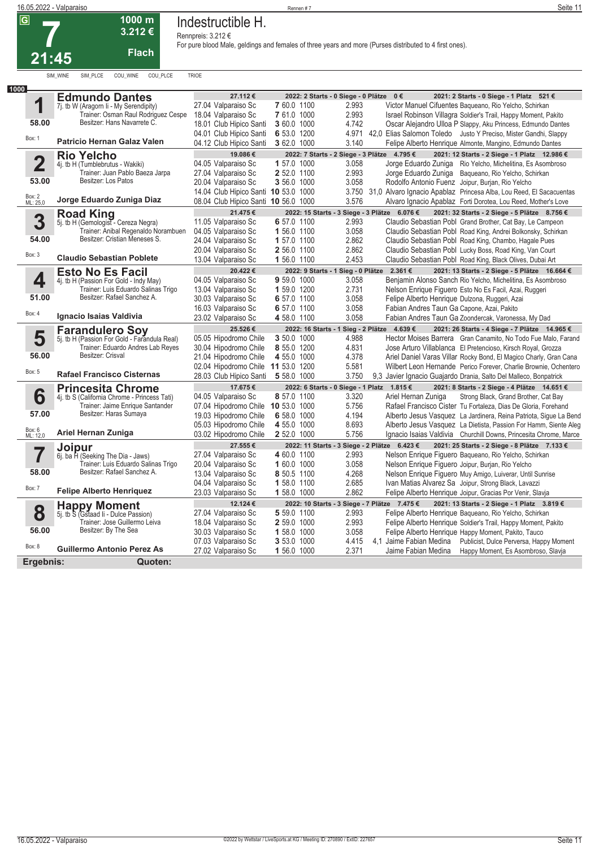

# **Indestructible H.**

**Rennpreis: 3.212 €**

| 1000                    |                                                             |                                      |              |                                              |                                                                           |
|-------------------------|-------------------------------------------------------------|--------------------------------------|--------------|----------------------------------------------|---------------------------------------------------------------------------|
|                         | <b>Edmundo Dantes</b>                                       | 27.112€                              |              | 2022: 2 Starts - 0 Siege - 0 Plätze 0 €      | 2021: 2 Starts - 0 Siege - 1 Platz 521 €                                  |
| 1                       | 7j. tb W (Aragorn Ii - My Serendipity)                      | 27.04 Valparaiso Sc                  | 7 60.0 1100  | 2.993                                        | Victor Manuel Cifuentes Baqueano, Rio Yelcho, Schirkan                    |
|                         | Trainer: Osman Raul Rodriguez Cespe                         | 18.04 Valparaiso Sc                  | 7 61.0 1000  | 2.993                                        | Israel Robinson Villagra Soldier's Trail, Happy Moment, Pakito            |
| 58.00                   | Besitzer: Hans Navarrete C.                                 | 18.01 Club Hipico Santi              | 3 60.0 1000  | 4.742                                        | Oscar Alejandro Ulloa P Slappy, Aku Princess, Edmundo Dantes              |
|                         |                                                             | 04.01 Club Hipico Santi              | 6 53.0 1200  | 4.971                                        | 42.0 Elias Salomon Toledo Justo Y Preciso, Mister Gandhi, Slappy          |
| Box: 1                  | <b>Patricio Hernan Galaz Valen</b>                          | 04.12 Club Hipico Santi              | 3 62.0 1000  | 3.140                                        | Felipe Alberto Henrique Almonte, Mangino, Edmundo Dantes                  |
|                         | <b>Rio Yelcho</b>                                           | 19.086€                              |              | 2022: 7 Starts - 2 Siege - 3 Plätze 4.795 €  | 2021: 12 Starts - 2 Siege - 1 Platz 12.986 €                              |
| $\overline{\mathbf{2}}$ | 4j. tb H (Tumblebrutus - Wakiki)                            | 04.05 Valparaiso Sc                  | 1 57.0 1000  | 3.058                                        | Jorge Eduardo Zuniga Rio Yelcho, Michelitina, Es Asombroso                |
|                         | Trainer: Juan Pablo Baeza Jarpa                             | 27.04 Valparaiso Sc                  | 2 52.0 1100  | 2.993                                        | Jorge Eduardo Zuniga Baqueano, Rio Yelcho, Schirkan                       |
| 53.00                   | Besitzer: Los Patos                                         | 20.04 Valparaiso Sc                  | 3 56.0 1000  | 3.058                                        | Rodolfo Antonio Fuenz Joipur, Burjan, Rio Yelcho                          |
|                         |                                                             | 14.04 Club Hipico Santi 10 53.0 1000 |              |                                              | 3.750 31.0 Alvaro Ignacio Apablaz Princesa Alba, Lou Reed, El Sacacuentas |
| Box: 2<br>ML: 25,0      | Jorge Eduardo Zuniga Diaz                                   | 08.04 Club Hipico Santi 10 56.0 1000 |              | 3.576                                        | Alvaro Ignacio Apablaz Forti Dorotea, Lou Reed, Mother's Love             |
|                         | <b>Road King</b>                                            | 21.475€                              |              | 2022: 15 Starts - 3 Siege - 3 Plätze 6.076 € | 2021: 32 Starts - 2 Siege - 5 Plätze 8.756 €                              |
| 3                       | 5j. tb H (Gemologist - Cereza Negra)                        | 11.05 Valparaiso Sc                  | 6 57.0 1100  | 2.993                                        | Claudio Sebastian Pobl Grand Brother, Cat Bay, Le Campeon                 |
|                         | Trainer: Anibal Regenaldo Norambuen                         | 04.05 Valparaiso Sc                  | 1 56.0 1100  | 3.058                                        | Claudio Sebastian Pobl Road King, Andrei Bolkonsky, Schirkan              |
| 54.00                   | Besitzer: Cristian Meneses S.                               | 24.04 Valparaiso Sc                  | 1 57.0 1100  | 2.862                                        | Claudio Sebastian Pobl Road King, Chambo, Hagale Pues                     |
|                         |                                                             | 20.04 Valparaiso Sc                  | 2 56.0 1100  | 2.862                                        | Claudio Sebastian Pobl Lucky Boss, Road King, Van Court                   |
| Box: 3                  | <b>Claudio Sebastian Poblete</b>                            | 13.04 Valparaiso Sc                  | 1 56.0 1100  | 2.453                                        | Claudio Sebastian Pobl Road King, Black Olives, Dubai Art                 |
|                         | <b>Esto No Es Facil</b>                                     | 20.422€                              |              | 2022: 9 Starts - 1 Sieg - 0 Plätze 2.361 €   | 2021: 13 Starts - 2 Siege - 5 Plätze 16.664 €                             |
| 4                       | 4j. tb H (Passion For Gold - Indy May)                      | 04.05 Valparaiso Sc                  | 9 59.0 1000  | 3.058                                        | Benjamin Alonso Sanch Rio Yelcho, Michelitina, Es Asombroso               |
|                         | Trainer: Luis Eduardo Salinas Trigo                         | 13.04 Valparaiso Sc                  | 1 59.0 1200  | 2.731                                        | Nelson Enrique Figuero Esto No Es Facil, Azai, Ruggeri                    |
| 51.00                   | Besitzer: Rafael Sanchez A.                                 | 30.03 Valparaiso Sc                  | 6 57.0 1100  | 3.058                                        | Felipe Alberto Henrique Dulzona, Ruggeri, Azai                            |
|                         |                                                             | 16.03 Valparaiso Sc                  | 6 57.0 1100  | 3.058                                        | Fabian Andres Taun Ga Capone, Azai, Pakito                                |
| Box: 4                  | Ignacio Isaias Valdivia                                     | 23.02 Valparaiso Sc                  | 4 58.0 1100  | 3.058                                        | Fabian Andres Taun Ga Zoondercak, Varonessa, My Dad                       |
|                         | <b>Farandulero Sov</b>                                      | 25.526€                              |              | 2022: 16 Starts - 1 Sieg - 2 Plätze 4.639 €  | 2021: 26 Starts - 4 Siege - 7 Plätze 14.965 €                             |
| 5                       | 5j. tb H (Passion For Gold - Farandula Real)                | 05.05 Hipodromo Chile                | 3 50.0 1000  | 4.988                                        | Hector Moises Barrera Gran Canamito, No Todo Fue Malo, Farand             |
|                         | Trainer: Eduardo Andres Lab Reyes                           | 30.04 Hipodromo Chile                | 8 55.0 1200  | 4.831                                        | Jose Arturo Villablanca El Pretencioso, Kirsch Royal, Grozza              |
| 56.00                   | Besitzer: Crisval                                           | 21.04 Hipodromo Chile                | 4 55.0 1000  | 4.378                                        | Ariel Daniel Varas Villar Rocky Bond, El Magico Charly, Gran Cana         |
|                         |                                                             | 02.04 Hipodromo Chile                | 11 53.0 1200 | 5.581                                        | Wilbert Leon Hernande Perico Forever, Charlie Brownie, Ochentero          |
| Box: 5                  | <b>Rafael Francisco Cisternas</b>                           | 28.03 Club Hipico Santi              | 5 58.0 1000  | 3.750                                        | 9,3 Javier Ignacio Guajardo Drania, Salto Del Malleco, Bonpatrick         |
|                         | <b>Princesita Chrome</b>                                    | 17.675 €                             |              | 2022: 6 Starts - 0 Siege - 1 Platz 1.815 €   | 2021: 8 Starts - 2 Siege - 4 Plätze 14.651 €                              |
| 6                       | 4j. tb S (California Chrome - Princess Tati)                | 04.05 Valparaiso Sc                  | 8 57.0 1100  | 3.320                                        | Ariel Hernan Zuniga<br>Strong Black, Grand Brother, Cat Bay               |
|                         | Trainer: Jaime Enrique Santander                            | 07.04 Hipodromo Chile 10 53.0 1000   |              | 5.756                                        | Rafael Francisco Cister Tu Fortaleza, Dias De Gloria, Forehand            |
| 57.00                   | Besitzer: Haras Sumaya                                      | 19.03 Hipodromo Chile                | 6 58.0 1000  | 4.194                                        | Alberto Jesus Vasquez La Jardinera, Reina Patriota, Sigue La Bend         |
|                         |                                                             | 05.03 Hipodromo Chile                | 4 55.0 1000  | 8.693                                        | Alberto Jesus Vasquez La Dietista, Passion For Hamm, Siente Aleg          |
| Box: 6<br>ML: 12,0      | Ariel Hernan Zuniga                                         | 03.02 Hipodromo Chile                | 2 52.0 1000  | 5.756                                        | Ignacio Isaias Valdivia Churchill Downs, Princesita Chrome, Marce         |
|                         | <b>Joipur</b>                                               | 27.555€                              |              | 2022: 11 Starts - 3 Siege - 2 Plätze         | 6.423€<br>2021: 25 Starts - 2 Siege - 8 Plätze 7.133 €                    |
| 7                       | 6j. ba H (Seeking The Dia - Jaws)                           | 27.04 Valparaiso Sc                  | 4 60.0 1100  | 2.993                                        | Nelson Enrique Figuero Baqueano, Rio Yelcho, Schirkan                     |
|                         | Trainer: Luis Eduardo Salinas Trigo                         | 20.04 Valparaiso Sc                  | 1 60.0 1000  | 3.058                                        | Nelson Enrique Figuero Joipur, Burjan, Rio Yelcho                         |
| 58.00                   | Besitzer: Rafael Sanchez A.                                 | 13.04 Valparaiso Sc                  | 8 50.5 1100  | 4.268                                        | Nelson Enrique Figuero Muy Amigo, Luiverar, Until Sunrise                 |
|                         |                                                             | 04.04 Valparaiso Sc                  | 1 58.0 1100  | 2.685                                        | Ivan Matias Alvarez Sa Joipur, Strong Black, Lavazzi                      |
| Box: 7                  | <b>Felipe Alberto Henriquez</b>                             | 23.03 Valparaiso Sc                  | 1 58.0 1000  | 2.862                                        | Felipe Alberto Henrique Joipur, Gracias Por Venir, Slavja                 |
|                         |                                                             | 12.124 €                             |              | 2022: 10 Starts - 3 Siege - 7 Plätze 7.475 € | 2021: 13 Starts - 2 Siege - 1 Platz 3.819 €                               |
| 8                       | <b>Happy Moment</b><br>5j. tb S (Gstaad li - Dulce Passion) | 27.04 Valparaiso Sc                  | 5 59.0 1100  | 2.993                                        | Felipe Alberto Henrique Baqueano, Rio Yelcho, Schirkan                    |
|                         | Trainer: Jose Guillermo Leiva                               | 18.04 Valparaiso Sc                  | 2 59.0 1000  | 2.993                                        | Felipe Alberto Henrique Soldier's Trail, Happy Moment, Pakito             |
| 56.00                   | Besitzer: By The Sea                                        | 30.03 Valparaiso Sc                  | 1 58.0 1000  | 3.058                                        | Felipe Alberto Henrique Happy Moment, Pakito, Tauco                       |
|                         |                                                             | 07.03 Valparaiso Sc                  | 3 53.0 1000  | 4.415                                        | 4,1 Jaime Fabian Medina<br>Publicist, Dulce Perversa, Happy Moment        |
|                         |                                                             |                                      |              |                                              |                                                                           |
| Box: 8                  | <b>Guillermo Antonio Perez As</b>                           |                                      |              |                                              |                                                                           |
| Ergebnis:               | Quoten:                                                     | 27.02 Valparaiso Sc                  | 1 56.0 1000  | 2.371                                        | Jaime Fabian Medina<br>Happy Moment, Es Asombroso, Slavja                 |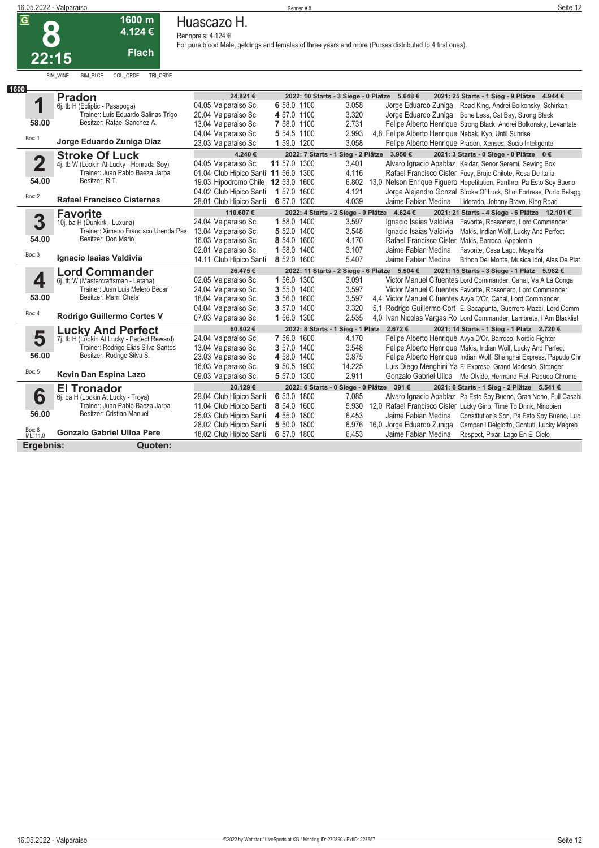|       | 1 JUV 111<br>4.124 € |
|-------|----------------------|
| 22:15 | <b>Flach</b>         |

SIM\_WINE SIM\_PLCE COU\_ORDE TRI\_ORDE

**1600 m**

**Huascazo H.**

**Rennpreis: 4.124 €**

| 1600                            |                                                                         |                                      |              |                                           |                                                                                              |
|---------------------------------|-------------------------------------------------------------------------|--------------------------------------|--------------|-------------------------------------------|----------------------------------------------------------------------------------------------|
|                                 | <b>Pradon</b>                                                           | 24.821€                              |              |                                           | 2022: 10 Starts - 3 Siege - 0 Plätze 5.648 €<br>2021: 25 Starts - 1 Sieg - 9 Plätze 4.944 €  |
| ◢                               | 6j. tb H (Ecliptic - Pasapoga)                                          | 04.05 Valparaiso Sc                  | 6 58.0 1100  | 3.058                                     | Jorge Eduardo Zuniga Road King, Andrei Bolkonsky, Schirkan                                   |
|                                 | Trainer: Luis Eduardo Salinas Trigo                                     | 20.04 Valparaiso Sc                  | 4 57.0 1100  | 3.320                                     | Jorge Eduardo Zuniga Bone Less, Cat Bay, Strong Black                                        |
| 58.00                           | Besitzer: Rafael Sanchez A.                                             | 13.04 Valparaiso Sc                  | 7 58.0 1100  | 2.731                                     | Felipe Alberto Henrique Strong Black, Andrei Bolkonsky, Levantate                            |
| Box: 1                          |                                                                         | 04.04 Valparaiso Sc                  | 5 54.5 1100  | 2.993                                     | 4,8 Felipe Alberto Henrique Nebak, Kyo, Until Sunrise                                        |
|                                 | Jorge Eduardo Zuniga Diaz                                               | 23.03 Valparaiso Sc                  | 1 59.0 1200  | 3.058                                     | Felipe Alberto Henrique Pradon, Xenses, Socio Inteligente                                    |
|                                 | <b>Stroke Of Luck</b>                                                   | 4.240€                               |              |                                           | 2022: 7 Starts - 1 Sieg - 2 Plätze 3.950 €<br>2021: 3 Starts - 0 Siege - 0 Plätze 0 €        |
| $\overline{\mathbf{2}}$         | 4j. tb W (Lookin At Lucky - Honrada Soy)                                | 04.05 Valparaiso Sc                  | 11 57.0 1300 | 3.401                                     | Alvaro Ignacio Apablaz Keidar, Senor Seremi, Sewing Box                                      |
|                                 | Trainer: Juan Pablo Baeza Jarpa                                         | 01.04 Club Hipico Santi 11 56.0 1300 |              | 4.116                                     | Rafael Francisco Cister Fusy, Brujo Chilote, Rosa De Italia                                  |
| 54.00                           | Besitzer: R.T.                                                          | 19.03 Hipodromo Chile                | 12 53.0 1600 |                                           | 6.802 13,0 Nelson Enrique Figuero Hopetitution, Panthro, Pa Esto Soy Bueno                   |
| Box: 2                          |                                                                         | 04.02 Club Hipico Santi              | 1 57.0 1600  | 4.121                                     | Jorge Alejandro Gonzal Stroke Of Luck, Shot Fortress, Porto Belagg                           |
|                                 | <b>Rafael Francisco Cisternas</b>                                       | 28.01 Club Hipico Santi              | 6 57.0 1300  | 4.039                                     | Jaime Fabian Medina<br>Liderado, Johnny Bravo, King Road                                     |
|                                 | <b>Favorite</b>                                                         | 110.607€                             |              |                                           | 2022: 4 Starts - 2 Siege - 0 Plätze 4.624 €<br>2021: 21 Starts - 4 Siege - 6 Plätze 12.101 € |
| 3                               | 10j. ba H (Dunkirk - Luxuria)                                           | 24.04 Valparaiso Sc                  | 1 58.0 1400  | 3.597                                     | Ignacio Isaias Valdivia<br>Favorite, Rossonero, Lord Commander                               |
|                                 | Trainer: Ximeno Francisco Urenda Pas                                    | 13.04 Valparaiso Sc                  | 5 52.0 1400  | 3.548                                     | Ignacio Isaias Valdivia<br>Makis, Indian Wolf, Lucky And Perfect                             |
| 54.00                           | Besitzer: Don Mario                                                     | 16.03 Valparaiso Sc                  | 8 54.0 1600  | 4.170                                     | Rafael Francisco Cister Makis, Barroco, Appolonia                                            |
| Box: 3                          |                                                                         | 02.01 Valparaiso Sc                  | 1 58.0 1400  | 3.107                                     | Jaime Fabian Medina<br>Favorite, Casa Lago, Maya Ka                                          |
|                                 | Ignacio Isaias Valdivia                                                 | 14.11 Club Hipico Santi              | 8 52.0 1600  | 5.407                                     | Jaime Fabian Medina<br>Bribon Del Monte, Musica Idol, Alas De Plat                           |
|                                 | <b>Lord Commander</b>                                                   | 26.475€                              |              |                                           | 2022: 11 Starts - 2 Siege - 6 Plätze 5.504 €<br>2021: 15 Starts - 3 Siege - 1 Platz 5.982 €  |
|                                 |                                                                         |                                      |              |                                           |                                                                                              |
|                                 | 6j. tb W (Mastercraftsman - Letaha)                                     | 02.05 Valparaiso Sc                  | 1 56.0 1300  | 3.091                                     | Victor Manuel Cifuentes Lord Commander, Cahal, Va A La Conga                                 |
| 4                               | Trainer: Juan Luis Melero Becar                                         | 24.04 Valparaiso Sc                  | 3 55.0 1400  | 3.597                                     | Victor Manuel Cifuentes Favorite, Rossonero, Lord Commander                                  |
| 53.00                           | Besitzer: Mami Chela                                                    | 18.04 Valparaiso Sc                  | 3 56.0 1600  | 3.597                                     | 4.4 Victor Manuel Cifuentes Avya D'Or, Cahal, Lord Commander                                 |
|                                 |                                                                         | 04.04 Valparaiso Sc                  | 3 57.0 1400  | 3.320                                     | 5,1 Rodrigo Guillermo Cort El Sacapunta, Guerrero Mazai, Lord Comm                           |
| Box: 4                          | Rodrigo Guillermo Cortes V                                              | 07.03 Valparaiso Sc                  | 1 56.0 1300  | 2.535                                     | 4,0 Ivan Nicolas Vargas Ro Lord Commander, Lambreta, I Am Blacklist                          |
|                                 |                                                                         | 60.802 €                             |              | 2022: 8 Starts - 1 Sieg - 1 Platz 2.672 € | 2021: 14 Starts - 1 Sieg - 1 Platz 2.720 €                                                   |
|                                 | <b>Lucky And Perfect</b><br>7j. tb H (Lookin At Lucky - Perfect Reward) | 24.04 Valparaiso Sc                  | 7 56.0 1600  | 4.170                                     | Felipe Alberto Henrique Avya D'Or, Barroco, Nordic Fighter                                   |
| 5                               | Trainer: Rodrigo Elias Silva Santos                                     | 13.04 Valparaiso Sc                  | 3 57.0 1400  | 3.548                                     | Felipe Alberto Henrique Makis, Indian Wolf, Lucky And Perfect                                |
| 56.00                           | Besitzer: Rodrigo Silva S.                                              | 23.03 Valparaiso Sc                  | 4 58.0 1400  | 3.875                                     | Felipe Alberto Henrique Indian Wolf, Shanghai Express, Papudo Chr                            |
|                                 |                                                                         | 16.03 Valparaiso Sc                  | 9 50.5 1900  | 14.225                                    | Luis Diego Menghini Ya El Expreso, Grand Modesto, Stronger                                   |
| Box: 5                          | Kevin Dan Espina Lazo                                                   | 09.03 Valparaiso Sc                  | 5 57.0 1300  | 2.911                                     | Gonzalo Gabriel Ulloa Me Olvide, Hermano Fiel, Papudo Chrome                                 |
|                                 |                                                                         | 20.129€                              |              |                                           | 2022: 6 Starts - 0 Siege - 0 Plätze 391 €<br>2021: 6 Starts - 1 Sieg - 2 Plätze 5.541 €      |
|                                 | <b>El Tronador</b><br>6j. ba H (Lookin At Lucky - Troya)                | 29.04 Club Hipico Santi              | 6 53.0 1800  | 7.085                                     | Alvaro Ignacio Apablaz Pa Esto Soy Bueno, Gran Nono, Full Casabl                             |
| 6                               | Trainer: Juan Pablo Baeza Jarpa                                         | 11.04 Club Hipico Santi              | 8 54.0 1600  |                                           | 5.930 12,0 Rafael Francisco Cister Lucky Gino, Time To Drink, Ninobien                       |
| 56.00                           | Besitzer: Cristian Manuel                                               | 25.03 Club Hipico Santi              | 4 55.0 1800  | 6.453                                     | Jaime Fabian Medina<br>Constitution's Son, Pa Esto Soy Bueno, Luc                            |
|                                 |                                                                         | 28.02 Club Hipico Santi              | 5 50.0 1800  | 6.976                                     | 16,0 Jorge Eduardo Zuniga<br>Campanil Delgiotto, Contuti, Lucky Magreb                       |
| Box: 6<br>ML: 11,0<br>Ergebnis: | <b>Gonzalo Gabriel Ulloa Pere</b>                                       | 18.02 Club Hipico Santi              | 6 57.0 1800  | 6.453                                     | Jaime Fabian Medina<br>Respect, Pixar, Lago En El Cielo                                      |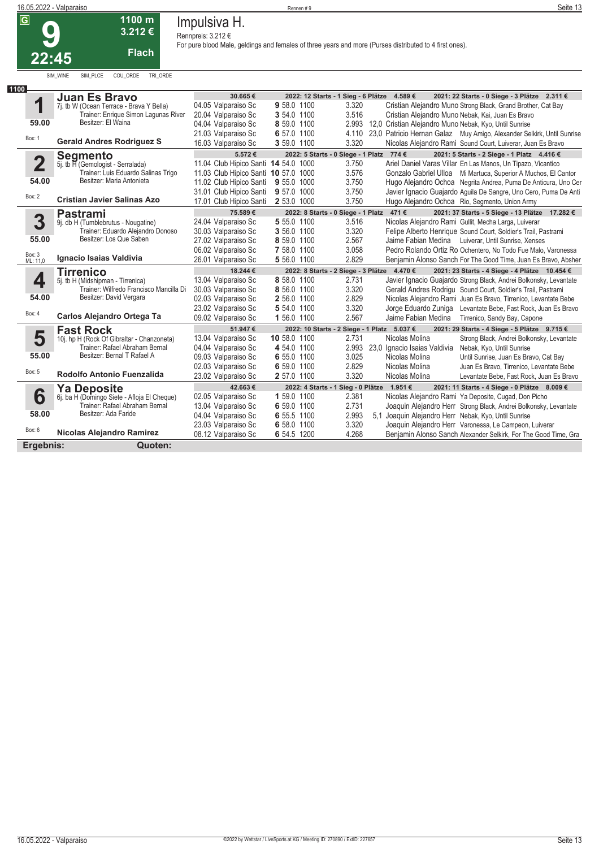

# **Impulsiva H.**

|                                 | 16.05.2022 - Valparaiso                                                       |                                            | Seite 13                   |                                                                                                         |                                                                                                                |
|---------------------------------|-------------------------------------------------------------------------------|--------------------------------------------|----------------------------|---------------------------------------------------------------------------------------------------------|----------------------------------------------------------------------------------------------------------------|
| $\overline{G}$<br><u> 22:45</u> | 1100 m<br>3.212€<br><b>Flach</b>                                              | Impulsiva H.<br>Rennpreis: 3.212 €         |                            | For pure blood Male, geldings and females of three years and more (Purses distributed to 4 first ones). |                                                                                                                |
| 1100                            | COU_ORDE<br>TRI ORDE<br>SIM WINE<br>SIM PLCE                                  |                                            |                            |                                                                                                         |                                                                                                                |
|                                 | <b>Juan Es Bravo</b>                                                          | 30.665€                                    |                            | 2022: 12 Starts - 1 Sieg - 6 Plätze<br>4.589€                                                           | 2021: 22 Starts - 0 Siege - 3 Plätze 2.311 €                                                                   |
| 1                               | 7j. tb W (Ocean Terrace - Brava Y Bella)                                      | 04.05 Valparaiso Sc                        | 9 58.0 1100                | 3.320                                                                                                   | Cristian Alejandro Muno Strong Black, Grand Brother, Cat Bay                                                   |
|                                 | Trainer: Enrique Simon Lagunas River                                          | 20.04 Valparaiso Sc                        | 3 54.0 1100                | 3.516                                                                                                   | Cristian Alejandro Muno Nebak, Kai, Juan Es Bravo                                                              |
| 59.00                           | Besitzer: El Waina                                                            | 04.04 Valparaiso Sc                        | 8 59.0 1100                | 2.993                                                                                                   | 12,0 Cristian Alejandro Muno Nebak, Kyo, Until Sunrise                                                         |
| Box: 1                          |                                                                               | 21.03 Valparaiso Sc                        | 6 57.0 1100                | 4.110                                                                                                   | 23,0 Patricio Hernan Galaz Muy Amigo, Alexander Selkirk, Until Sunrise                                         |
|                                 | <b>Gerald Andres Rodriguez S</b>                                              | 16.03 Valparaiso Sc                        | 3 59.0 1100                | 3.320                                                                                                   | Nicolas Alejandro Rami Sound Court, Luiverar, Juan Es Bravo                                                    |
|                                 | <b>Segmento</b>                                                               | 5.572€                                     |                            | 2022: 5 Starts - 0 Siege - 1 Platz 774 €                                                                | 2021: 5 Starts - 2 Siege - 1 Platz 4.416 €                                                                     |
| $\overline{2}$                  | 5j. tb H (Gemologist - Serralada)                                             | 11.04 Club Hipico Santi 14 54.0 1000       |                            | 3.750                                                                                                   | Ariel Daniel Varas Villar En Las Manos, Un Tipazo, Vicantico                                                   |
|                                 | Trainer: Luis Eduardo Salinas Trigo                                           | 11.03 Club Hipico Santi 10 57.0 1000       |                            | 3.576                                                                                                   | Gonzalo Gabriel Ulloa Mi Martuca, Superior A Muchos, El Cantor                                                 |
| 54.00                           | Besitzer: Maria Antonieta                                                     | 11.02 Club Hipico Santi                    | 9 55.0 1000                | 3.750                                                                                                   | Hugo Alejandro Ochoa Negrita Andrea, Puma De Anticura, Uno Cer                                                 |
| Box: 2                          |                                                                               | 31.01 Club Hipico Santi                    | 9 57.0 1000                | 3.750                                                                                                   | Javier Ignacio Guajardo Aguila De Sangre, Uno Cero, Puma De Anti                                               |
|                                 | <b>Cristian Javier Salinas Azo</b>                                            | 17.01 Club Hipico Santi                    | 2 53.0 1000                | 3.750                                                                                                   | Hugo Alejandro Ochoa Rio, Segmento, Union Army                                                                 |
|                                 | Pastrami                                                                      | 75.589€                                    |                            | 2022: 8 Starts - 0 Siege - 1 Platz 471 €                                                                | 2021: 37 Starts - 5 Siege - 13 Plätze 17.282 €                                                                 |
| 3                               | 9j. db H (Tumblebrutus - Nougatine)                                           | 24.04 Valparaiso Sc                        | 5 55.0 1100                | 3.516                                                                                                   | Nicolas Alejandro Rami Gullit, Mecha Larga, Luiverar                                                           |
|                                 | Trainer: Eduardo Alejandro Donoso<br>Besitzer: Los Que Saben                  | 30.03 Valparaiso Sc                        | 3 56.0 1100                | 3.320                                                                                                   | Felipe Alberto Henrique Sound Court, Soldier's Trail, Pastrami                                                 |
| 55.00                           |                                                                               | 27.02 Valparaiso Sc                        | 8 59.0 1100                | 2.567                                                                                                   | Jaime Fabian Medina Luiverar, Until Sunrise, Xenses                                                            |
| Box: 3<br>ML: 11,0              | Ignacio Isaias Valdivia                                                       | 06.02 Valparaiso Sc                        | 7 58.0 1100                | 3.058                                                                                                   | Pedro Rolando Ortiz Ro Ochentero, No Todo Fue Malo, Varonessa                                                  |
|                                 |                                                                               | 26.01 Valparaiso Sc                        | 5 56.0 1100                | 2.829                                                                                                   | Benjamin Alonso Sanch For The Good Time, Juan Es Bravo, Absher                                                 |
|                                 | <b>Tirrenico</b>                                                              | 18.244 €                                   |                            | 2022: 8 Starts - 2 Siege - 3 Plätze 4.470 €                                                             | 2021: 23 Starts - 4 Siege - 4 Plätze 10.454 €                                                                  |
| 4                               | 5j. tb H (Midshipman - Tirrenica)                                             | 13.04 Valparaiso Sc                        | 8 58.0 1100                | 2.731                                                                                                   | Javier Ignacio Guajardo Strong Black, Andrei Bolkonsky, Levantate                                              |
| 54.00                           | Trainer: Wilfredo Francisco Mancilla Di<br>Besitzer: David Vergara            | 30.03 Valparaiso Sc                        | 8 56.0 1100                | 3.320                                                                                                   | Gerald Andres Rodrigu Sound Court, Soldier's Trail, Pastrami                                                   |
|                                 |                                                                               | 02.03 Valparaiso Sc                        | 2 56.0 1100                | 2.829                                                                                                   | Nicolas Alejandro Rami Juan Es Bravo, Tirrenico, Levantate Bebe                                                |
| Box: 4                          | Carlos Alejandro Ortega Ta                                                    | 23.02 Valparaiso Sc                        | 5 54.0 1100                | 3.320<br>Jorge Eduardo Zuniga                                                                           | Levantate Bebe, Fast Rock, Juan Es Bravo                                                                       |
|                                 |                                                                               | 09.02 Valparaiso Sc                        | 1 56.0 1100                | 2.567<br>Jaime Fabian Medina                                                                            | Tirrenico, Sandy Bay, Capone                                                                                   |
|                                 | <b>Fast Rock</b>                                                              | 51.947€                                    |                            | 2022: 10 Starts - 2 Siege - 1 Platz 5.037 €                                                             | 2021: 29 Starts - 4 Siege - 5 Plätze 9.715 €                                                                   |
| 5                               | 10j. hp H (Rock Of Gibraltar - Chanzoneta)                                    | 13.04 Valparaiso Sc                        | 10 58.0 1100               | 2.731<br>Nicolas Molina                                                                                 | Strong Black, Andrei Bolkonsky, Levantate                                                                      |
| 55.00                           | Trainer: Rafael Abraham Bernal<br>Besitzer: Bernal T Rafael A                 | 04.04 Valparaiso Sc                        | 4 54.0 1100                | 2.993<br>23,0 Ignacio Isaias Valdivia                                                                   | Nebak, Kyo, Until Sunrise                                                                                      |
|                                 |                                                                               | 09.03 Valparaiso Sc                        | 6 55.0 1100                | 3.025<br>Nicolas Molina                                                                                 | Until Sunrise, Juan Es Bravo, Cat Bay                                                                          |
| Box: 5                          | Rodolfo Antonio Fuenzalida                                                    | 02.03 Valparaiso Sc<br>23.02 Valparaiso Sc | 6 59.0 1100<br>2 57.0 1100 | 2.829<br>Nicolas Molina<br>3.320<br>Nicolas Molina                                                      | Juan Es Bravo, Tirrenico, Levantate Bebe<br>Levantate Bebe, Fast Rock, Juan Es Bravo                           |
|                                 |                                                                               |                                            |                            |                                                                                                         |                                                                                                                |
|                                 | <b>Ya Deposite</b>                                                            | 42.663€                                    |                            | 2022: 4 Starts - 1 Sieg - 0 Plätze 1.951 €                                                              | 2021: 11 Starts - 4 Siege - 0 Plätze 8.009 €                                                                   |
| 6                               | 6j. ba H (Domingo Siete - Afloja El Cheque)<br>Trainer: Rafael Abraham Bernal | 02.05 Valparaiso Sc                        | 1 59.0 1100                | 2.381<br>2.731                                                                                          | Nicolas Alejandro Rami Ya Deposite, Cugad, Don Picho                                                           |
| 58.00                           | Besitzer: Ada Faride                                                          | 13.04 Valparaiso Sc                        | 6 59.0 1100                | 2.993                                                                                                   | Joaquin Alejandro Herr Strong Black, Andrei Bolkonsky, Levantate                                               |
|                                 |                                                                               | 04.04 Valparaiso Sc<br>23.03 Valparaiso Sc | 6 55.5 1100<br>6 58.0 1100 | 3.320                                                                                                   | 5,1 Joaquin Alejandro Herr Nebak, Kyo, Until Sunrise<br>Joaquin Alejandro Herr Varonessa, Le Campeon, Luiverar |
| Box: 6                          | Nicolas Alejandro Ramirez                                                     | 08.12 Valparaiso Sc                        | 6 54.5 1200                | 4.268                                                                                                   | Benjamin Alonso Sanch Alexander Selkirk, For The Good Time, Gra                                                |
|                                 |                                                                               |                                            |                            |                                                                                                         |                                                                                                                |
| Ergebnis:                       | Quoten:                                                                       |                                            |                            |                                                                                                         |                                                                                                                |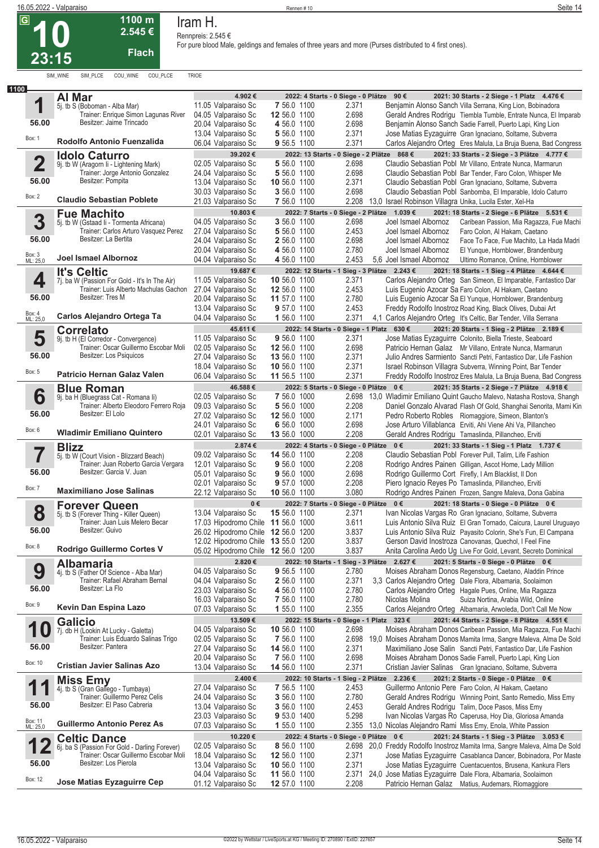**23:15**

| <b>10</b> |  |
|-----------|--|
| 23:15     |  |

**1100 m 2.545 €**

**Flach**

SIM\_WINE SIM\_PLCE COU\_WINE COU\_PLCE TRIOE

**Iram H. Rennpreis: 2.545 €**

| 1100                    |                                                                             |                                            |                                           |       |                                                                                                                                         |
|-------------------------|-----------------------------------------------------------------------------|--------------------------------------------|-------------------------------------------|-------|-----------------------------------------------------------------------------------------------------------------------------------------|
|                         | Al Mar                                                                      | 4.902 €                                    | 2022: 4 Starts - 0 Siege - 0 Plätze 90 €  |       | 2021: 30 Starts - 2 Siege - 1 Platz 4.476 €                                                                                             |
| 1                       | 5j. tb S (Boboman - Alba Mar)                                               | 11.05 Valparaiso Sc                        | 7 56.0 1100                               | 2.371 | Benjamin Alonso Sanch Villa Serrana, King Lion, Bobinadora                                                                              |
|                         | Trainer: Enrique Simon Lagunas River                                        | 04.05 Valparaiso Sc                        | 12 56.0 1100                              | 2.698 | Gerald Andres Rodrigu Tiembla Tumble, Entrate Nunca, El Imparab                                                                         |
| 56.00                   | Besitzer: Jaime Trincado                                                    | 20.04 Valparaiso Sc                        | 4 56.0 1100                               | 2.698 | Benjamin Alonso Sanch Sadie Farrell, Puerto Lapi, King Lion                                                                             |
|                         |                                                                             | 13.04 Valparaiso Sc                        | 5 56.0 1100                               | 2.371 | Jose Matias Eyzaguirre Gran Ignaciano, Soltame, Subverra                                                                                |
| Box: 1                  | Rodolfo Antonio Fuenzalida                                                  | 06.04 Valparaiso Sc                        | 9 56.5 1100                               | 2.371 | Carlos Alejandro Orteg Eres Malula, La Bruja Buena, Bad Congress                                                                        |
|                         |                                                                             |                                            |                                           |       |                                                                                                                                         |
|                         | <b>Idolo Caturro</b>                                                        | 39.202€                                    |                                           |       | 2022: 13 Starts - 0 Siege - 2 Plätze 868 €<br>2021: 33 Starts - 2 Siege - 3 Plätze 4.777 €                                              |
| $\overline{\mathbf{2}}$ | 9j. tb W (Aragorn Ii - Lightening Mark)                                     | 02.05 Valparaiso Sc                        | 5 56.0 1100                               | 2.698 | Claudio Sebastian Pobl Mr Villano, Entrate Nunca, Marmarun                                                                              |
|                         | Trainer: Jorge Antonio Gonzalez                                             | 24.04 Valparaiso Sc                        | 5 56.0 1100                               | 2.698 | Claudio Sebastian Pobl Bar Tender, Faro Colon, Whisper Me                                                                               |
| 56.00                   | Besitzer: Pompita                                                           | 13.04 Valparaiso Sc                        | 10 56.0 1100                              | 2.371 | Claudio Sebastian Pobl Gran Ignaciano, Soltame, Subverra                                                                                |
| Box: 2                  |                                                                             | 30.03 Valparaiso Sc                        | 3 56.0 1100                               | 2.698 | Claudio Sebastian Pobl Sanbomba, El Imparable, Idolo Caturro                                                                            |
|                         | <b>Claudio Sebastian Poblete</b>                                            | 21.03 Valparaiso Sc                        | 7 56.0 1100                               | 2.208 | 13,0 Israel Robinson Villagra Unika, Lucila Ester, Xel-Ha                                                                               |
|                         | <b>Fue Machito</b>                                                          | 10.803€                                    |                                           |       | 2022: 7 Starts - 0 Siege - 2 Plätze 1.039 €<br>2021: 18 Starts - 2 Siege - 6 Plätze 5.531 €                                             |
| 3                       | 5j. tb W (Gstaad Ii - Tormenta Africana)                                    | 04.05 Valparaiso Sc                        | 3 56.0 1100                               | 2.698 | Joel Ismael Albornoz<br>Caribean Passion, Mia Ragazza, Fue Machi                                                                        |
|                         | Trainer: Carlos Arturo Vasquez Perez                                        | 27.04 Valparaiso Sc                        | 5 56.0 1100                               | 2.453 | Joel Ismael Albornoz<br>Faro Colon, Al Hakam, Caetano                                                                                   |
| 56.00                   | Besitzer: La Bertita                                                        | 24.04 Valparaiso Sc                        | 2 56.0 1100                               | 2.698 | Joel Ismael Albornoz<br>Face To Face, Fue Machito, La Hada Madri                                                                        |
|                         |                                                                             | 20.04 Valparaiso Sc                        | 4 56.0 1100                               | 2.780 | Joel Ismael Albornoz<br>El Yunque, Hornblower, Brandenburg                                                                              |
| Box: 3<br>ML: 25,0      | Joel Ismael Albornoz                                                        | 04.04 Valparaiso Sc                        | 4 56.0 1100                               | 2.453 | 5.6 Joel Ismael Albornoz<br>Ultimo Romance, Online, Hornblower                                                                          |
|                         |                                                                             | 19.687€                                    |                                           |       | 2021: 18 Starts - 1 Sieg - 4 Plätze 4.644 €<br>2022: 12 Starts - 1 Sieg - 3 Plätze 2.243 €                                              |
| 4                       | <b>It's Celtic</b><br>7j. ba W (Passion For Gold - It's In The Air)         | 11.05 Valparaiso Sc                        | 10 56.0 1100                              | 2.371 | Carlos Alejandro Orteg San Simeon, El Imparable, Fantastico Dar                                                                         |
|                         | Trainer: Luis Alberto Machulas Gachon                                       |                                            | 12 56.0 1100                              | 2.453 | Luis Eugenio Azocar Sa Faro Colon, Al Hakam, Caetano                                                                                    |
| 56.00                   | Besitzer: Tres M                                                            | 27.04 Valparaiso Sc                        |                                           |       |                                                                                                                                         |
|                         |                                                                             | 20.04 Valparaiso Sc                        | 11 57.0 1100                              | 2.780 | Luis Eugenio Azocar Sa El Yunque, Hornblower, Brandenburg                                                                               |
| Box: 4<br>ML: 25,0      | Carlos Alejandro Ortega Ta                                                  | 13.04 Valparaiso Sc                        | 9 57.0 1100                               | 2.453 | Freddy Rodolfo Inostroz Road King, Black Olives, Dubai Art                                                                              |
|                         |                                                                             | 04.04 Valparaiso Sc                        | 1 56.0 1100                               | 2.371 | 4,1 Carlos Alejandro Orteg It's Celtic, Bar Tender, Villa Serrana                                                                       |
|                         | <b>Correlato</b>                                                            | 45.611€                                    | 2022: 14 Starts - 0 Siege - 1 Platz 630 € |       | 2021: 20 Starts - 1 Sieg - 2 Plätze 2.189 €                                                                                             |
| 5                       | 9j. tb H (El Corredor - Convergence)                                        | 11.05 Valparaiso Sc                        | 9 56.0 1100                               | 2.371 | Jose Matias Eyzaguirre Colonito, Biella Trieste, Seaboard                                                                               |
|                         | Trainer: Oscar Guillermo Escobar Moli                                       | 02.05 Valparaiso Sc                        | 12 56.0 1100                              | 2.698 | Patricio Hernan Galaz Mr Villano, Entrate Nunca, Marmarun                                                                               |
| 56.00                   | Besitzer: Los Psiguicos                                                     | 27.04 Valparaiso Sc                        | 13 56.0 1100                              | 2.371 | Julio Andres Sarmiento Sancti Petri, Fantastico Dar, Life Fashion                                                                       |
|                         |                                                                             | 18.04 Valparaiso Sc                        | 10 56.0 1100                              | 2.371 | Israel Robinson Villagra Subverra, Winning Point, Bar Tender                                                                            |
| Box: 5                  | Patricio Hernan Galaz Valen                                                 | 06.04 Valparaiso Sc                        | 11 56.5 1100                              | 2.371 | Freddy Rodolfo Inostroz Eres Malula, La Bruja Buena, Bad Congress                                                                       |
|                         | <b>Blue Roman</b>                                                           | 46.588€                                    | 2022: 5 Starts - 0 Siege - 0 Plätze 0 €   |       | 2021: 35 Starts - 2 Siege - 7 Plätze 4.918 €                                                                                            |
| 6                       | 9j. ba H (Bluegrass Cat - Romana li)                                        | 02.05 Valparaiso Sc                        | 7 56.0 1000                               |       | 2.698 13,0 Wladimir Emiliano Quint Gaucho Malevo, Natasha Rostova, Shangh                                                               |
|                         | Trainer: Alberto Eleodoro Ferrero Roja                                      | 09.03 Valparaiso Sc                        | 5 56.0 1000                               | 2.208 | Daniel Gonzalo Alvarad Flash Of Gold, Shanghai Senorita, Mami Kin                                                                       |
| 56.00                   | Besitzer: El Lolo                                                           | 27.02 Valparaiso Sc                        | 12 56.0 1000                              | 2.171 | Pedro Roberto Robles Riomaggiore, Simeon, Blanton's                                                                                     |
|                         |                                                                             | 24.01 Valparaiso Sc                        | 6 56.0 1000                               | 2.698 | Jose Arturo Villablanca Erviti, Ahi Viene Ahi Va, Pillancheo                                                                            |
| Box: 6                  | <b>Wladimir Emiliano Quintero</b>                                           | 02.01 Valparaiso Sc                        |                                           |       |                                                                                                                                         |
|                         |                                                                             |                                            |                                           |       |                                                                                                                                         |
|                         |                                                                             |                                            | 13 56.0 1000                              | 2.208 | Gerald Andres Rodrigu Tamaslinda, Pillancheo, Erviti                                                                                    |
|                         | <b>Blizz</b>                                                                | 2.874€                                     | 2022: 4 Starts - 0 Siege - 0 Plätze 0 €   |       | 2021: 33 Starts - 1 Sieg - 1 Platz 1.737 €                                                                                              |
|                         | 5j. tb W (Court Vision - Blizzard Beach)                                    | 09.02 Valparaiso Sc                        | 14 56.0 1100                              | 2.208 | Claudio Sebastian Pobl Forever Pull, Talim, Life Fashion                                                                                |
|                         | Trainer: Juan Roberto Garcia Vergara                                        | 12.01 Valparaiso Sc                        | 9 56.0 1000                               | 2.208 | Rodrigo Andres Painen Gilligan, Ascot Home, Lady Million                                                                                |
| 56.00                   | Besitzer: Garcia V. Juan                                                    | 05.01 Valparaiso Sc                        | 9 56.0 1000                               | 2.698 | Rodrigo Guillermo Cort Firefly, I Am Blacklist, Il Don                                                                                  |
| Box: 7                  |                                                                             | 02.01 Valparaiso Sc                        | 9 57.0 1000                               | 2.208 | Piero Ignacio Reyes Po Tamaslinda, Pillancheo, Erviti                                                                                   |
|                         | <b>Maximiliano Jose Salinas</b>                                             | 22.12 Valparaiso Sc                        | 10 56.0 1100                              | 3.080 | Rodrigo Andres Painen Frozen, Sangre Maleva, Dona Gabina                                                                                |
|                         | <b>Forever Queen</b>                                                        | $0 \in$                                    | 2022: 7 Starts - 0 Siege - 0 Plätze 0 €   |       | 2021: 18 Starts - 0 Siege - 0 Plätze 0 €                                                                                                |
| 8                       | 5j. tb S (Forever Thing - Killer Queen)                                     | 13.04 Valparaiso Sc                        | 15 56.0 1100                              | 2.371 | Ivan Nicolas Vargas Ro Gran Ignaciano, Soltame, Subverra                                                                                |
|                         | Trainer: Juan Luis Melero Becar                                             | 17.03 Hipodromo Chile 11 56.0 1000         |                                           | 3.611 | Luis Antonio Silva Ruiz El Gran Tornado, Caicura, Laurel Uruguayo                                                                       |
| 56.00                   | Besitzer: Guivo                                                             | 26.02 Hipodromo Chile 12 56.0 1200         |                                           | 3.837 | Luis Antonio Silva Ruiz Payasito Colorin, She's Fun, El Campana                                                                         |
| Box: 8                  |                                                                             | 12.02 Hipodromo Chile 13 55.0 1200         |                                           | 3.837 | Gerson David Inostroza Canovanas, Quechol, I Feel Fine                                                                                  |
|                         | Rodrigo Guillermo Cortes V                                                  | 05.02 Hipodromo Chile 12 56.0 1200         |                                           | 3.837 | Anita Carolina Aedo Ug Live For Gold, Levant, Secreto Dominical                                                                         |
|                         | <b>Albamaria</b>                                                            | 2.820€                                     |                                           |       | 2022: 10 Starts - 1 Sieg - 3 Plätze 2.627 €<br>2021: 5 Starts - 0 Siege - 0 Plätze 0 €                                                  |
|                         | 4j. tb S (Father Of Science - Alba Mar)                                     | 04.05 Valparaiso Sc                        | 9 56.5 1100                               | 2.780 | Moises Abraham Donos Regensburg, Caetano, Aladdin Prince                                                                                |
| 9                       | Trainer: Rafael Abraham Bernal                                              | 04.04 Valparaiso Sc                        | 2 56.0 1100                               | 2.371 | 3,3 Carlos Alejandro Orteg Dale Flora, Albamaria, Soolaimon                                                                             |
| 56.00                   | Besitzer: La Flo                                                            | 23.03 Valparaiso Sc                        | 4 56.0 1100                               | 2.780 | Carlos Alejandro Orteg Hagale Pues, Online, Mia Ragazza                                                                                 |
|                         |                                                                             | 16.03 Valparaiso Sc                        | 7 56.0 1100                               | 2.780 | Nicolas Molina<br>Suiza Nortina, Arabia Wild, Online                                                                                    |
| Box: 9                  | Kevin Dan Espina Lazo                                                       | 07.03 Valparaiso Sc                        | 1 55.0 1100                               | 2.355 | Carlos Alejandro Orteg Albamaria, Arwoleda, Don't Call Me Now                                                                           |
|                         |                                                                             | 13.509€                                    |                                           |       | 2022: 15 Starts - 0 Siege - 1 Platz 323 €<br>2021: 44 Starts - 2 Siege - 8 Plätze 4.551 €                                               |
|                         | <b>Galicio</b>                                                              | 04.05 Valparaiso Sc                        | 10 56.0 1100                              | 2.698 | Moises Abraham Donos Caribean Passion, Mia Ragazza, Fue Machi                                                                           |
| 1                       | 7j. db H (Lookin At Lucky - Galetta)<br>Trainer: Luis Eduardo Salinas Trigo |                                            |                                           |       |                                                                                                                                         |
| 56.00                   | Besitzer: Pantera                                                           | 02.05 Valparaiso Sc                        | 7 56.0 1100                               | 2.698 | 19,0 Moises Abraham Donos Mamita Irma, Sangre Maleva, Alma De Sold<br>Maximiliano Jose Salin Sancti Petri, Fantastico Dar, Life Fashion |
|                         |                                                                             | 27.04 Valparaiso Sc                        | 14 56.0 1100                              | 2.371 |                                                                                                                                         |
| Box: 10                 | <b>Cristian Javier Salinas Azo</b>                                          | 20.04 Valparaiso Sc                        | 7 56.0 1100                               | 2.698 | Moises Abraham Donos Sadie Farrell, Puerto Lapi, King Lion                                                                              |
|                         |                                                                             | 13.04 Valparaiso Sc                        | 14 56.0 1100                              | 2.371 | Cristian Javier Salinas Gran Ignaciano, Soltame, Subverra                                                                               |
| и                       | <b>Miss Emy</b>                                                             | 2.400€                                     | 2022: 10 Starts - 1                       |       | Sieg - 2 Plätze 2.236 €<br>2021: 2 Starts - 0 Siege - 0 Plätze 0 €                                                                      |
| 1                       | 4j. tb S (Gran Gallego - Tumbaya)                                           | 27.04 Valparaiso Sc                        | 7 56.5 1100                               | 2.453 | Guillermo Antonio Pere Faro Colon, Al Hakam, Caetano                                                                                    |
|                         | Trainer: Guillermo Perez Celis                                              | 24.04 Valparaiso Sc                        | 3 56.0 1100                               | 2.780 | Gerald Andres Rodrigu Winning Point, Santo Remedio, Miss Emy                                                                            |
| 56.00                   | Besitzer: El Paso Cabreria                                                  | 13.04 Valparaiso Sc                        | 3 56.0 1100                               | 2.453 | Gerald Andres Rodrigu Talim, Doce Pasos, Miss Emy                                                                                       |
|                         |                                                                             | 23.03 Valparaiso Sc                        | 9 53.0 1400                               | 5.298 | Ivan Nicolas Vargas Ro Caperusa, Hoy Dia, Gloriosa Amanda                                                                               |
| Box: 11<br>ML: 25,0     | <b>Guillermo Antonio Perez As</b>                                           | 07.03 Valparaiso Sc                        | 1 55.0 1100                               |       | 2.355 13,0 Nicolas Alejandro Rami Miss Emy, Enola, White Passion                                                                        |
|                         | <b>Celtic Dance</b>                                                         | 10.220 €                                   | 2022: 4 Starts - 0 Siege - 0 Plätze 0 €   |       | 2021: 24 Starts - 1 Sieg - 3 Plätze 3.053 €                                                                                             |
| 1<br>Ł                  | 6j. ba S (Passion For Gold - Darling Forever)                               | 02.05 Valparaiso Sc                        | 8 56.0 1100                               |       | 2.698 20,0 Freddy Rodolfo Inostroz Mamita Irma, Sangre Maleva, Alma De Sold                                                             |
|                         | Trainer: Oscar Guillermo Escobar Moli                                       | 18.04 Valparaiso Sc                        | 12 56.0 1100                              | 2.371 | Jose Matias Eyzaguirre Casablanca Dancer, Bobinadora, Por Maste                                                                         |
| 56.00                   | Besitzer: Los Pierola                                                       | 13.04 Valparaiso Sc                        | 10 56.0 1100                              | 2.371 | Jose Matias Eyzaguirre Cuentacuentos, Brusena, Kankura Flers                                                                            |
| Box: 12                 | Jose Matias Eyzaguirre Cep                                                  | 04.04 Valparaiso Sc<br>01.12 Valparaiso Sc | 11 56.0 1100<br>12 57.0 1100              | 2.208 | 2.371 24,0 Jose Matias Eyzaguirre Dale Flora, Albamaria, Soolaimon<br>Patricio Hernan Galaz Matius, Audemars, Riomaggiore               |